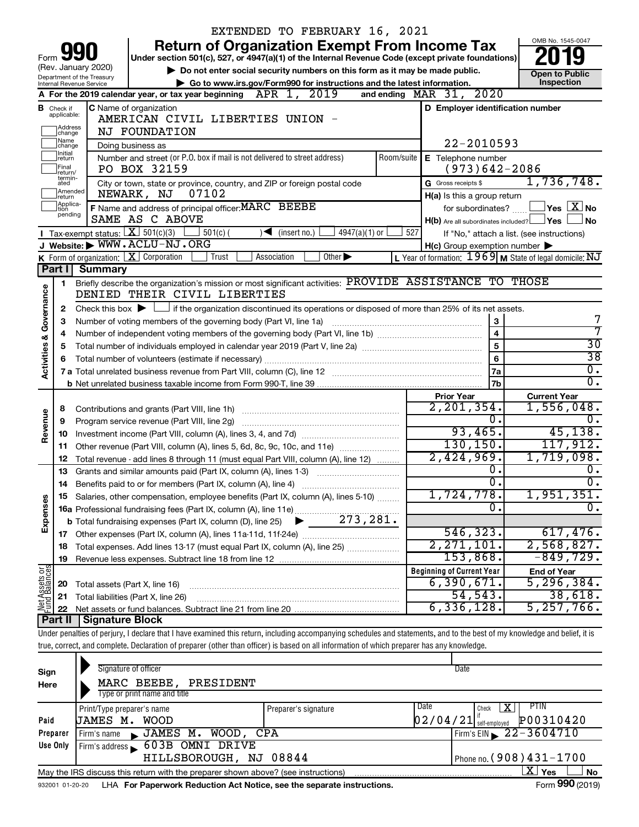|                                |                             |                                                        | EXTENDED TO FEBRUARY 16, 2021                                                                                                                                              |                                                           |                                            |
|--------------------------------|-----------------------------|--------------------------------------------------------|----------------------------------------------------------------------------------------------------------------------------------------------------------------------------|-----------------------------------------------------------|--------------------------------------------|
|                                |                             |                                                        | <b>Return of Organization Exempt From Income Tax</b>                                                                                                                       |                                                           | OMB No. 1545-0047                          |
| Form                           |                             |                                                        | Under section 501(c), 527, or 4947(a)(1) of the Internal Revenue Code (except private foundations)                                                                         |                                                           |                                            |
|                                |                             | (Rev. January 2020)                                    | Do not enter social security numbers on this form as it may be made public.                                                                                                |                                                           | <b>Open to Public</b>                      |
|                                |                             | Department of the Treasury<br>Internal Revenue Service | Go to www.irs.gov/Form990 for instructions and the latest information.                                                                                                     |                                                           | Inspection                                 |
|                                |                             |                                                        | A For the 2019 calendar year, or tax year beginning $\Delta PR$ 1, 2019                                                                                                    | and ending $\n  MAR\n  31, 2020\n$                        |                                            |
|                                | <b>B</b> Check if           |                                                        | C Name of organization                                                                                                                                                     | D Employer identification number                          |                                            |
|                                | applicable:                 |                                                        | AMERICAN CIVIL LIBERTIES UNION -                                                                                                                                           |                                                           |                                            |
|                                | Address<br>change           |                                                        | NJ FOUNDATION                                                                                                                                                              |                                                           |                                            |
|                                | Name<br>change<br>Initial   |                                                        | Doing business as                                                                                                                                                          | 22-2010593                                                |                                            |
|                                | return                      |                                                        | Number and street (or P.O. box if mail is not delivered to street address)<br>Room/suite                                                                                   | E Telephone number                                        |                                            |
|                                | Final<br>return/<br>termin- |                                                        | PO BOX 32159                                                                                                                                                               | $(973)642 - 2086$                                         |                                            |
|                                | ated<br>Amended             |                                                        | City or town, state or province, country, and ZIP or foreign postal code                                                                                                   | G Gross receipts \$                                       | 1,736,748.                                 |
|                                | return<br>Applica-          |                                                        | 07102<br>NEWARK, NJ                                                                                                                                                        | H(a) Is this a group return                               |                                            |
|                                | ltion<br>pending            |                                                        | F Name and address of principal officer: MARC BEEBE                                                                                                                        | for subordinates?                                         | $\overline{\ }$ Yes $\overline{\rm X}$ No  |
|                                |                             |                                                        | SAME AS C ABOVE                                                                                                                                                            | $H(b)$ Are all subordinates included? $\Box$ Yes          | No                                         |
|                                |                             | <b>I</b> Tax-exempt status: $X \ 501(c)(3)$            | $\frac{1}{2}$ 501(c) (<br>$\sqrt{\frac{1}{1}}$ (insert no.)<br>$4947(a)(1)$ or<br>J Website: WWW.ACLU-NJ.ORG                                                               | 527                                                       | If "No," attach a list. (see instructions) |
|                                |                             |                                                        | K Form of organization: $X$ Corporation<br>Trust<br>Association<br>Other $\blacktriangleright$                                                                             | $H(c)$ Group exemption number $\blacktriangleright$       |                                            |
|                                | Part II                     | <b>Summary</b>                                         |                                                                                                                                                                            | L Year of formation: $1969$ M State of legal domicile: NJ |                                            |
|                                |                             |                                                        | Briefly describe the organization's mission or most significant activities: PROVIDE ASSISTANCE TO THOSE                                                                    |                                                           |                                            |
|                                | 1                           |                                                        | DENIED THEIR CIVIL LIBERTIES                                                                                                                                               |                                                           |                                            |
|                                |                             |                                                        | Check this box $\blacktriangleright$ $\Box$ if the organization discontinued its operations or disposed of more than 25% of its net assets.                                |                                                           |                                            |
| Governance                     | 2<br>3                      |                                                        | Number of voting members of the governing body (Part VI, line 1a)                                                                                                          | 3                                                         | 7                                          |
|                                | 4                           |                                                        |                                                                                                                                                                            | $\overline{4}$                                            | 7                                          |
|                                | 5                           |                                                        |                                                                                                                                                                            | $\overline{5}$                                            | $\overline{30}$                            |
| <b>Activities &amp;</b>        | 6                           |                                                        |                                                                                                                                                                            | 6                                                         | $\overline{38}$                            |
|                                |                             |                                                        |                                                                                                                                                                            | 7a                                                        | $\overline{\mathfrak{o}}$ .                |
|                                |                             |                                                        |                                                                                                                                                                            | 7b                                                        | $\overline{\mathfrak{o}}$ .                |
|                                |                             |                                                        |                                                                                                                                                                            | <b>Prior Year</b>                                         | <b>Current Year</b>                        |
|                                | 8                           |                                                        |                                                                                                                                                                            | 2, 201, 354.                                              | 1,556,048.                                 |
|                                | 9                           |                                                        | Program service revenue (Part VIII, line 2g)                                                                                                                               | σ.                                                        | О.                                         |
| Revenue                        | 10                          |                                                        |                                                                                                                                                                            | 93,465.                                                   | 45, 138.                                   |
|                                | 11                          |                                                        | Other revenue (Part VIII, column (A), lines 5, 6d, 8c, 9c, 10c, and 11e)                                                                                                   | 130, 150.                                                 | 117,912.                                   |
|                                | 12                          |                                                        | Total revenue - add lines 8 through 11 (must equal Part VIII, column (A), line 12)                                                                                         | 2,424,969.                                                | 1,719,098.                                 |
|                                | 13                          |                                                        | Grants and similar amounts paid (Part IX, column (A), lines 1-3)                                                                                                           | $\overline{0}$ .                                          | Ο.                                         |
|                                | 14                          |                                                        | Benefits paid to or for members (Part IX, column (A), line 4)                                                                                                              | $\overline{0}$ .                                          | $\overline{0}$ .                           |
|                                |                             |                                                        | 15 Salaries, other compensation, employee benefits (Part IX, column (A), lines 5-10)                                                                                       | 1,724,778.                                                | 1,951,351.                                 |
|                                |                             |                                                        |                                                                                                                                                                            | σ.                                                        | $\overline{0}$ .                           |
| Expenses                       |                             |                                                        |                                                                                                                                                                            |                                                           |                                            |
|                                |                             |                                                        |                                                                                                                                                                            | 546,323.                                                  | 617,476.                                   |
|                                | 18                          |                                                        | Total expenses. Add lines 13-17 (must equal Part IX, column (A), line 25) [                                                                                                | 2, 271, 101.<br>153,868.                                  | 2,568,827.<br>$-849,729.$                  |
|                                | 19                          |                                                        |                                                                                                                                                                            |                                                           |                                            |
|                                |                             |                                                        |                                                                                                                                                                            | <b>Beginning of Current Year</b><br>6,390,671.            | <b>End of Year</b><br>5, 296, 384.         |
|                                | 20                          |                                                        |                                                                                                                                                                            |                                                           |                                            |
|                                |                             | Total assets (Part X, line 16)                         |                                                                                                                                                                            |                                                           |                                            |
|                                | 21                          |                                                        | Total liabilities (Part X, line 26)                                                                                                                                        | 54, 543.                                                  | 38,618.                                    |
| Net Assets or<br>Fund Balances | 22                          |                                                        |                                                                                                                                                                            | 6, 336, 128.                                              | 5, 257, 766.                               |
|                                | Part II                     | <b>Signature Block</b>                                 |                                                                                                                                                                            |                                                           |                                            |
|                                |                             |                                                        | Under penalties of perjury, I declare that I have examined this return, including accompanying schedules and statements, and to the best of my knowledge and belief, it is |                                                           |                                            |
|                                |                             |                                                        | true, correct, and complete. Declaration of preparer (other than officer) is based on all information of which preparer has any knowledge.                                 |                                                           |                                            |
|                                |                             |                                                        | Signature of officer                                                                                                                                                       | Date                                                      |                                            |
| Sign                           |                             |                                                        |                                                                                                                                                                            |                                                           |                                            |
| Here                           |                             |                                                        | MARC BEEBE, PRESIDENT<br>Type or print name and title                                                                                                                      |                                                           |                                            |
|                                |                             |                                                        |                                                                                                                                                                            | Date<br>Check                                             | PTIN<br>X.                                 |
| Paid                           |                             | Print/Type preparer's name<br>JAMES M. WOOD            | Preparer's signature                                                                                                                                                       |                                                           | P00310420                                  |
|                                | Preparer                    | Firm's name                                            | JAMES M. WOOD, CPA                                                                                                                                                         | $02/04/21$ self-employed                                  | Firm's EIN $\triangleright$ 22-3604710     |

|                 | May the IRS discuss this return with the preparer shown above? (see instructions) | ▵ | .No |
|-----------------|-----------------------------------------------------------------------------------|---|-----|
| 932001 01-20-20 | LHA For Paperwork Reduction Act Notice, see the separate instructions.            |   |     |

 $\overline{\phantom{0}}$ 

Phone no.

HILLSBOROUGH, NJ 08844 Phone no.(908)431-1700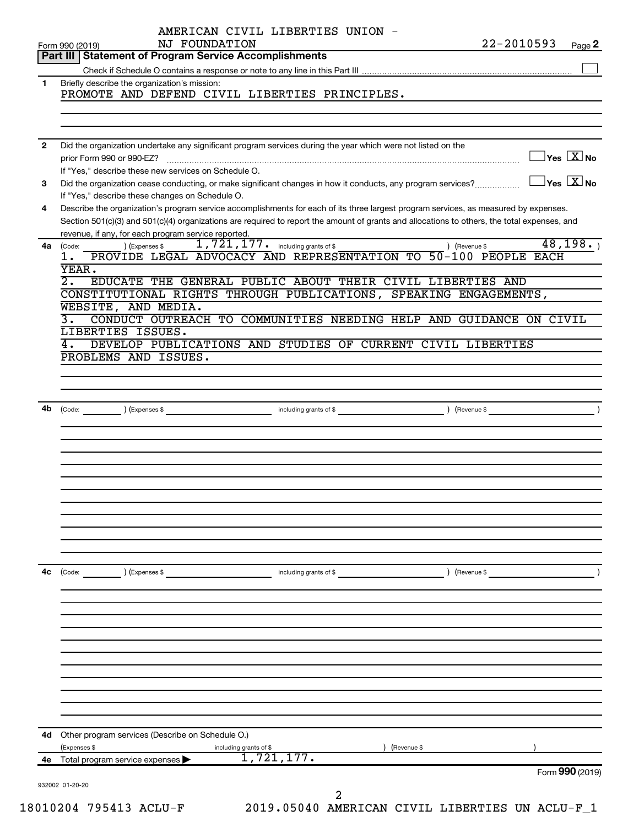| Form 990 (2019)<br>Part III   Statement of Program Service Accomplishments<br>Briefly describe the organization's mission:<br>prior Form 990 or 990-EZ?<br>If "Yes," describe these new services on Schedule O.<br>If "Yes," describe these changes on Schedule O.<br>revenue, if any, for each program service reported.<br>) (Expenses \$<br>(Code:<br>ı.<br>YEAR.<br>$\overline{2}$ .<br>EDUCATE THE GENERAL PUBLIC ABOUT THEIR CIVIL LIBERTIES AND<br>CONSTITUTIONAL RIGHTS THROUGH PUBLICATIONS, SPEAKING ENGAGEMENTS, | NJ FOUNDATION<br>PROMOTE AND DEFEND CIVIL LIBERTIES PRINCIPLES.<br>Did the organization undertake any significant program services during the year which were not listed on the<br>Did the organization cease conducting, or make significant changes in how it conducts, any program services?<br>$\overline{1,721}$ , $177$ $\cdot$ including grants of \$<br>PROVIDE LEGAL ADVOCACY AND REPRESENTATION TO 50-100 PEOPLE EACH | Describe the organization's program service accomplishments for each of its three largest program services, as measured by expenses.<br>Section 501(c)(3) and 501(c)(4) organizations are required to report the amount of grants and allocations to others, the total expenses, and<br>) (Revenue \$ | Page 2<br>$\Box$ Yes $[\overline{\mathrm{X}}]$ No<br>$\Box$ Yes $[\overline{\mathrm{X}}]$ No<br>48, 198.                                                                                                     |
|-----------------------------------------------------------------------------------------------------------------------------------------------------------------------------------------------------------------------------------------------------------------------------------------------------------------------------------------------------------------------------------------------------------------------------------------------------------------------------------------------------------------------------|---------------------------------------------------------------------------------------------------------------------------------------------------------------------------------------------------------------------------------------------------------------------------------------------------------------------------------------------------------------------------------------------------------------------------------|-------------------------------------------------------------------------------------------------------------------------------------------------------------------------------------------------------------------------------------------------------------------------------------------------------|--------------------------------------------------------------------------------------------------------------------------------------------------------------------------------------------------------------|
|                                                                                                                                                                                                                                                                                                                                                                                                                                                                                                                             |                                                                                                                                                                                                                                                                                                                                                                                                                                 |                                                                                                                                                                                                                                                                                                       |                                                                                                                                                                                                              |
|                                                                                                                                                                                                                                                                                                                                                                                                                                                                                                                             |                                                                                                                                                                                                                                                                                                                                                                                                                                 |                                                                                                                                                                                                                                                                                                       |                                                                                                                                                                                                              |
|                                                                                                                                                                                                                                                                                                                                                                                                                                                                                                                             |                                                                                                                                                                                                                                                                                                                                                                                                                                 |                                                                                                                                                                                                                                                                                                       |                                                                                                                                                                                                              |
|                                                                                                                                                                                                                                                                                                                                                                                                                                                                                                                             |                                                                                                                                                                                                                                                                                                                                                                                                                                 |                                                                                                                                                                                                                                                                                                       |                                                                                                                                                                                                              |
|                                                                                                                                                                                                                                                                                                                                                                                                                                                                                                                             |                                                                                                                                                                                                                                                                                                                                                                                                                                 |                                                                                                                                                                                                                                                                                                       |                                                                                                                                                                                                              |
|                                                                                                                                                                                                                                                                                                                                                                                                                                                                                                                             |                                                                                                                                                                                                                                                                                                                                                                                                                                 |                                                                                                                                                                                                                                                                                                       |                                                                                                                                                                                                              |
|                                                                                                                                                                                                                                                                                                                                                                                                                                                                                                                             |                                                                                                                                                                                                                                                                                                                                                                                                                                 |                                                                                                                                                                                                                                                                                                       |                                                                                                                                                                                                              |
|                                                                                                                                                                                                                                                                                                                                                                                                                                                                                                                             |                                                                                                                                                                                                                                                                                                                                                                                                                                 |                                                                                                                                                                                                                                                                                                       |                                                                                                                                                                                                              |
|                                                                                                                                                                                                                                                                                                                                                                                                                                                                                                                             |                                                                                                                                                                                                                                                                                                                                                                                                                                 |                                                                                                                                                                                                                                                                                                       |                                                                                                                                                                                                              |
|                                                                                                                                                                                                                                                                                                                                                                                                                                                                                                                             |                                                                                                                                                                                                                                                                                                                                                                                                                                 |                                                                                                                                                                                                                                                                                                       |                                                                                                                                                                                                              |
|                                                                                                                                                                                                                                                                                                                                                                                                                                                                                                                             |                                                                                                                                                                                                                                                                                                                                                                                                                                 |                                                                                                                                                                                                                                                                                                       |                                                                                                                                                                                                              |
|                                                                                                                                                                                                                                                                                                                                                                                                                                                                                                                             |                                                                                                                                                                                                                                                                                                                                                                                                                                 |                                                                                                                                                                                                                                                                                                       |                                                                                                                                                                                                              |
|                                                                                                                                                                                                                                                                                                                                                                                                                                                                                                                             |                                                                                                                                                                                                                                                                                                                                                                                                                                 |                                                                                                                                                                                                                                                                                                       |                                                                                                                                                                                                              |
|                                                                                                                                                                                                                                                                                                                                                                                                                                                                                                                             |                                                                                                                                                                                                                                                                                                                                                                                                                                 |                                                                                                                                                                                                                                                                                                       |                                                                                                                                                                                                              |
|                                                                                                                                                                                                                                                                                                                                                                                                                                                                                                                             |                                                                                                                                                                                                                                                                                                                                                                                                                                 |                                                                                                                                                                                                                                                                                                       |                                                                                                                                                                                                              |
|                                                                                                                                                                                                                                                                                                                                                                                                                                                                                                                             |                                                                                                                                                                                                                                                                                                                                                                                                                                 |                                                                                                                                                                                                                                                                                                       |                                                                                                                                                                                                              |
|                                                                                                                                                                                                                                                                                                                                                                                                                                                                                                                             |                                                                                                                                                                                                                                                                                                                                                                                                                                 |                                                                                                                                                                                                                                                                                                       |                                                                                                                                                                                                              |
| WEBSITE, AND MEDIA.                                                                                                                                                                                                                                                                                                                                                                                                                                                                                                         |                                                                                                                                                                                                                                                                                                                                                                                                                                 |                                                                                                                                                                                                                                                                                                       |                                                                                                                                                                                                              |
| з.                                                                                                                                                                                                                                                                                                                                                                                                                                                                                                                          |                                                                                                                                                                                                                                                                                                                                                                                                                                 |                                                                                                                                                                                                                                                                                                       |                                                                                                                                                                                                              |
|                                                                                                                                                                                                                                                                                                                                                                                                                                                                                                                             |                                                                                                                                                                                                                                                                                                                                                                                                                                 |                                                                                                                                                                                                                                                                                                       |                                                                                                                                                                                                              |
|                                                                                                                                                                                                                                                                                                                                                                                                                                                                                                                             |                                                                                                                                                                                                                                                                                                                                                                                                                                 |                                                                                                                                                                                                                                                                                                       |                                                                                                                                                                                                              |
|                                                                                                                                                                                                                                                                                                                                                                                                                                                                                                                             |                                                                                                                                                                                                                                                                                                                                                                                                                                 |                                                                                                                                                                                                                                                                                                       |                                                                                                                                                                                                              |
|                                                                                                                                                                                                                                                                                                                                                                                                                                                                                                                             |                                                                                                                                                                                                                                                                                                                                                                                                                                 |                                                                                                                                                                                                                                                                                                       |                                                                                                                                                                                                              |
|                                                                                                                                                                                                                                                                                                                                                                                                                                                                                                                             |                                                                                                                                                                                                                                                                                                                                                                                                                                 |                                                                                                                                                                                                                                                                                                       |                                                                                                                                                                                                              |
|                                                                                                                                                                                                                                                                                                                                                                                                                                                                                                                             |                                                                                                                                                                                                                                                                                                                                                                                                                                 |                                                                                                                                                                                                                                                                                                       |                                                                                                                                                                                                              |
|                                                                                                                                                                                                                                                                                                                                                                                                                                                                                                                             |                                                                                                                                                                                                                                                                                                                                                                                                                                 |                                                                                                                                                                                                                                                                                                       |                                                                                                                                                                                                              |
|                                                                                                                                                                                                                                                                                                                                                                                                                                                                                                                             |                                                                                                                                                                                                                                                                                                                                                                                                                                 |                                                                                                                                                                                                                                                                                                       |                                                                                                                                                                                                              |
|                                                                                                                                                                                                                                                                                                                                                                                                                                                                                                                             |                                                                                                                                                                                                                                                                                                                                                                                                                                 |                                                                                                                                                                                                                                                                                                       |                                                                                                                                                                                                              |
|                                                                                                                                                                                                                                                                                                                                                                                                                                                                                                                             |                                                                                                                                                                                                                                                                                                                                                                                                                                 |                                                                                                                                                                                                                                                                                                       |                                                                                                                                                                                                              |
|                                                                                                                                                                                                                                                                                                                                                                                                                                                                                                                             |                                                                                                                                                                                                                                                                                                                                                                                                                                 |                                                                                                                                                                                                                                                                                                       |                                                                                                                                                                                                              |
|                                                                                                                                                                                                                                                                                                                                                                                                                                                                                                                             |                                                                                                                                                                                                                                                                                                                                                                                                                                 |                                                                                                                                                                                                                                                                                                       |                                                                                                                                                                                                              |
|                                                                                                                                                                                                                                                                                                                                                                                                                                                                                                                             |                                                                                                                                                                                                                                                                                                                                                                                                                                 |                                                                                                                                                                                                                                                                                                       |                                                                                                                                                                                                              |
|                                                                                                                                                                                                                                                                                                                                                                                                                                                                                                                             |                                                                                                                                                                                                                                                                                                                                                                                                                                 |                                                                                                                                                                                                                                                                                                       |                                                                                                                                                                                                              |
|                                                                                                                                                                                                                                                                                                                                                                                                                                                                                                                             |                                                                                                                                                                                                                                                                                                                                                                                                                                 |                                                                                                                                                                                                                                                                                                       |                                                                                                                                                                                                              |
|                                                                                                                                                                                                                                                                                                                                                                                                                                                                                                                             |                                                                                                                                                                                                                                                                                                                                                                                                                                 |                                                                                                                                                                                                                                                                                                       |                                                                                                                                                                                                              |
|                                                                                                                                                                                                                                                                                                                                                                                                                                                                                                                             |                                                                                                                                                                                                                                                                                                                                                                                                                                 |                                                                                                                                                                                                                                                                                                       |                                                                                                                                                                                                              |
|                                                                                                                                                                                                                                                                                                                                                                                                                                                                                                                             |                                                                                                                                                                                                                                                                                                                                                                                                                                 |                                                                                                                                                                                                                                                                                                       |                                                                                                                                                                                                              |
|                                                                                                                                                                                                                                                                                                                                                                                                                                                                                                                             |                                                                                                                                                                                                                                                                                                                                                                                                                                 |                                                                                                                                                                                                                                                                                                       |                                                                                                                                                                                                              |
|                                                                                                                                                                                                                                                                                                                                                                                                                                                                                                                             |                                                                                                                                                                                                                                                                                                                                                                                                                                 |                                                                                                                                                                                                                                                                                                       |                                                                                                                                                                                                              |
|                                                                                                                                                                                                                                                                                                                                                                                                                                                                                                                             |                                                                                                                                                                                                                                                                                                                                                                                                                                 |                                                                                                                                                                                                                                                                                                       |                                                                                                                                                                                                              |
|                                                                                                                                                                                                                                                                                                                                                                                                                                                                                                                             |                                                                                                                                                                                                                                                                                                                                                                                                                                 |                                                                                                                                                                                                                                                                                                       |                                                                                                                                                                                                              |
|                                                                                                                                                                                                                                                                                                                                                                                                                                                                                                                             |                                                                                                                                                                                                                                                                                                                                                                                                                                 |                                                                                                                                                                                                                                                                                                       |                                                                                                                                                                                                              |
|                                                                                                                                                                                                                                                                                                                                                                                                                                                                                                                             |                                                                                                                                                                                                                                                                                                                                                                                                                                 |                                                                                                                                                                                                                                                                                                       |                                                                                                                                                                                                              |
|                                                                                                                                                                                                                                                                                                                                                                                                                                                                                                                             |                                                                                                                                                                                                                                                                                                                                                                                                                                 |                                                                                                                                                                                                                                                                                                       |                                                                                                                                                                                                              |
|                                                                                                                                                                                                                                                                                                                                                                                                                                                                                                                             |                                                                                                                                                                                                                                                                                                                                                                                                                                 |                                                                                                                                                                                                                                                                                                       |                                                                                                                                                                                                              |
|                                                                                                                                                                                                                                                                                                                                                                                                                                                                                                                             |                                                                                                                                                                                                                                                                                                                                                                                                                                 |                                                                                                                                                                                                                                                                                                       |                                                                                                                                                                                                              |
|                                                                                                                                                                                                                                                                                                                                                                                                                                                                                                                             |                                                                                                                                                                                                                                                                                                                                                                                                                                 |                                                                                                                                                                                                                                                                                                       |                                                                                                                                                                                                              |
|                                                                                                                                                                                                                                                                                                                                                                                                                                                                                                                             |                                                                                                                                                                                                                                                                                                                                                                                                                                 |                                                                                                                                                                                                                                                                                                       |                                                                                                                                                                                                              |
|                                                                                                                                                                                                                                                                                                                                                                                                                                                                                                                             | including grants of \$                                                                                                                                                                                                                                                                                                                                                                                                          |                                                                                                                                                                                                                                                                                                       |                                                                                                                                                                                                              |
|                                                                                                                                                                                                                                                                                                                                                                                                                                                                                                                             |                                                                                                                                                                                                                                                                                                                                                                                                                                 |                                                                                                                                                                                                                                                                                                       | Form 990 (2019)                                                                                                                                                                                              |
|                                                                                                                                                                                                                                                                                                                                                                                                                                                                                                                             |                                                                                                                                                                                                                                                                                                                                                                                                                                 |                                                                                                                                                                                                                                                                                                       |                                                                                                                                                                                                              |
|                                                                                                                                                                                                                                                                                                                                                                                                                                                                                                                             | LIBERTIES ISSUES.<br>$\left(\text{Code:} \right)$ $\left(\text{Expenses $}\right)$<br>(Expenses \$<br>Total program service expenses<br>932002 01-20-20                                                                                                                                                                                                                                                                         | PROBLEMS AND ISSUES.<br>including grants of \$<br>Other program services (Describe on Schedule O.)<br>1.721.177.<br>2                                                                                                                                                                                 | CONDUCT OUTREACH TO COMMUNITIES NEEDING HELP AND GUIDANCE ON CIVIL<br>DEVELOP PUBLICATIONS AND STUDIES OF CURRENT CIVIL LIBERTIES<br>$\overbrace{\text{Code:}}$ (Expenses \$<br>) (Revenue \$<br>(Revenue \$ |

18010204 795413 ACLU-F 2019.05040 AMERICAN CIVIL LIBERTIES UN ACLU-F\_1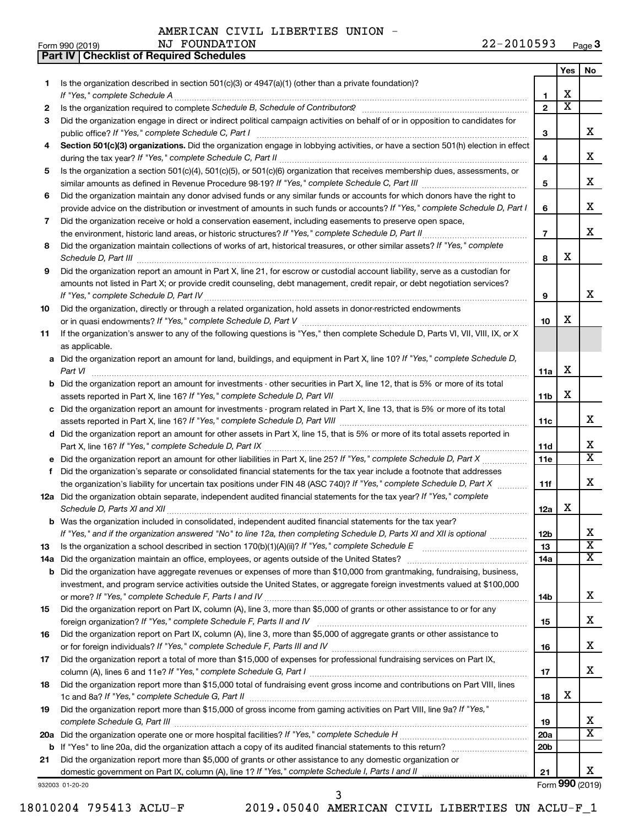**Part IV Checklist of Required Schedules**

NJ FOUNDATION

|     |                                                                                                                                       |                 | Yes | No.                     |
|-----|---------------------------------------------------------------------------------------------------------------------------------------|-----------------|-----|-------------------------|
| 1.  | Is the organization described in section 501(c)(3) or 4947(a)(1) (other than a private foundation)?                                   |                 |     |                         |
|     | If "Yes," complete Schedule A                                                                                                         | 1               | х   |                         |
| 2   |                                                                                                                                       | $\mathbf{2}$    | X   |                         |
| З   | Did the organization engage in direct or indirect political campaign activities on behalf of or in opposition to candidates for       |                 |     |                         |
|     |                                                                                                                                       | 3               |     | x                       |
| 4   | Section 501(c)(3) organizations. Did the organization engage in lobbying activities, or have a section 501(h) election in effect      |                 |     |                         |
|     |                                                                                                                                       | 4               |     | х                       |
| 5   | Is the organization a section 501(c)(4), 501(c)(5), or 501(c)(6) organization that receives membership dues, assessments, or          |                 |     |                         |
|     |                                                                                                                                       | 5               |     | х                       |
| 6   | Did the organization maintain any donor advised funds or any similar funds or accounts for which donors have the right to             |                 |     |                         |
|     | provide advice on the distribution or investment of amounts in such funds or accounts? If "Yes," complete Schedule D, Part I          | 6               |     | x                       |
| 7   | Did the organization receive or hold a conservation easement, including easements to preserve open space,                             |                 |     | x                       |
|     | the environment, historic land areas, or historic structures? If "Yes," complete Schedule D, Part II                                  | $\overline{7}$  |     |                         |
| 8   | Did the organization maintain collections of works of art, historical treasures, or other similar assets? If "Yes," complete          |                 | х   |                         |
|     | Schedule D, Part III <b>Westerman Communication</b> Contract and Technical Communications and Technical Communications                | 8               |     |                         |
| 9   | Did the organization report an amount in Part X, line 21, for escrow or custodial account liability, serve as a custodian for         |                 |     |                         |
|     | amounts not listed in Part X; or provide credit counseling, debt management, credit repair, or debt negotiation services?             | 9               |     | x                       |
| 10  | Did the organization, directly or through a related organization, hold assets in donor-restricted endowments                          |                 |     |                         |
|     |                                                                                                                                       | 10              | х   |                         |
| 11  | If the organization's answer to any of the following questions is "Yes," then complete Schedule D, Parts VI, VII, VIII, IX, or X      |                 |     |                         |
|     | as applicable.                                                                                                                        |                 |     |                         |
|     | a Did the organization report an amount for land, buildings, and equipment in Part X, line 10? If "Yes," complete Schedule D,         |                 |     |                         |
|     |                                                                                                                                       | 11a             | х   |                         |
|     | <b>b</b> Did the organization report an amount for investments - other securities in Part X, line 12, that is 5% or more of its total |                 |     |                         |
|     |                                                                                                                                       | 11 <sub>b</sub> | х   |                         |
|     | c Did the organization report an amount for investments - program related in Part X, line 13, that is 5% or more of its total         |                 |     |                         |
|     |                                                                                                                                       | 11c             |     | х                       |
|     | d Did the organization report an amount for other assets in Part X, line 15, that is 5% or more of its total assets reported in       |                 |     |                         |
|     |                                                                                                                                       | 11d             |     | x                       |
|     |                                                                                                                                       | <b>11e</b>      |     | $\overline{\text{x}}$   |
| f   | Did the organization's separate or consolidated financial statements for the tax year include a footnote that addresses               |                 |     |                         |
|     | the organization's liability for uncertain tax positions under FIN 48 (ASC 740)? If "Yes," complete Schedule D, Part X                | 11f             |     | х                       |
|     | 12a Did the organization obtain separate, independent audited financial statements for the tax year? If "Yes," complete               |                 |     |                         |
|     |                                                                                                                                       | 12a             | x   |                         |
|     | <b>b</b> Was the organization included in consolidated, independent audited financial statements for the tax year?                    |                 |     |                         |
|     | If "Yes," and if the organization answered "No" to line 12a, then completing Schedule D, Parts XI and XII is optional                 | 12 <sub>b</sub> |     | х                       |
| 13  |                                                                                                                                       | 13              |     | $\overline{\textbf{x}}$ |
| 14a |                                                                                                                                       | 14a             |     | x                       |
|     | <b>b</b> Did the organization have aggregate revenues or expenses of more than \$10,000 from grantmaking, fundraising, business,      |                 |     |                         |
|     | investment, and program service activities outside the United States, or aggregate foreign investments valued at \$100,000            |                 |     | х                       |
|     |                                                                                                                                       | 14b             |     |                         |
| 15  | Did the organization report on Part IX, column (A), line 3, more than \$5,000 of grants or other assistance to or for any             | 15              |     | x                       |
|     | Did the organization report on Part IX, column (A), line 3, more than \$5,000 of aggregate grants or other assistance to              |                 |     |                         |
| 16  |                                                                                                                                       | 16              |     | x                       |
| 17  | Did the organization report a total of more than \$15,000 of expenses for professional fundraising services on Part IX,               |                 |     |                         |
|     |                                                                                                                                       | 17              |     | x                       |
| 18  | Did the organization report more than \$15,000 total of fundraising event gross income and contributions on Part VIII, lines          |                 |     |                         |
|     |                                                                                                                                       | 18              | х   |                         |
| 19  | Did the organization report more than \$15,000 of gross income from gaming activities on Part VIII, line 9a? If "Yes,"                |                 |     |                         |
|     |                                                                                                                                       | 19              |     | X                       |
|     |                                                                                                                                       | 20a             |     | $\overline{\text{X}}$   |
|     |                                                                                                                                       | 20 <sub>b</sub> |     |                         |
| 21  | Did the organization report more than \$5,000 of grants or other assistance to any domestic organization or                           |                 |     |                         |
|     |                                                                                                                                       | 21              |     | x                       |
|     | 932003 01-20-20                                                                                                                       |                 |     | Form 990 (2019)         |

18010204 795413 ACLU-F 2019.05040 AMERICAN CIVIL LIBERTIES UN ACLU-F\_1

3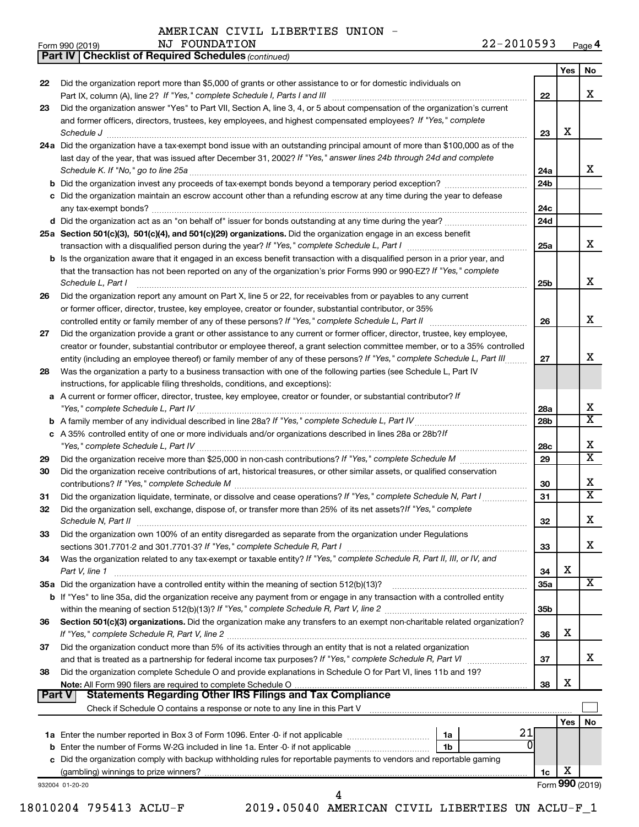|               | <b>Part IV   Checklist of Required Schedules (continued)</b>                                                                                                    |                 |     |                         |
|---------------|-----------------------------------------------------------------------------------------------------------------------------------------------------------------|-----------------|-----|-------------------------|
|               |                                                                                                                                                                 |                 | Yes | No                      |
| 22            | Did the organization report more than \$5,000 of grants or other assistance to or for domestic individuals on                                                   |                 |     |                         |
|               |                                                                                                                                                                 | 22              |     | X                       |
|               | Did the organization answer "Yes" to Part VII, Section A, line 3, 4, or 5 about compensation of the organization's current                                      |                 |     |                         |
| 23            |                                                                                                                                                                 |                 |     |                         |
|               | and former officers, directors, trustees, key employees, and highest compensated employees? If "Yes," complete                                                  |                 | X   |                         |
|               | Schedule J <b>Execute Schedule Schedule Schedule Schedule</b> J <b>Execute Schedule J</b>                                                                       | 23              |     |                         |
|               | 24a Did the organization have a tax-exempt bond issue with an outstanding principal amount of more than \$100,000 as of the                                     |                 |     |                         |
|               | last day of the year, that was issued after December 31, 2002? If "Yes," answer lines 24b through 24d and complete                                              |                 |     |                         |
|               |                                                                                                                                                                 | 24a             |     | x                       |
|               |                                                                                                                                                                 | 24 <sub>b</sub> |     |                         |
|               | c Did the organization maintain an escrow account other than a refunding escrow at any time during the year to defease                                          |                 |     |                         |
|               |                                                                                                                                                                 | 24c             |     |                         |
|               |                                                                                                                                                                 | 24d             |     |                         |
|               | 25a Section 501(c)(3), 501(c)(4), and 501(c)(29) organizations. Did the organization engage in an excess benefit                                                |                 |     |                         |
|               |                                                                                                                                                                 | 25a             |     | x                       |
|               | <b>b</b> Is the organization aware that it engaged in an excess benefit transaction with a disqualified person in a prior year, and                             |                 |     |                         |
|               | that the transaction has not been reported on any of the organization's prior Forms 990 or 990-EZ? If "Yes," complete                                           |                 |     |                         |
|               | Schedule L, Part I                                                                                                                                              | 25b             |     | х                       |
|               |                                                                                                                                                                 |                 |     |                         |
| 26            | Did the organization report any amount on Part X, line 5 or 22, for receivables from or payables to any current                                                 |                 |     |                         |
|               | or former officer, director, trustee, key employee, creator or founder, substantial contributor, or 35%                                                         |                 |     | х                       |
|               | controlled entity or family member of any of these persons? If "Yes," complete Schedule L, Part II                                                              | 26              |     |                         |
| 27            | Did the organization provide a grant or other assistance to any current or former officer, director, trustee, key employee,                                     |                 |     |                         |
|               | creator or founder, substantial contributor or employee thereof, a grant selection committee member, or to a 35% controlled                                     |                 |     |                         |
|               | entity (including an employee thereof) or family member of any of these persons? If "Yes," complete Schedule L, Part III                                        | 27              |     | x                       |
| 28            | Was the organization a party to a business transaction with one of the following parties (see Schedule L, Part IV                                               |                 |     |                         |
|               | instructions, for applicable filing thresholds, conditions, and exceptions):                                                                                    |                 |     |                         |
| а             | A current or former officer, director, trustee, key employee, creator or founder, or substantial contributor? If                                                |                 |     |                         |
|               |                                                                                                                                                                 | 28a             |     | х                       |
| b             |                                                                                                                                                                 | 28 <sub>b</sub> |     | $\overline{\textbf{X}}$ |
|               | c A 35% controlled entity of one or more individuals and/or organizations described in lines 28a or 28b?/f                                                      |                 |     |                         |
|               |                                                                                                                                                                 | 28c             |     | х                       |
| 29            |                                                                                                                                                                 | 29              |     | X                       |
| 30            | Did the organization receive contributions of art, historical treasures, or other similar assets, or qualified conservation                                     |                 |     |                         |
|               |                                                                                                                                                                 | 30              |     | X                       |
| 31            | Did the organization liquidate, terminate, or dissolve and cease operations? If "Yes," complete Schedule N, Part I                                              | 31              |     | $\overline{\textbf{X}}$ |
|               |                                                                                                                                                                 |                 |     |                         |
| 32            | Did the organization sell, exchange, dispose of, or transfer more than 25% of its net assets? If "Yes," complete                                                |                 |     | Χ                       |
|               |                                                                                                                                                                 | 32              |     |                         |
| 33            | Did the organization own 100% of an entity disregarded as separate from the organization under Regulations                                                      |                 |     |                         |
|               |                                                                                                                                                                 | 33              |     | x                       |
| 34            | Was the organization related to any tax-exempt or taxable entity? If "Yes," complete Schedule R, Part II, III, or IV, and                                       |                 |     |                         |
|               | Part V, line 1                                                                                                                                                  | 34              | X   |                         |
|               | 35a Did the organization have a controlled entity within the meaning of section 512(b)(13)?                                                                     | 35a             |     | х                       |
|               | b If "Yes" to line 35a, did the organization receive any payment from or engage in any transaction with a controlled entity                                     |                 |     |                         |
|               |                                                                                                                                                                 | 35b             |     |                         |
| 36            | Section 501(c)(3) organizations. Did the organization make any transfers to an exempt non-charitable related organization?                                      |                 |     |                         |
|               |                                                                                                                                                                 | 36              | х   |                         |
| 37            | Did the organization conduct more than 5% of its activities through an entity that is not a related organization                                                |                 |     |                         |
|               |                                                                                                                                                                 | 37              |     | x                       |
| 38            | Did the organization complete Schedule O and provide explanations in Schedule O for Part VI, lines 11b and 19?                                                  |                 |     |                         |
|               |                                                                                                                                                                 | 38              | X   |                         |
| <b>Part V</b> |                                                                                                                                                                 |                 |     |                         |
|               | Check if Schedule O contains a response or note to any line in this Part V [11] [12] Check if Schedule O contains a response or note to any line in this Part V |                 |     |                         |
|               |                                                                                                                                                                 |                 | Yes | No                      |
|               | 21<br>1a                                                                                                                                                        |                 |     |                         |
| b             | Enter the number of Forms W-2G included in line 1a. Enter -0- if not applicable<br>1b                                                                           |                 |     |                         |
|               | c Did the organization comply with backup withholding rules for reportable payments to vendors and reportable gaming                                            |                 |     |                         |
|               |                                                                                                                                                                 | 1c              | х   |                         |
|               | 932004 01-20-20                                                                                                                                                 |                 |     | Form 990 (2019)         |
|               | 4                                                                                                                                                               |                 |     |                         |
|               |                                                                                                                                                                 |                 |     |                         |

18010204 795413 ACLU-F 2019.05040 AMERICAN CIVIL LIBERTIES UN ACLU-F\_1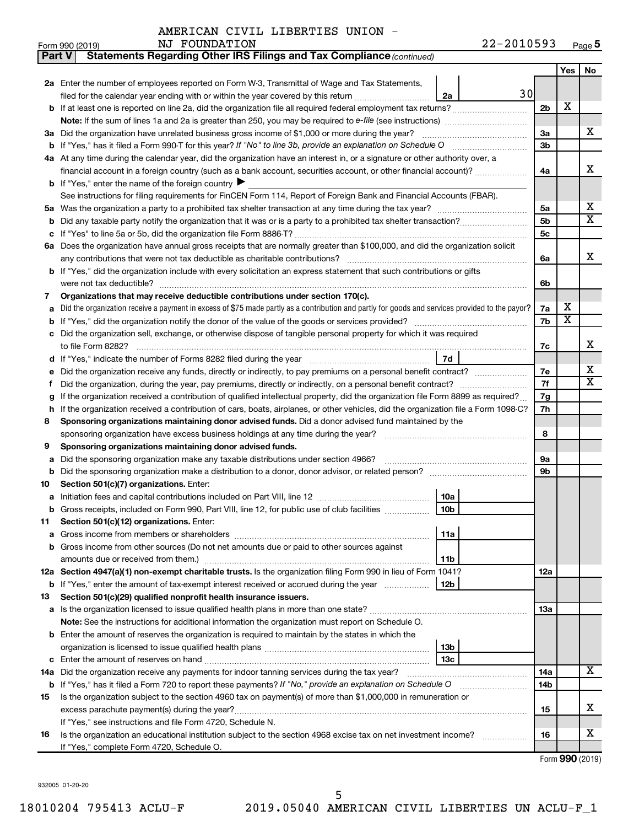| <b>Part V</b> | Statements Regarding Other IRS Filings and Tax Compliance (continued)                                                                           |     |                       |                              |  |  |  |  |  |
|---------------|-------------------------------------------------------------------------------------------------------------------------------------------------|-----|-----------------------|------------------------------|--|--|--|--|--|
|               |                                                                                                                                                 |     | Yes                   | No                           |  |  |  |  |  |
|               | 2a Enter the number of employees reported on Form W-3, Transmittal of Wage and Tax Statements,                                                  |     |                       |                              |  |  |  |  |  |
|               | 30<br>filed for the calendar year ending with or within the year covered by this return<br>2a                                                   |     |                       |                              |  |  |  |  |  |
| b             |                                                                                                                                                 | 2b  | X                     |                              |  |  |  |  |  |
|               | Note: If the sum of lines 1a and 2a is greater than 250, you may be required to e-file (see instructions) <i>marroummann</i>                    |     |                       |                              |  |  |  |  |  |
| За            | Did the organization have unrelated business gross income of \$1,000 or more during the year?                                                   | За  |                       | х                            |  |  |  |  |  |
| b             |                                                                                                                                                 | 3b  |                       |                              |  |  |  |  |  |
|               | 4a At any time during the calendar year, did the organization have an interest in, or a signature or other authority over, a                    |     |                       |                              |  |  |  |  |  |
|               | financial account in a foreign country (such as a bank account, securities account, or other financial account)?                                | 4a  |                       | х                            |  |  |  |  |  |
|               | <b>b</b> If "Yes," enter the name of the foreign country $\blacktriangleright$                                                                  |     |                       |                              |  |  |  |  |  |
|               | See instructions for filing requirements for FinCEN Form 114, Report of Foreign Bank and Financial Accounts (FBAR).                             |     |                       |                              |  |  |  |  |  |
| 5a            |                                                                                                                                                 | 5a  |                       | х<br>$\overline{\mathbf{X}}$ |  |  |  |  |  |
| b             |                                                                                                                                                 |     |                       |                              |  |  |  |  |  |
|               |                                                                                                                                                 | 5с  |                       |                              |  |  |  |  |  |
|               | 6a Does the organization have annual gross receipts that are normally greater than \$100,000, and did the organization solicit                  |     |                       |                              |  |  |  |  |  |
|               | any contributions that were not tax deductible as charitable contributions?                                                                     | 6a  |                       | х                            |  |  |  |  |  |
| b             | If "Yes," did the organization include with every solicitation an express statement that such contributions or gifts                            |     |                       |                              |  |  |  |  |  |
|               | were not tax deductible?                                                                                                                        | 6b  |                       |                              |  |  |  |  |  |
| 7             | Organizations that may receive deductible contributions under section 170(c).                                                                   |     |                       |                              |  |  |  |  |  |
| a             | Did the organization receive a payment in excess of \$75 made partly as a contribution and partly for goods and services provided to the payor? | 7a  | х                     |                              |  |  |  |  |  |
| b             |                                                                                                                                                 | 7b  | $\overline{\text{X}}$ |                              |  |  |  |  |  |
|               | Did the organization sell, exchange, or otherwise dispose of tangible personal property for which it was required                               |     |                       |                              |  |  |  |  |  |
|               |                                                                                                                                                 | 7c  |                       | х                            |  |  |  |  |  |
| d             | 7d                                                                                                                                              |     |                       |                              |  |  |  |  |  |
|               | Did the organization receive any funds, directly or indirectly, to pay premiums on a personal benefit contract?                                 | 7e  |                       | х                            |  |  |  |  |  |
| f             |                                                                                                                                                 | 7f  |                       | $\overline{\mathbf{X}}$      |  |  |  |  |  |
| g             | If the organization received a contribution of qualified intellectual property, did the organization file Form 8899 as required?                | 7g  |                       |                              |  |  |  |  |  |
| h             | If the organization received a contribution of cars, boats, airplanes, or other vehicles, did the organization file a Form 1098-C?              | 7h  |                       |                              |  |  |  |  |  |
| 8             | Sponsoring organizations maintaining donor advised funds. Did a donor advised fund maintained by the                                            |     |                       |                              |  |  |  |  |  |
|               |                                                                                                                                                 | 8   |                       |                              |  |  |  |  |  |
| 9             | Sponsoring organizations maintaining donor advised funds.                                                                                       |     |                       |                              |  |  |  |  |  |
| а             | Did the sponsoring organization make any taxable distributions under section 4966?                                                              | 9а  |                       |                              |  |  |  |  |  |
| b             |                                                                                                                                                 | 9b  |                       |                              |  |  |  |  |  |
| 10            | Section 501(c)(7) organizations. Enter:                                                                                                         |     |                       |                              |  |  |  |  |  |
| а             | 10a                                                                                                                                             |     |                       |                              |  |  |  |  |  |
|               | Gross receipts, included on Form 990, Part VIII, line 12, for public use of club facilities<br>10b                                              |     |                       |                              |  |  |  |  |  |
| 11            | Section 501(c)(12) organizations. Enter:<br>11a                                                                                                 |     |                       |                              |  |  |  |  |  |
| а<br>b        | Gross income from other sources (Do not net amounts due or paid to other sources against                                                        |     |                       |                              |  |  |  |  |  |
|               | amounts due or received from them.)<br>11b                                                                                                      |     |                       |                              |  |  |  |  |  |
|               | 12a Section 4947(a)(1) non-exempt charitable trusts. Is the organization filing Form 990 in lieu of Form 1041?                                  | 12a |                       |                              |  |  |  |  |  |
|               | b If "Yes," enter the amount of tax-exempt interest received or accrued during the year<br>12b                                                  |     |                       |                              |  |  |  |  |  |
| 13            | Section 501(c)(29) qualified nonprofit health insurance issuers.                                                                                |     |                       |                              |  |  |  |  |  |
|               | a Is the organization licensed to issue qualified health plans in more than one state?                                                          | 13a |                       |                              |  |  |  |  |  |
|               | <b>Note:</b> See the instructions for additional information the organization must report on Schedule O.                                        |     |                       |                              |  |  |  |  |  |
| b             | Enter the amount of reserves the organization is required to maintain by the states in which the                                                |     |                       |                              |  |  |  |  |  |
|               | 13b                                                                                                                                             |     |                       |                              |  |  |  |  |  |
| с             | 13c                                                                                                                                             |     |                       |                              |  |  |  |  |  |
|               | 14a Did the organization receive any payments for indoor tanning services during the tax year?                                                  | 14a |                       | Χ                            |  |  |  |  |  |
|               | <b>b</b> If "Yes," has it filed a Form 720 to report these payments? If "No," provide an explanation on Schedule O                              | 14b |                       |                              |  |  |  |  |  |
| 15            | Is the organization subject to the section 4960 tax on payment(s) of more than \$1,000,000 in remuneration or                                   |     |                       |                              |  |  |  |  |  |
|               | excess parachute payment(s) during the year?                                                                                                    | 15  |                       | х                            |  |  |  |  |  |
|               | If "Yes," see instructions and file Form 4720, Schedule N.                                                                                      |     |                       |                              |  |  |  |  |  |
| 16            | Is the organization an educational institution subject to the section 4968 excise tax on net investment income?                                 | 16  |                       | x                            |  |  |  |  |  |
|               | If "Yes," complete Form 4720, Schedule O.                                                                                                       |     |                       |                              |  |  |  |  |  |

Form (2019) **990**

932005 01-20-20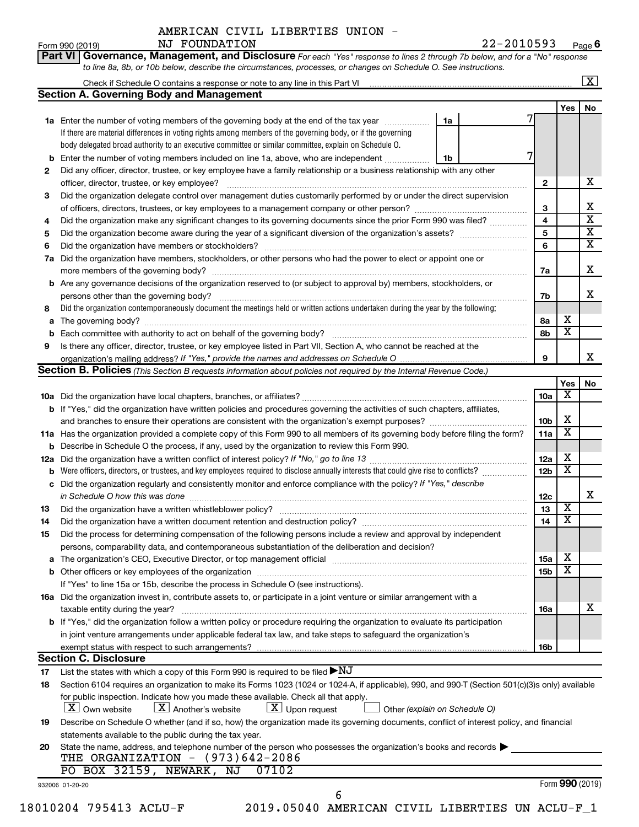**Part VI** Governance, Management, and Disclosure For each "Yes" response to lines 2 through 7b below, and for a "No" response *to line 8a, 8b, or 10b below, describe the circumstances, processes, or changes on Schedule O. See instructions.*

|     | Check if Schedule O contains a response or note to any line in this Part VI [1] [1] [1] [1] [1] [1] [1] [1] [1                                                                                                                 |    |                 |                         | $\mathbf{X}$            |
|-----|--------------------------------------------------------------------------------------------------------------------------------------------------------------------------------------------------------------------------------|----|-----------------|-------------------------|-------------------------|
|     | <b>Section A. Governing Body and Management</b>                                                                                                                                                                                |    |                 |                         |                         |
|     |                                                                                                                                                                                                                                |    |                 | Yes                     | No                      |
|     | 1a Enter the number of voting members of the governing body at the end of the tax year                                                                                                                                         | 1a |                 |                         |                         |
|     | If there are material differences in voting rights among members of the governing body, or if the governing                                                                                                                    |    |                 |                         |                         |
|     | body delegated broad authority to an executive committee or similar committee, explain on Schedule O.                                                                                                                          |    |                 |                         |                         |
| b   | Enter the number of voting members included on line 1a, above, who are independent                                                                                                                                             | 1b |                 |                         |                         |
| 2   | Did any officer, director, trustee, or key employee have a family relationship or a business relationship with any other                                                                                                       |    |                 |                         |                         |
|     | officer, director, trustee, or key employee?                                                                                                                                                                                   |    | $\mathbf{2}$    |                         | x                       |
| 3   | Did the organization delegate control over management duties customarily performed by or under the direct supervision                                                                                                          |    |                 |                         |                         |
|     |                                                                                                                                                                                                                                |    | 3               |                         |                         |
| 4   | Did the organization make any significant changes to its governing documents since the prior Form 990 was filed?                                                                                                               |    | 4               |                         | $\overline{\textbf{X}}$ |
| 5   |                                                                                                                                                                                                                                |    | 5               |                         |                         |
| 6   |                                                                                                                                                                                                                                |    | 6               |                         |                         |
| 7a  | Did the organization have members, stockholders, or other persons who had the power to elect or appoint one or                                                                                                                 |    |                 |                         |                         |
|     |                                                                                                                                                                                                                                |    | 7a              |                         | x                       |
| b   | Are any governance decisions of the organization reserved to (or subject to approval by) members, stockholders, or                                                                                                             |    |                 |                         |                         |
|     |                                                                                                                                                                                                                                |    | 7b              |                         | x                       |
| 8   | Did the organization contemporaneously document the meetings held or written actions undertaken during the year by the following:                                                                                              |    |                 |                         |                         |
| а   |                                                                                                                                                                                                                                |    | 8а              | х                       |                         |
| b   |                                                                                                                                                                                                                                |    | 8b              | $\overline{\textbf{x}}$ |                         |
| 9   | Is there any officer, director, trustee, or key employee listed in Part VII, Section A, who cannot be reached at the                                                                                                           |    |                 |                         |                         |
|     |                                                                                                                                                                                                                                |    | 9               |                         |                         |
|     | <b>Section B. Policies</b> (This Section B requests information about policies not required by the Internal Revenue Code.)                                                                                                     |    |                 |                         |                         |
|     |                                                                                                                                                                                                                                |    |                 | Yes                     | No                      |
|     |                                                                                                                                                                                                                                |    | 10a             | х                       |                         |
|     | <b>b</b> If "Yes," did the organization have written policies and procedures governing the activities of such chapters, affiliates,                                                                                            |    |                 |                         |                         |
|     |                                                                                                                                                                                                                                |    | 10 <sub>b</sub> | X                       |                         |
|     | 11a Has the organization provided a complete copy of this Form 990 to all members of its governing body before filing the form?                                                                                                |    | 11a             | $\overline{\textbf{x}}$ |                         |
|     | <b>b</b> Describe in Schedule O the process, if any, used by the organization to review this Form 990.                                                                                                                         |    |                 |                         |                         |
| 12a |                                                                                                                                                                                                                                |    | 12a             | х                       |                         |
| b   | Were officers, directors, or trustees, and key employees required to disclose annually interests that could give rise to conflicts?                                                                                            |    | 12 <sub>b</sub> | х                       |                         |
| с   | Did the organization regularly and consistently monitor and enforce compliance with the policy? If "Yes," describe                                                                                                             |    |                 |                         |                         |
|     |                                                                                                                                                                                                                                |    | 12c             |                         |                         |
| 13  |                                                                                                                                                                                                                                |    | 13              | $\overline{\mathbf{X}}$ |                         |
| 14  | Did the organization have a written document retention and destruction policy? [11] manufaction model of the organization have a written document retention and destruction policy?                                            |    | 14              | $\overline{\mathbf{X}}$ |                         |
| 15  | Did the process for determining compensation of the following persons include a review and approval by independent                                                                                                             |    |                 |                         |                         |
|     | persons, comparability data, and contemporaneous substantiation of the deliberation and decision?                                                                                                                              |    |                 |                         |                         |
|     |                                                                                                                                                                                                                                |    |                 | х                       |                         |
| а   | The organization's CEO, Executive Director, or top management official [111] [12] manument content or organization's CEO, Executive Director, or top management official [11] manument content or or or or or or or or or or o |    | <b>15a</b>      | х                       |                         |
|     |                                                                                                                                                                                                                                |    | 15 <sub>b</sub> |                         |                         |
|     | If "Yes" to line 15a or 15b, describe the process in Schedule O (see instructions).                                                                                                                                            |    |                 |                         |                         |
|     | 16a Did the organization invest in, contribute assets to, or participate in a joint venture or similar arrangement with a                                                                                                      |    |                 |                         |                         |
|     | taxable entity during the year?                                                                                                                                                                                                |    | 16a             |                         |                         |
|     | b If "Yes," did the organization follow a written policy or procedure requiring the organization to evaluate its participation                                                                                                 |    |                 |                         |                         |
|     | in joint venture arrangements under applicable federal tax law, and take steps to safeguard the organization's                                                                                                                 |    |                 |                         |                         |
|     | exempt status with respect to such arrangements?                                                                                                                                                                               |    | 16b             |                         |                         |
|     | <b>Section C. Disclosure</b>                                                                                                                                                                                                   |    |                 |                         |                         |
| 17  | List the states with which a copy of this Form 990 is required to be filed $\blacktriangleright\text{NJ}$                                                                                                                      |    |                 |                         |                         |
| 18  | Section 6104 requires an organization to make its Forms 1023 (1024 or 1024-A, if applicable), 990, and 990-T (Section 501(c)(3)s only) available                                                                               |    |                 |                         |                         |
|     | for public inspection. Indicate how you made these available. Check all that apply.                                                                                                                                            |    |                 |                         |                         |
|     | $\lfloor x \rfloor$ Upon request<br><b>X</b> Own website<br>$\lfloor X \rfloor$ Another's website<br>Other (explain on Schedule O)                                                                                             |    |                 |                         |                         |
| 19  | Describe on Schedule O whether (and if so, how) the organization made its governing documents, conflict of interest policy, and financial                                                                                      |    |                 |                         |                         |
|     | statements available to the public during the tax year.                                                                                                                                                                        |    |                 |                         |                         |
| 20  | State the name, address, and telephone number of the person who possesses the organization's books and records<br>THE ORGANIZATION - (973)642-2086                                                                             |    |                 |                         |                         |
|     | PO BOX 32159, NEWARK, NJ<br>07102                                                                                                                                                                                              |    |                 |                         |                         |
|     | 932006 01-20-20                                                                                                                                                                                                                |    |                 | Form 990 (2019)         |                         |
|     | 6                                                                                                                                                                                                                              |    |                 |                         |                         |
|     | 18010204 795413 ACLU-F<br>2019.05040 AMERICAN CIVIL LIBERTIES UN ACLU-F_1                                                                                                                                                      |    |                 |                         |                         |
|     |                                                                                                                                                                                                                                |    |                 |                         |                         |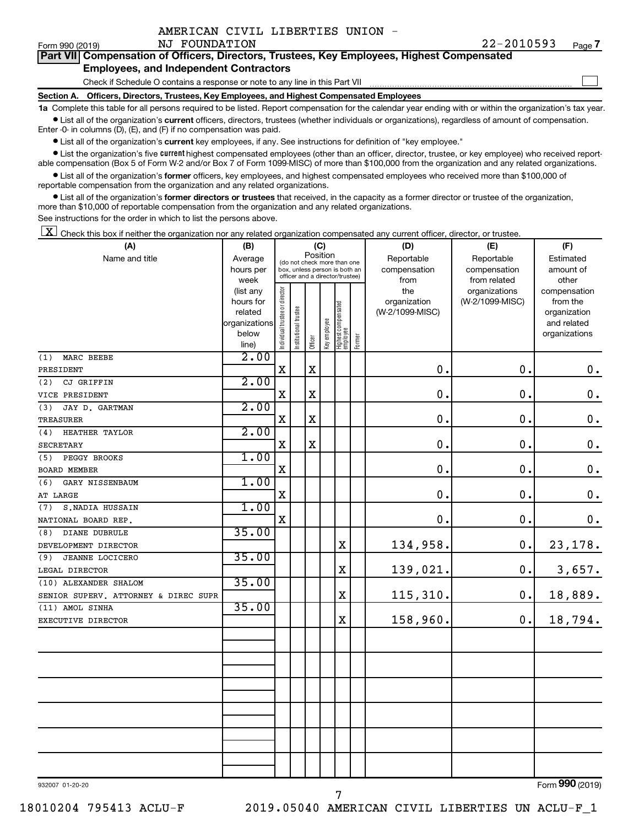|  | AMERICAN CIVIL LIBERTIES UNION |  |
|--|--------------------------------|--|
|  |                                |  |

 $\Box$ 

|  | Part VII Compensation of Officers, Directors, Trustees, Key Employees, Highest Compensated |  |  |  |  |
|--|--------------------------------------------------------------------------------------------|--|--|--|--|
|  | <b>Employees, and Independent Contractors</b>                                              |  |  |  |  |

Check if Schedule O contains a response or note to any line in this Part VII

**Section A. Officers, Directors, Trustees, Key Employees, and Highest Compensated Employees**

**1a**  Complete this table for all persons required to be listed. Report compensation for the calendar year ending with or within the organization's tax year.  $\bullet$  List all of the organization's current officers, directors, trustees (whether individuals or organizations), regardless of amount of compensation.

Enter -0- in columns (D), (E), and (F) if no compensation was paid.

**•** List all of the organization's current key employees, if any. See instructions for definition of "key employee."

• List the organization's five *current* highest compensated employees (other than an officer, director, trustee, or key employee) who received reportable compensation (Box 5 of Form W-2 and/or Box 7 of Form 1099-MISC) of more than \$100,000 from the organization and any related organizations.

 $\bullet$  List all of the organization's former officers, key employees, and highest compensated employees who received more than \$100,000 of reportable compensation from the organization and any related organizations.

**•** List all of the organization's former directors or trustees that received, in the capacity as a former director or trustee of the organization, more than \$10,000 of reportable compensation from the organization and any related organizations.

See instructions for the order in which to list the persons above.

 $\boxed{\textbf{X}}$  Check this box if neither the organization nor any related organization compensated any current officer, director, or trustee.

| (A)                                  | (B)                    |                                |                 |                                                                  | (C)          |                                 |        | (D)                 | (E)                              | (F)                      |
|--------------------------------------|------------------------|--------------------------------|-----------------|------------------------------------------------------------------|--------------|---------------------------------|--------|---------------------|----------------------------------|--------------------------|
| Name and title                       | Average                |                                |                 | Position<br>(do not check more than one                          |              |                                 |        | Reportable          | Reportable                       | Estimated                |
|                                      | hours per              |                                |                 | box, unless person is both an<br>officer and a director/trustee) |              |                                 |        | compensation        | compensation                     | amount of                |
|                                      | week                   |                                |                 |                                                                  |              |                                 |        | from                | from related                     | other                    |
|                                      | (list any<br>hours for |                                |                 |                                                                  |              |                                 |        | the<br>organization | organizations<br>(W-2/1099-MISC) | compensation<br>from the |
|                                      | related                |                                |                 |                                                                  |              |                                 |        | (W-2/1099-MISC)     |                                  | organization             |
|                                      | organizations          |                                | trustee         |                                                                  |              |                                 |        |                     |                                  | and related              |
|                                      | below                  | Individual trustee or director | Institutional t |                                                                  | Key employee | Highest compensated<br>employee |        |                     |                                  | organizations            |
|                                      | line)                  |                                |                 | Officer                                                          |              |                                 | Former |                     |                                  |                          |
| MARC BEEBE<br>(1)                    | 2.00                   |                                |                 |                                                                  |              |                                 |        |                     |                                  |                          |
| PRESIDENT                            |                        | X                              |                 | $\mathbf X$                                                      |              |                                 |        | $\mathbf 0$ .       | 0.                               | $0$ .                    |
| (2)<br>CJ GRIFFIN                    | 2.00                   |                                |                 |                                                                  |              |                                 |        |                     |                                  |                          |
| VICE PRESIDENT                       |                        | $\mathbf X$                    |                 | $\mathbf X$                                                      |              |                                 |        | $\mathbf 0$         | $\mathbf 0$ .                    | $\mathbf 0$ .            |
| JAY D. GARTMAN<br>(3)                | 2.00                   |                                |                 |                                                                  |              |                                 |        |                     |                                  |                          |
| <b>TREASURER</b>                     |                        | X                              |                 | $\mathbf X$                                                      |              |                                 |        | $\mathbf 0$ .       | $\mathbf 0$ .                    | $\boldsymbol{0}$ .       |
| (4)<br>HEATHER TAYLOR                | 2.00                   |                                |                 |                                                                  |              |                                 |        |                     |                                  |                          |
| <b>SECRETARY</b>                     |                        | X                              |                 | $\mathbf X$                                                      |              |                                 |        | $\mathbf 0$ .       | $\mathbf 0$ .                    | $\mathbf 0$ .            |
| PEGGY BROOKS<br>(5)                  | 1.00                   |                                |                 |                                                                  |              |                                 |        |                     |                                  |                          |
| <b>BOARD MEMBER</b>                  |                        | X                              |                 |                                                                  |              |                                 |        | $\mathbf 0$ .       | $\mathbf 0$ .                    | $\boldsymbol{0}$ .       |
| GARY NISSENBAUM<br>(6)               | 1.00                   |                                |                 |                                                                  |              |                                 |        |                     |                                  |                          |
| AT LARGE                             |                        | X                              |                 |                                                                  |              |                                 |        | $\mathbf 0$         | $\mathbf 0$                      | $\mathbf 0$ .            |
| S.NADIA HUSSAIN<br>(7)               | 1.00                   |                                |                 |                                                                  |              |                                 |        |                     |                                  |                          |
| NATIONAL BOARD REP.                  |                        | X                              |                 |                                                                  |              |                                 |        | $\mathbf 0$ .       | $\mathbf 0$ .                    | $\mathbf 0$ .            |
| DIANE DUBRULE<br>(8)                 | 35.00                  |                                |                 |                                                                  |              |                                 |        |                     |                                  |                          |
| DEVELOPMENT DIRECTOR                 |                        |                                |                 |                                                                  |              | X                               |        | 134,958.            | 0.                               | 23, 178.                 |
| <b>JEANNE LOCICERO</b><br>(9)        | 35.00                  |                                |                 |                                                                  |              |                                 |        |                     |                                  |                          |
| LEGAL DIRECTOR                       |                        |                                |                 |                                                                  |              | $\mathbf x$                     |        | 139,021.            | 0.                               | 3,657.                   |
| (10) ALEXANDER SHALOM                | 35.00                  |                                |                 |                                                                  |              |                                 |        |                     |                                  |                          |
| SENIOR SUPERV. ATTORNEY & DIREC SUPR |                        |                                |                 |                                                                  |              | X                               |        | 115,310.            | 0.                               | 18,889.                  |
| (11) AMOL SINHA                      | 35.00                  |                                |                 |                                                                  |              |                                 |        |                     |                                  |                          |
| EXECUTIVE DIRECTOR                   |                        |                                |                 |                                                                  |              | X                               |        | 158,960.            | 0.                               | 18,794.                  |
|                                      |                        |                                |                 |                                                                  |              |                                 |        |                     |                                  |                          |
|                                      |                        |                                |                 |                                                                  |              |                                 |        |                     |                                  |                          |
|                                      |                        |                                |                 |                                                                  |              |                                 |        |                     |                                  |                          |
|                                      |                        |                                |                 |                                                                  |              |                                 |        |                     |                                  |                          |
|                                      |                        |                                |                 |                                                                  |              |                                 |        |                     |                                  |                          |
|                                      |                        |                                |                 |                                                                  |              |                                 |        |                     |                                  |                          |
|                                      |                        |                                |                 |                                                                  |              |                                 |        |                     |                                  |                          |
|                                      |                        |                                |                 |                                                                  |              |                                 |        |                     |                                  |                          |
|                                      |                        |                                |                 |                                                                  |              |                                 |        |                     |                                  |                          |

932007 01-20-20

7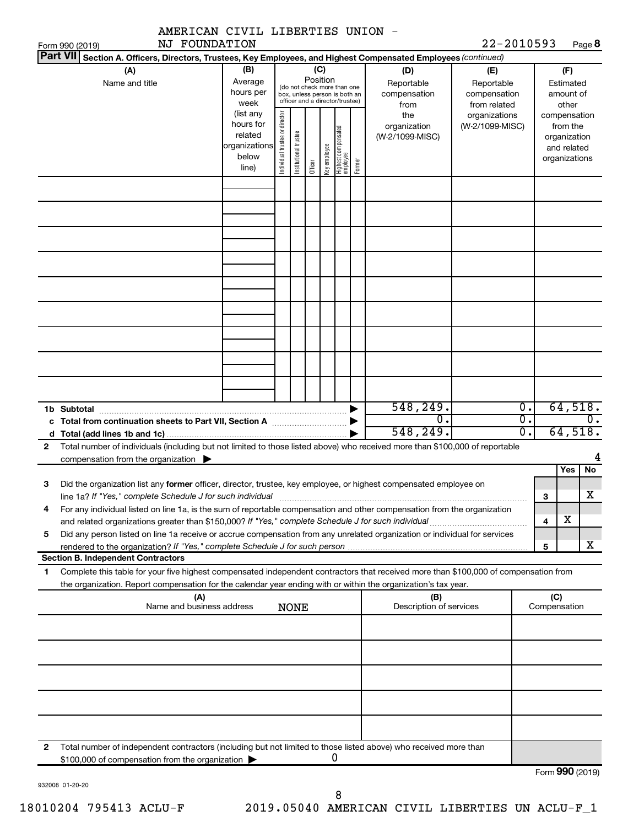|                 | AMERICAN CIVIL LIBERTIES UNION                                                                                                                                                                                                                                                                                               |                                                                      |                                |                       |          |              |                                                                                                 |        |                                            |                                                   |                                                       |                     |                                                                          |                           |
|-----------------|------------------------------------------------------------------------------------------------------------------------------------------------------------------------------------------------------------------------------------------------------------------------------------------------------------------------------|----------------------------------------------------------------------|--------------------------------|-----------------------|----------|--------------|-------------------------------------------------------------------------------------------------|--------|--------------------------------------------|---------------------------------------------------|-------------------------------------------------------|---------------------|--------------------------------------------------------------------------|---------------------------|
| <b>Part VII</b> | NJ FOUNDATION<br>Form 990 (2019)<br>Section A. Officers, Directors, Trustees, Key Employees, and Highest Compensated Employees (continued)                                                                                                                                                                                   |                                                                      |                                |                       |          |              |                                                                                                 |        |                                            | 22-2010593                                        |                                                       |                     |                                                                          | Page 8                    |
|                 | (A)<br>Name and title                                                                                                                                                                                                                                                                                                        | (B)<br>Average<br>hours per<br>week                                  |                                |                       | Position | (C)          | (do not check more than one<br>box, unless person is both an<br>officer and a director/trustee) |        | (D)<br>Reportable<br>compensation<br>from  | (E)<br>Reportable<br>compensation<br>from related |                                                       |                     | (F)<br>Estimated<br>amount of<br>other                                   |                           |
|                 |                                                                                                                                                                                                                                                                                                                              | (list any<br>hours for<br>related<br>organizations<br>below<br>line) | Individual trustee or director | Institutional trustee | Officer  | Key employee | Highest compensated<br>employee                                                                 | Former | the<br>organization<br>(W-2/1099-MISC)     | organizations<br>(W-2/1099-MISC)                  |                                                       |                     | compensation<br>from the<br>organization<br>and related<br>organizations |                           |
|                 |                                                                                                                                                                                                                                                                                                                              |                                                                      |                                |                       |          |              |                                                                                                 |        |                                            |                                                   |                                                       |                     |                                                                          |                           |
|                 |                                                                                                                                                                                                                                                                                                                              |                                                                      |                                |                       |          |              |                                                                                                 |        |                                            |                                                   |                                                       |                     |                                                                          |                           |
|                 |                                                                                                                                                                                                                                                                                                                              |                                                                      |                                |                       |          |              |                                                                                                 |        |                                            |                                                   |                                                       |                     |                                                                          |                           |
|                 |                                                                                                                                                                                                                                                                                                                              |                                                                      |                                |                       |          |              |                                                                                                 |        |                                            |                                                   |                                                       |                     |                                                                          |                           |
|                 |                                                                                                                                                                                                                                                                                                                              |                                                                      |                                |                       |          |              |                                                                                                 |        |                                            |                                                   |                                                       |                     |                                                                          |                           |
|                 | 1b Subtotal                                                                                                                                                                                                                                                                                                                  |                                                                      |                                |                       |          |              |                                                                                                 |        | 548, 249.<br>$\overline{0}$ .<br>548, 249. |                                                   | $\overline{0}$ .<br>$\overline{\mathfrak{o}}$ .<br>σ. |                     |                                                                          | 64,518.<br>0.<br>64,518.  |
| 2               | Total number of individuals (including but not limited to those listed above) who received more than \$100,000 of reportable<br>compensation from the organization $\blacktriangleright$                                                                                                                                     |                                                                      |                                |                       |          |              |                                                                                                 |        |                                            |                                                   |                                                       |                     |                                                                          |                           |
|                 |                                                                                                                                                                                                                                                                                                                              |                                                                      |                                |                       |          |              |                                                                                                 |        |                                            |                                                   |                                                       |                     | Yes                                                                      | No                        |
| З               | Did the organization list any former officer, director, trustee, key employee, or highest compensated employee on<br>line 1a? If "Yes," complete Schedule J for such individual                                                                                                                                              |                                                                      |                                |                       |          |              |                                                                                                 |        |                                            |                                                   |                                                       | 3                   |                                                                          | $\overline{\text{X}}$     |
| 4               | For any individual listed on line 1a, is the sum of reportable compensation and other compensation from the organization                                                                                                                                                                                                     |                                                                      |                                |                       |          |              |                                                                                                 |        |                                            |                                                   |                                                       | 4                   | x                                                                        |                           |
| 5               | Did any person listed on line 1a receive or accrue compensation from any unrelated organization or individual for services<br>rendered to the organization? If "Yes," complete Schedule J for such person manufactured to the organization? If "Yes," complete Schedule J for such person manufactured and the organization? |                                                                      |                                |                       |          |              |                                                                                                 |        |                                            |                                                   |                                                       |                     |                                                                          | x                         |
|                 | <b>Section B. Independent Contractors</b>                                                                                                                                                                                                                                                                                    |                                                                      |                                |                       |          |              |                                                                                                 |        |                                            |                                                   |                                                       | 5                   |                                                                          |                           |
| 1               | Complete this table for your five highest compensated independent contractors that received more than \$100,000 of compensation from<br>the organization. Report compensation for the calendar year ending with or within the organization's tax year.                                                                       |                                                                      |                                |                       |          |              |                                                                                                 |        |                                            |                                                   |                                                       |                     |                                                                          |                           |
|                 | (A)<br>Name and business address                                                                                                                                                                                                                                                                                             |                                                                      |                                | <b>NONE</b>           |          |              |                                                                                                 |        | (B)<br>Description of services             |                                                   |                                                       | (C)<br>Compensation |                                                                          |                           |
|                 |                                                                                                                                                                                                                                                                                                                              |                                                                      |                                |                       |          |              |                                                                                                 |        |                                            |                                                   |                                                       |                     |                                                                          |                           |
|                 |                                                                                                                                                                                                                                                                                                                              |                                                                      |                                |                       |          |              |                                                                                                 |        |                                            |                                                   |                                                       |                     |                                                                          |                           |
|                 |                                                                                                                                                                                                                                                                                                                              |                                                                      |                                |                       |          |              |                                                                                                 |        |                                            |                                                   |                                                       |                     |                                                                          |                           |
|                 |                                                                                                                                                                                                                                                                                                                              |                                                                      |                                |                       |          |              |                                                                                                 |        |                                            |                                                   |                                                       |                     |                                                                          |                           |
|                 |                                                                                                                                                                                                                                                                                                                              |                                                                      |                                |                       |          |              |                                                                                                 |        |                                            |                                                   |                                                       |                     |                                                                          |                           |
| 2               | Total number of independent contractors (including but not limited to those listed above) who received more than<br>\$100,000 of compensation from the organization                                                                                                                                                          |                                                                      |                                |                       |          |              | 0                                                                                               |        |                                            |                                                   |                                                       |                     |                                                                          | $T_{\text{c}}$ 000 (2010) |

932008 01-20-20

18010204 795413 ACLU-F 2019.05040 AMERICAN CIVIL LIBERTIES UN ACLU-F\_1 8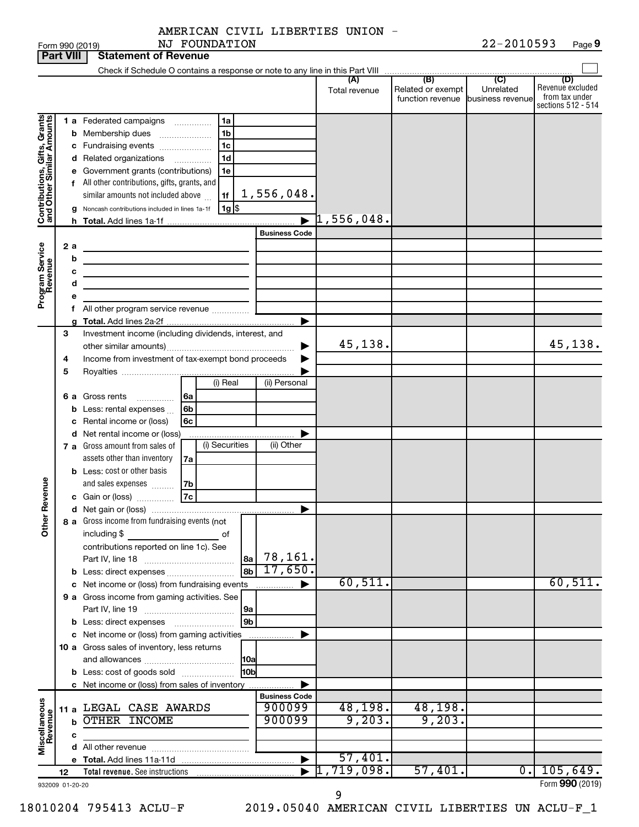AMERICAN CIVIL LIBERTIES UNION - NJ FOUNDATION

Form 990 (2019) Page **9**

|                              | <b>Part VIII</b> |   | <b>Statement of Revenue</b>                                                                                                                                                            |                      |                                  |                                                                 |                          |                                                                 |
|------------------------------|------------------|---|----------------------------------------------------------------------------------------------------------------------------------------------------------------------------------------|----------------------|----------------------------------|-----------------------------------------------------------------|--------------------------|-----------------------------------------------------------------|
|                              |                  |   |                                                                                                                                                                                        |                      |                                  |                                                                 |                          |                                                                 |
|                              |                  |   |                                                                                                                                                                                        |                      | (A)<br>Total revenue             | (B)<br>Related or exempt<br>function revenue   business revenue | (C)<br>Unrelated         | (D)<br>Revenue excluded<br>from tax under<br>sections 512 - 514 |
|                              |                  | b | <b>1 a</b> Federated campaigns<br>1a<br>.<br>1 <sub>b</sub><br>Membership dues<br>$\ldots \ldots \ldots \ldots \ldots$<br>1 <sub>c</sub><br>c Fundraising events                       |                      |                                  |                                                                 |                          |                                                                 |
| Contributions, Gifts, Grants |                  | е | 1 <sub>d</sub><br>d Related organizations<br>.<br>Government grants (contributions)<br>1e<br>f All other contributions, gifts, grants, and<br>similar amounts not included above<br>1f | 1,556,048.           |                                  |                                                                 |                          |                                                                 |
|                              |                  | a | $1g$ \$<br>Noncash contributions included in lines 1a-1f                                                                                                                               |                      | $\blacktriangleright$ 1,556,048. |                                                                 |                          |                                                                 |
|                              |                  |   |                                                                                                                                                                                        | <b>Business Code</b> |                                  |                                                                 |                          |                                                                 |
| Program Service<br>Revenue   | 2 a              |   |                                                                                                                                                                                        |                      |                                  |                                                                 |                          |                                                                 |
|                              |                  | b |                                                                                                                                                                                        |                      |                                  |                                                                 |                          |                                                                 |
|                              |                  | с | the control of the control of the control of the control of the control of                                                                                                             |                      |                                  |                                                                 |                          |                                                                 |
|                              |                  | d | the control of the control of the control of the control of                                                                                                                            |                      |                                  |                                                                 |                          |                                                                 |
|                              |                  |   | f All other program service revenue                                                                                                                                                    |                      |                                  |                                                                 |                          |                                                                 |
|                              |                  |   |                                                                                                                                                                                        | ▶                    |                                  |                                                                 |                          |                                                                 |
|                              | З                |   | Investment income (including dividends, interest, and                                                                                                                                  |                      | 45,138.                          |                                                                 |                          | 45,138.                                                         |
|                              | 4                |   | Income from investment of tax-exempt bond proceeds                                                                                                                                     |                      |                                  |                                                                 |                          |                                                                 |
|                              | 5                |   |                                                                                                                                                                                        |                      |                                  |                                                                 |                          |                                                                 |
|                              |                  |   | (i) Real<br><b>6 a</b> Gross rents<br>6a<br>.                                                                                                                                          | (ii) Personal        |                                  |                                                                 |                          |                                                                 |
|                              |                  | b | Less: rental expenses<br>6b                                                                                                                                                            |                      |                                  |                                                                 |                          |                                                                 |
|                              |                  | с | Rental income or (loss)<br>6c                                                                                                                                                          |                      |                                  |                                                                 |                          |                                                                 |
|                              |                  |   | d Net rental income or (loss)                                                                                                                                                          |                      |                                  |                                                                 |                          |                                                                 |
|                              |                  |   | (i) Securities<br>7 a Gross amount from sales of                                                                                                                                       | (ii) Other           |                                  |                                                                 |                          |                                                                 |
|                              |                  |   | assets other than inventory<br>7a                                                                                                                                                      |                      |                                  |                                                                 |                          |                                                                 |
|                              |                  |   | <b>b</b> Less: cost or other basis                                                                                                                                                     |                      |                                  |                                                                 |                          |                                                                 |
|                              |                  |   | and sales expenses<br>7b                                                                                                                                                               |                      |                                  |                                                                 |                          |                                                                 |
| Revenue                      |                  |   | 7c<br>c Gain or (loss)                                                                                                                                                                 |                      |                                  |                                                                 |                          |                                                                 |
|                              |                  |   |                                                                                                                                                                                        | ▶                    |                                  |                                                                 |                          |                                                                 |
| $\check{\epsilon}$           |                  |   | 8 a Gross income from fundraising events (not<br>including \$<br>оf<br>contributions reported on line 1c). See                                                                         |                      |                                  |                                                                 |                          |                                                                 |
|                              |                  |   | 8a                                                                                                                                                                                     | 78,161.              |                                  |                                                                 |                          |                                                                 |
|                              |                  |   | 8b                                                                                                                                                                                     | 17,650.              |                                  |                                                                 |                          |                                                                 |
|                              |                  |   | c Net income or (loss) from fundraising events                                                                                                                                         |                      | 60,511.                          |                                                                 |                          | 60,511.                                                         |
|                              |                  |   | 9 a Gross income from gaming activities. See                                                                                                                                           |                      |                                  |                                                                 |                          |                                                                 |
|                              |                  |   | 9a                                                                                                                                                                                     |                      |                                  |                                                                 |                          |                                                                 |
|                              |                  |   | 9 <sub>b</sub>                                                                                                                                                                         |                      |                                  |                                                                 |                          |                                                                 |
|                              |                  |   | c Net income or (loss) from gaming activities                                                                                                                                          |                      |                                  |                                                                 |                          |                                                                 |
|                              |                  |   | 10 a Gross sales of inventory, less returns<br> 10a                                                                                                                                    |                      |                                  |                                                                 |                          |                                                                 |
|                              |                  |   | l10bl<br><b>b</b> Less: cost of goods sold                                                                                                                                             |                      |                                  |                                                                 |                          |                                                                 |
|                              |                  |   | c Net income or (loss) from sales of inventory                                                                                                                                         |                      |                                  |                                                                 |                          |                                                                 |
|                              |                  |   |                                                                                                                                                                                        | <b>Business Code</b> |                                  |                                                                 |                          |                                                                 |
|                              |                  |   | 11 a LEGAL CASE AWARDS                                                                                                                                                                 | 900099               | 48, 198.                         | 48, 198.                                                        |                          |                                                                 |
| Miscellaneous<br>Revenue     |                  | b | OTHER INCOME                                                                                                                                                                           | 900099               | 9,203.                           | 9,203.                                                          |                          |                                                                 |
|                              |                  | с |                                                                                                                                                                                        |                      |                                  |                                                                 |                          |                                                                 |
|                              |                  |   |                                                                                                                                                                                        |                      |                                  |                                                                 |                          |                                                                 |
|                              |                  |   |                                                                                                                                                                                        | ▶                    | 57,401.<br>1,719,098.            | 57,401.                                                         | $\overline{\phantom{0}}$ | 105,649.                                                        |
|                              | 12               |   |                                                                                                                                                                                        |                      |                                  |                                                                 |                          | Form 990 (2019)                                                 |
| 932009 01-20-20              |                  |   |                                                                                                                                                                                        |                      |                                  |                                                                 |                          |                                                                 |

9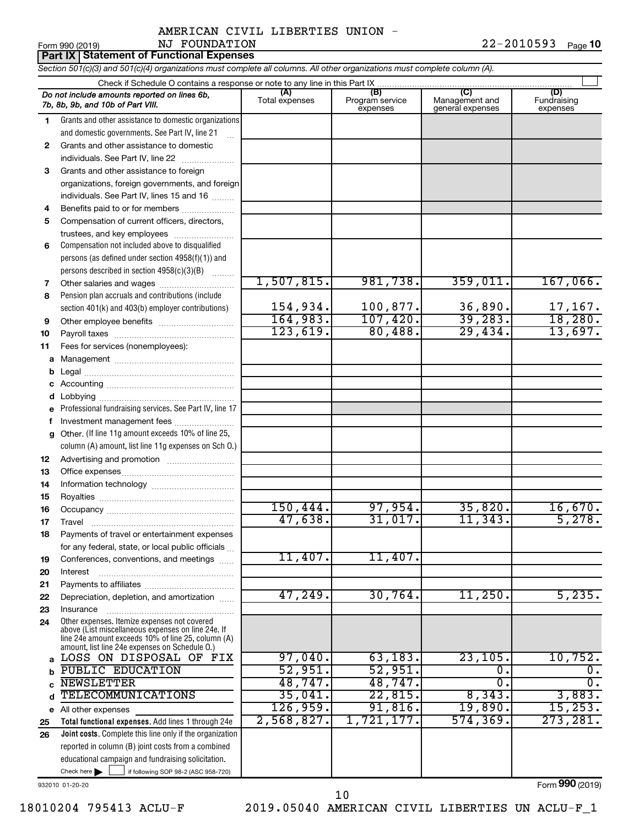**10**

# FOUNDATION 22-2010593

|          | Form 990 (2019)<br>NJ FOUNDATION                                                                                                                                                                           |                |                             |                                    | 22-2010593<br>Page 10   |
|----------|------------------------------------------------------------------------------------------------------------------------------------------------------------------------------------------------------------|----------------|-----------------------------|------------------------------------|-------------------------|
|          | <b>Part IX Statement of Functional Expenses</b>                                                                                                                                                            |                |                             |                                    |                         |
|          | Section 501(c)(3) and 501(c)(4) organizations must complete all columns. All other organizations must complete column (A).                                                                                 |                |                             |                                    |                         |
|          |                                                                                                                                                                                                            | (A)            | (B)                         | (C)                                | (D)                     |
|          | Do not include amounts reported on lines 6b,<br>7b, 8b, 9b, and 10b of Part VIII.                                                                                                                          | Total expenses | Program service<br>expenses | Management and<br>general expenses | Fundraising<br>expenses |
| 1        | Grants and other assistance to domestic organizations                                                                                                                                                      |                |                             |                                    |                         |
|          | and domestic governments. See Part IV, line 21                                                                                                                                                             |                |                             |                                    |                         |
| 2        | Grants and other assistance to domestic                                                                                                                                                                    |                |                             |                                    |                         |
|          |                                                                                                                                                                                                            |                |                             |                                    |                         |
| 3        | Grants and other assistance to foreign                                                                                                                                                                     |                |                             |                                    |                         |
|          | organizations, foreign governments, and foreign                                                                                                                                                            |                |                             |                                    |                         |
|          | individuals. See Part IV, lines 15 and 16                                                                                                                                                                  |                |                             |                                    |                         |
| 4        | Benefits paid to or for members                                                                                                                                                                            |                |                             |                                    |                         |
| 5        | Compensation of current officers, directors,                                                                                                                                                               |                |                             |                                    |                         |
|          | trustees, and key employees                                                                                                                                                                                |                |                             |                                    |                         |
| 6        | Compensation not included above to disqualified                                                                                                                                                            |                |                             |                                    |                         |
|          | persons (as defined under section 4958(f)(1)) and                                                                                                                                                          |                |                             |                                    |                         |
|          | persons described in section 4958(c)(3)(B)<br><b>Contractor</b>                                                                                                                                            |                |                             |                                    |                         |
| 7        |                                                                                                                                                                                                            | 1,507,815.     | 981,738.                    | 359,011.                           | 167,066.                |
| 8        | Pension plan accruals and contributions (include                                                                                                                                                           |                |                             |                                    |                         |
|          | section 401(k) and 403(b) employer contributions)                                                                                                                                                          | 154,934.       | 100,877.                    | 36,890.                            | 17,167.                 |
| 9        |                                                                                                                                                                                                            | 164,983.       | 107,420.                    | 39,283.                            | 18,280.                 |
| 10       |                                                                                                                                                                                                            | 123,619.       | 80,488.                     | 29,434.                            | 13,697.                 |
| 11       | Fees for services (nonemployees):                                                                                                                                                                          |                |                             |                                    |                         |
| а        |                                                                                                                                                                                                            |                |                             |                                    |                         |
| b        |                                                                                                                                                                                                            |                |                             |                                    |                         |
|          |                                                                                                                                                                                                            |                |                             |                                    |                         |
| d        |                                                                                                                                                                                                            |                |                             |                                    |                         |
| е        | Professional fundraising services. See Part IV, line 17                                                                                                                                                    |                |                             |                                    |                         |
| f.       | Investment management fees                                                                                                                                                                                 |                |                             |                                    |                         |
| g        | Other. (If line 11g amount exceeds 10% of line 25,                                                                                                                                                         |                |                             |                                    |                         |
|          | column (A) amount, list line 11g expenses on Sch O.)                                                                                                                                                       |                |                             |                                    |                         |
| 12       |                                                                                                                                                                                                            |                |                             |                                    |                         |
| 13       |                                                                                                                                                                                                            |                |                             |                                    |                         |
| 14       |                                                                                                                                                                                                            |                |                             |                                    |                         |
| 15<br>16 | Occupancv                                                                                                                                                                                                  | 150,444.       | 97,954.                     | 35,820.                            | 16,670.                 |
| 17       |                                                                                                                                                                                                            | 47,638.        | 31,017.                     | 11,343.                            | 5,278.                  |
| 18       | Payments of travel or entertainment expenses                                                                                                                                                               |                |                             |                                    |                         |
|          | for any federal, state, or local public officials                                                                                                                                                          |                |                             |                                    |                         |
| 19       | Conferences, conventions, and meetings                                                                                                                                                                     | 11,407.        | 11,407.                     |                                    |                         |
| 20       | Interest                                                                                                                                                                                                   |                |                             |                                    |                         |
| 21       |                                                                                                                                                                                                            |                |                             |                                    |                         |
| 22       | Depreciation, depletion, and amortization                                                                                                                                                                  | 47,249.        | 30,764.                     | $11,250$ .                         | 5,235.                  |
| 23       | Insurance                                                                                                                                                                                                  |                |                             |                                    |                         |
| 24       | Other expenses. Itemize expenses not covered<br>above (List miscellaneous expenses on line 24e. If<br>line 24e amount exceeds 10% of line 25, column (A)<br>amount. list line 24e expenses on Schedule O.) |                |                             |                                    |                         |
| a        | LOSS ON DISPOSAL OF FIX                                                                                                                                                                                    | 97,040.        | 63, 183.                    | 23, 105.                           | 10,752.                 |
|          | PUBLIC EDUCATION                                                                                                                                                                                           | 52,951.        | 52,951.                     | σ.                                 | 0.                      |
|          | <b>NEWSLETTER</b>                                                                                                                                                                                          | 48,747.        | 48,747.                     | σ.                                 | $\overline{0}$ .        |
| d        | <b>TELECOMMUNICATIONS</b>                                                                                                                                                                                  | 35,041.        | 22,815.                     | 8,343.                             | 3,883.                  |
|          | e All other expenses                                                                                                                                                                                       | 126,959.       | 91,816.                     | 19,890.                            | 15, 253.                |
| 25       | Total functional expenses. Add lines 1 through 24e                                                                                                                                                         | 2,568,827.     | 1,721,177.                  | 574, 369.                          | 273, 281.               |
| 26       | Joint costs. Complete this line only if the organization                                                                                                                                                   |                |                             |                                    |                         |
|          | reported in column (B) joint costs from a combined                                                                                                                                                         |                |                             |                                    |                         |
|          | educational campaign and fundraising solicitation.                                                                                                                                                         |                |                             |                                    |                         |

932010 01-20-20

Form (2019) **990**

Check here if following SOP 98-2 (ASC 958-720)

18010204 795413 ACLU-F 2019.05040 AMERICAN CIVIL LIBERTIES UN ACLU-F\_1

10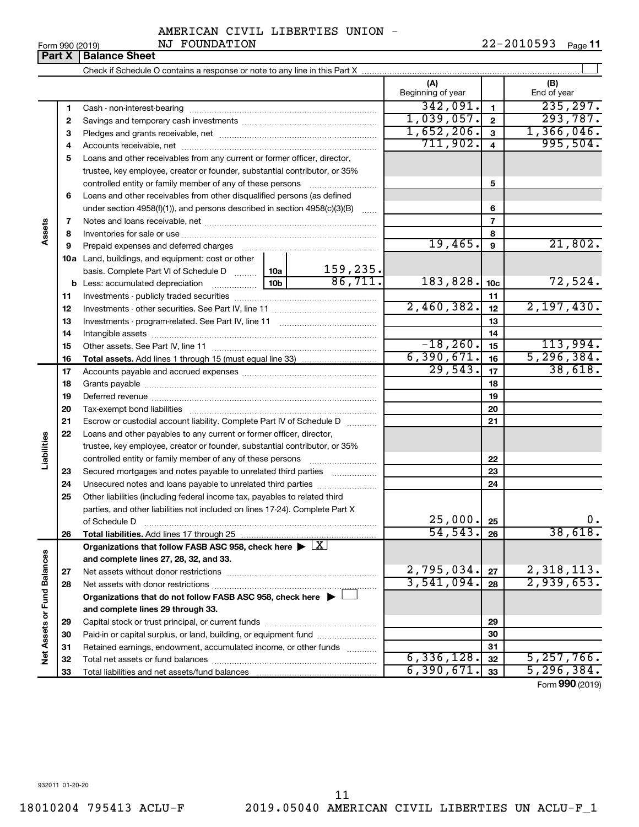| Form 990 (2019 |  |  |
|----------------|--|--|
|                |  |  |

**Part X** | Balance Sheet

### AMERICAN CIVIL LIBERTIES UNION -

NJ FOUNDATION

 $\perp$ Check if Schedule O contains a response or note to any line in this Part X **(A) (B)** Beginning of year  $\parallel$  | End of year 342,091. 235,297. **1 1** Cash - non-interest-bearing ~~~~~~~~~~~~~~~~~~~~~~~~~  $1,039,057$ .  $2$  293,787. **2 2** Savings and temporary cash investments ~~~~~~~~~~~~~~~~~~  $1,652,206.$   $3$   $1,366,046.$ **3 3** Pledges and grants receivable, net ~~~~~~~~~~~~~~~~~~~~~ 711,902. 995,504. **4 4** Accounts receivable, net ~~~~~~~~~~~~~~~~~~~~~~~~~~ **5** Loans and other receivables from any current or former officer, director, trustee, key employee, creator or founder, substantial contributor, or 35% controlled entity or family member of any of these persons ~~~~~~~~~ **5 6** Loans and other receivables from other disqualified persons (as defined under section 4958(f)(1)), and persons described in section  $4958(c)(3)(B)$  ...... **6 7 7** Notes and loans receivable, net ~~~~~~~~~~~~~~~~~~~~~~~ **Assets 8 8** Inventories for sale or use ~~~~~~~~~~~~~~~~~~~~~~~~~~ 19,465. 21,802. **9 9** Prepaid expenses and deferred charges ~~~~~~~~~~~~~~~~~~ **10 a** Land, buildings, and equipment: cost or other 159,235. basis. Complete Part VI of Schedule D  $\frac{1}{10}$  10a  $86, 711.$  183,828.  $10c$  72,524. **10c b** Less: accumulated depreciation  $\ldots$  [10b **11 11** Investments - publicly traded securities ~~~~~~~~~~~~~~~~~~~  $2,460,382.$   $12$   $2,197,430.$ **12 12** Investments - other securities. See Part IV, line 11 ~~~~~~~~~~~~~~ **13 13** Investments - program-related. See Part IV, line 11 ~~~~~~~~~~~~~ **14 14** Intangible assets ~~~~~~~~~~~~~~~~~~~~~~~~~~~~~~ Other assets. See Part IV, line 11 ~~~~~~~~~~~~~~~~~~~~~~  $-18,260$ .  $15$  113,994. **15 15**  $6,390,671.$  16  $5,296,384.$ **16 16 Total assets.**  Add lines 1 through 15 (must equal line 33) 29,543. 17 38,618. **17 17** Accounts payable and accrued expenses ~~~~~~~~~~~~~~~~~~ **18 18** Grants payable ~~~~~~~~~~~~~~~~~~~~~~~~~~~~~~~ **19 19** Deferred revenue ~~~~~~~~~~~~~~~~~~~~~~~~~~~~~~ **20 20** Tax-exempt bond liabilities ~~~~~~~~~~~~~~~~~~~~~~~~~ **21 21** Escrow or custodial account liability. Complete Part IV of Schedule D ........... **22** Loans and other payables to any current or former officer, director, **Liabilities** trustee, key employee, creator or founder, substantial contributor, or 35% **22** controlled entity or family member of any of these persons ~~~~~~~~~ **23** Secured mortgages and notes payable to unrelated third parties **23 24** Unsecured notes and loans payable to unrelated third parties **24 25** Other liabilities (including federal income tax, payables to related third parties, and other liabilities not included on lines 17-24). Complete Part X of Schedule D ~~~~~~~~~~~~~~~~~~~~~~~~~~~~~~~ 25,000. **25** 54,543. 38,618. **26 26 Total liabilities.**  Add lines 17 through 25 Organizations that follow FASB ASC 958, check here  $\blacktriangleright \boxed{\text{X}}$ Net Assets or Fund Balances **Net Assets or Fund Balances and complete lines 27, 28, 32, and 33.**  $2,795,034.$   $27$   $2,318,113.$ **27 27** Net assets without donor restrictions ~~~~~~~~~~~~~~~~~~~~ 3,541,094. 2,939,653. **28 28** Net assets with donor restrictions ~~~~~~~~~~~~~~~~~~~~~~ **Organizations that do not follow FASB ASC 958, check here** | † **and complete lines 29 through 33. 29 29** Capital stock or trust principal, or current funds ~~~~~~~~~~~~~~~ **30 30** Paid-in or capital surplus, or land, building, or equipment fund ....................... **31 31** Retained earnings, endowment, accumulated income, or other funds ............ Total net assets or fund balances ~~~~~~~~~~~~~~~~~~~~~~  $6,336,128.$   $32 \mid 5,257,766.$ **32 32**  $6,390,671.$   $33$  5, 296, 384. **33** Total liabilities and net assets/fund balances **33**

Form (2019) **990**

932011 01-20-20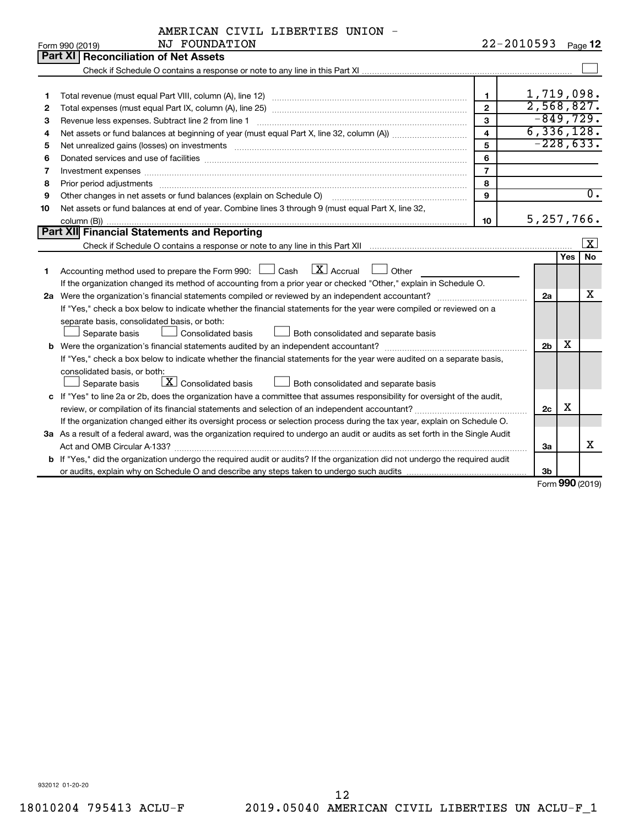|                | AMERICAN CIVIL LIBERTIES UNION |  |                |                |
|----------------|--------------------------------|--|----------------|----------------|
| M.T FOINDATION |                                |  | $22 - 2010593$ | D <sub>o</sub> |

|    | Form 990 (2019)<br>NJ FOUNDATION                                                                                                                                                                                               | 22-2010593              |                |     | Page 12             |
|----|--------------------------------------------------------------------------------------------------------------------------------------------------------------------------------------------------------------------------------|-------------------------|----------------|-----|---------------------|
|    | <b>Part XI Reconciliation of Net Assets</b>                                                                                                                                                                                    |                         |                |     |                     |
|    |                                                                                                                                                                                                                                |                         |                |     |                     |
|    |                                                                                                                                                                                                                                |                         |                |     |                     |
| 1  |                                                                                                                                                                                                                                | $\blacksquare$          | 1,719,098.     |     |                     |
| 2  |                                                                                                                                                                                                                                | $\overline{2}$          | 2,568,827.     |     |                     |
| З  | Revenue less expenses. Subtract line 2 from line 1                                                                                                                                                                             | 3                       | $-849,729.$    |     |                     |
| 4  |                                                                                                                                                                                                                                | $\overline{\mathbf{4}}$ | 6, 336, 128.   |     |                     |
| 5  | Net unrealized gains (losses) on investments [111] www.martime.community.community.community.community.communi                                                                                                                 | 5                       | $-228,633.$    |     |                     |
| 6  | Donated services and use of facilities [[111] matter contracts and all the services and use of facilities [[11                                                                                                                 | 6                       |                |     |                     |
| 7  | Investment expenses www.communication.communication.com/interaction.com/interaction.com/interaction.com/interaction.com/interaction.com/interaction.com/interaction.com/interaction.com/interaction.com/interaction.com/intera | $\overline{7}$          |                |     |                     |
| 8  | Prior period adjustments material contents and content of the content of the content of the content of the content of the content of the content of the content of the content of the content of the content of the content of | $\mathbf{a}$            |                |     |                     |
| 9  | Other changes in net assets or fund balances (explain on Schedule O)                                                                                                                                                           | $\mathbf{Q}$            |                |     | 0.                  |
| 10 | Net assets or fund balances at end of year. Combine lines 3 through 9 (must equal Part X, line 32,                                                                                                                             |                         |                |     |                     |
|    |                                                                                                                                                                                                                                | 10                      | 5, 257, 766.   |     |                     |
|    | Part XII Financial Statements and Reporting                                                                                                                                                                                    |                         |                |     |                     |
|    |                                                                                                                                                                                                                                |                         |                |     | $\lfloor x \rfloor$ |
|    |                                                                                                                                                                                                                                |                         |                | Yes | No                  |
| 1  | $\lfloor x \rfloor$ Accrual<br>Accounting method used to prepare the Form 990: [130] Cash<br>$\Box$ Other                                                                                                                      |                         |                |     |                     |
|    | If the organization changed its method of accounting from a prior year or checked "Other," explain in Schedule O.                                                                                                              |                         |                |     |                     |
|    |                                                                                                                                                                                                                                |                         | 2a             |     | x                   |
|    | If "Yes," check a box below to indicate whether the financial statements for the year were compiled or reviewed on a                                                                                                           |                         |                |     |                     |
|    | separate basis, consolidated basis, or both:                                                                                                                                                                                   |                         |                |     |                     |
|    | Both consolidated and separate basis<br>Separate basis<br>Consolidated basis                                                                                                                                                   |                         |                |     |                     |
|    |                                                                                                                                                                                                                                |                         | 2 <sub>b</sub> | х   |                     |
|    | If "Yes," check a box below to indicate whether the financial statements for the year were audited on a separate basis,                                                                                                        |                         |                |     |                     |
|    | consolidated basis, or both:                                                                                                                                                                                                   |                         |                |     |                     |
|    | $\lfloor x \rfloor$ Consolidated basis<br>Both consolidated and separate basis<br>Separate basis                                                                                                                               |                         |                |     |                     |
|    | c If "Yes" to line 2a or 2b, does the organization have a committee that assumes responsibility for oversight of the audit,                                                                                                    |                         |                |     |                     |
|    |                                                                                                                                                                                                                                |                         | 2c             | х   |                     |
|    | If the organization changed either its oversight process or selection process during the tax year, explain on Schedule O.                                                                                                      |                         |                |     |                     |
|    | 3a As a result of a federal award, was the organization required to undergo an audit or audits as set forth in the Single Audit                                                                                                |                         |                |     |                     |
|    |                                                                                                                                                                                                                                |                         | За             |     | x                   |
|    | b If "Yes," did the organization undergo the required audit or audits? If the organization did not undergo the required audit                                                                                                  |                         |                |     |                     |
|    |                                                                                                                                                                                                                                |                         | 3b             |     |                     |

Form (2019) **990**

932012 01-20-20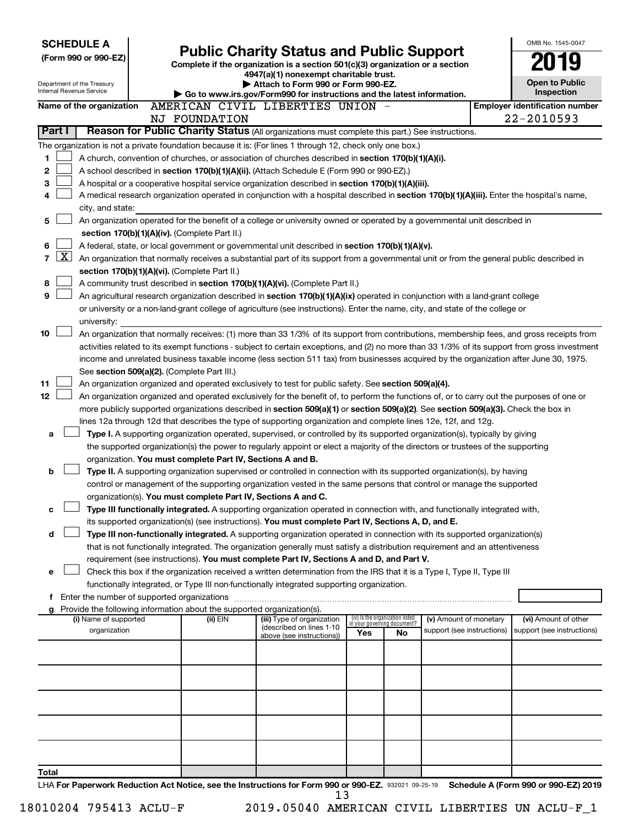| <b>SCHEDULE A</b>                                                                                                                                                   |                                                               |                                                                                                                                                                                                                                                                                            |     |                                                                |                            | OMB No. 1545-0047                          |
|---------------------------------------------------------------------------------------------------------------------------------------------------------------------|---------------------------------------------------------------|--------------------------------------------------------------------------------------------------------------------------------------------------------------------------------------------------------------------------------------------------------------------------------------------|-----|----------------------------------------------------------------|----------------------------|--------------------------------------------|
| (Form 990 or 990-EZ)                                                                                                                                                |                                                               | <b>Public Charity Status and Public Support</b><br>Complete if the organization is a section 501(c)(3) organization or a section                                                                                                                                                           |     |                                                                |                            |                                            |
|                                                                                                                                                                     |                                                               | 4947(a)(1) nonexempt charitable trust.                                                                                                                                                                                                                                                     |     |                                                                |                            |                                            |
| Department of the Treasury<br>Internal Revenue Service                                                                                                              |                                                               | Attach to Form 990 or Form 990-EZ.<br>Go to www.irs.gov/Form990 for instructions and the latest information.                                                                                                                                                                               |     |                                                                |                            | <b>Open to Public</b><br><b>Inspection</b> |
| Name of the organization                                                                                                                                            |                                                               | AMERICAN CIVIL LIBERTIES UNION -                                                                                                                                                                                                                                                           |     |                                                                |                            | <b>Employer identification number</b>      |
|                                                                                                                                                                     | NJ FOUNDATION                                                 |                                                                                                                                                                                                                                                                                            |     |                                                                |                            | 22-2010593                                 |
| Part I                                                                                                                                                              |                                                               | Reason for Public Charity Status (All organizations must complete this part.) See instructions.                                                                                                                                                                                            |     |                                                                |                            |                                            |
| The organization is not a private foundation because it is: (For lines 1 through 12, check only one box.)                                                           |                                                               |                                                                                                                                                                                                                                                                                            |     |                                                                |                            |                                            |
| 1<br>2                                                                                                                                                              |                                                               | A church, convention of churches, or association of churches described in section 170(b)(1)(A)(i).<br>A school described in section 170(b)(1)(A)(ii). (Attach Schedule E (Form 990 or 990-EZ).)                                                                                            |     |                                                                |                            |                                            |
| 3                                                                                                                                                                   |                                                               | A hospital or a cooperative hospital service organization described in section 170(b)(1)(A)(iii).                                                                                                                                                                                          |     |                                                                |                            |                                            |
| 4                                                                                                                                                                   |                                                               | A medical research organization operated in conjunction with a hospital described in section 170(b)(1)(A)(iii). Enter the hospital's name,                                                                                                                                                 |     |                                                                |                            |                                            |
| city, and state:                                                                                                                                                    |                                                               |                                                                                                                                                                                                                                                                                            |     |                                                                |                            |                                            |
| 5                                                                                                                                                                   |                                                               | An organization operated for the benefit of a college or university owned or operated by a governmental unit described in                                                                                                                                                                  |     |                                                                |                            |                                            |
| section 170(b)(1)(A)(iv). (Complete Part II.)                                                                                                                       |                                                               |                                                                                                                                                                                                                                                                                            |     |                                                                |                            |                                            |
| 6<br>$\mathbf{X}$<br>7<br>An organization that normally receives a substantial part of its support from a governmental unit or from the general public described in |                                                               | A federal, state, or local government or governmental unit described in section 170(b)(1)(A)(v).                                                                                                                                                                                           |     |                                                                |                            |                                            |
| section 170(b)(1)(A)(vi). (Complete Part II.)                                                                                                                       |                                                               |                                                                                                                                                                                                                                                                                            |     |                                                                |                            |                                            |
| 8                                                                                                                                                                   |                                                               | A community trust described in section 170(b)(1)(A)(vi). (Complete Part II.)                                                                                                                                                                                                               |     |                                                                |                            |                                            |
| 9                                                                                                                                                                   |                                                               | An agricultural research organization described in section 170(b)(1)(A)(ix) operated in conjunction with a land-grant college                                                                                                                                                              |     |                                                                |                            |                                            |
|                                                                                                                                                                     |                                                               | or university or a non-land-grant college of agriculture (see instructions). Enter the name, city, and state of the college or                                                                                                                                                             |     |                                                                |                            |                                            |
| university:                                                                                                                                                         |                                                               |                                                                                                                                                                                                                                                                                            |     |                                                                |                            |                                            |
| 10                                                                                                                                                                  |                                                               | An organization that normally receives: (1) more than 33 1/3% of its support from contributions, membership fees, and gross receipts from<br>activities related to its exempt functions - subject to certain exceptions, and (2) no more than 33 1/3% of its support from gross investment |     |                                                                |                            |                                            |
|                                                                                                                                                                     |                                                               | income and unrelated business taxable income (less section 511 tax) from businesses acquired by the organization after June 30, 1975.                                                                                                                                                      |     |                                                                |                            |                                            |
| See section 509(a)(2). (Complete Part III.)                                                                                                                         |                                                               |                                                                                                                                                                                                                                                                                            |     |                                                                |                            |                                            |
| 11                                                                                                                                                                  |                                                               | An organization organized and operated exclusively to test for public safety. See section 509(a)(4).                                                                                                                                                                                       |     |                                                                |                            |                                            |
| 12                                                                                                                                                                  |                                                               | An organization organized and operated exclusively for the benefit of, to perform the functions of, or to carry out the purposes of one or                                                                                                                                                 |     |                                                                |                            |                                            |
|                                                                                                                                                                     |                                                               | more publicly supported organizations described in section 509(a)(1) or section 509(a)(2). See section 509(a)(3). Check the box in                                                                                                                                                         |     |                                                                |                            |                                            |
| a                                                                                                                                                                   |                                                               | lines 12a through 12d that describes the type of supporting organization and complete lines 12e, 12f, and 12g.<br>Type I. A supporting organization operated, supervised, or controlled by its supported organization(s), typically by giving                                              |     |                                                                |                            |                                            |
|                                                                                                                                                                     |                                                               | the supported organization(s) the power to regularly appoint or elect a majority of the directors or trustees of the supporting                                                                                                                                                            |     |                                                                |                            |                                            |
|                                                                                                                                                                     | organization. You must complete Part IV, Sections A and B.    |                                                                                                                                                                                                                                                                                            |     |                                                                |                            |                                            |
| b                                                                                                                                                                   |                                                               | Type II. A supporting organization supervised or controlled in connection with its supported organization(s), by having                                                                                                                                                                    |     |                                                                |                            |                                            |
|                                                                                                                                                                     |                                                               | control or management of the supporting organization vested in the same persons that control or manage the supported                                                                                                                                                                       |     |                                                                |                            |                                            |
| с                                                                                                                                                                   | organization(s). You must complete Part IV, Sections A and C. | Type III functionally integrated. A supporting organization operated in connection with, and functionally integrated with,                                                                                                                                                                 |     |                                                                |                            |                                            |
|                                                                                                                                                                     |                                                               | its supported organization(s) (see instructions). You must complete Part IV, Sections A, D, and E.                                                                                                                                                                                         |     |                                                                |                            |                                            |
| d                                                                                                                                                                   |                                                               | Type III non-functionally integrated. A supporting organization operated in connection with its supported organization(s)                                                                                                                                                                  |     |                                                                |                            |                                            |
|                                                                                                                                                                     |                                                               | that is not functionally integrated. The organization generally must satisfy a distribution requirement and an attentiveness                                                                                                                                                               |     |                                                                |                            |                                            |
|                                                                                                                                                                     |                                                               | requirement (see instructions). You must complete Part IV, Sections A and D, and Part V.                                                                                                                                                                                                   |     |                                                                |                            |                                            |
| е                                                                                                                                                                   |                                                               | Check this box if the organization received a written determination from the IRS that it is a Type I, Type II, Type III                                                                                                                                                                    |     |                                                                |                            |                                            |
| f Enter the number of supported organizations                                                                                                                       |                                                               | functionally integrated, or Type III non-functionally integrated supporting organization.                                                                                                                                                                                                  |     |                                                                |                            |                                            |
| Provide the following information about the supported organization(s).                                                                                              |                                                               |                                                                                                                                                                                                                                                                                            |     |                                                                |                            |                                            |
| (i) Name of supported                                                                                                                                               | (ii) EIN                                                      | (iii) Type of organization<br>(described on lines 1-10                                                                                                                                                                                                                                     |     | (iv) Is the organization listed<br>in your governing document? | (v) Amount of monetary     | (vi) Amount of other                       |
| organization                                                                                                                                                        |                                                               | above (see instructions))                                                                                                                                                                                                                                                                  | Yes | No                                                             | support (see instructions) | support (see instructions)                 |
|                                                                                                                                                                     |                                                               |                                                                                                                                                                                                                                                                                            |     |                                                                |                            |                                            |
|                                                                                                                                                                     |                                                               |                                                                                                                                                                                                                                                                                            |     |                                                                |                            |                                            |
|                                                                                                                                                                     |                                                               |                                                                                                                                                                                                                                                                                            |     |                                                                |                            |                                            |
|                                                                                                                                                                     |                                                               |                                                                                                                                                                                                                                                                                            |     |                                                                |                            |                                            |
|                                                                                                                                                                     |                                                               |                                                                                                                                                                                                                                                                                            |     |                                                                |                            |                                            |
|                                                                                                                                                                     |                                                               |                                                                                                                                                                                                                                                                                            |     |                                                                |                            |                                            |
|                                                                                                                                                                     |                                                               |                                                                                                                                                                                                                                                                                            |     |                                                                |                            |                                            |
|                                                                                                                                                                     |                                                               |                                                                                                                                                                                                                                                                                            |     |                                                                |                            |                                            |
| Total                                                                                                                                                               |                                                               |                                                                                                                                                                                                                                                                                            |     |                                                                |                            |                                            |
| LHA For Paperwork Reduction Act Notice, see the Instructions for Form 990 or 990-FZ, 932021 09-25-19 Schedule A (Form 990 or 990-FZ) 2019                           |                                                               |                                                                                                                                                                                                                                                                                            |     |                                                                |                            |                                            |

932021 09-25-19 **For Paperwork Reduction Act Notice, see the Instructions for Form 990 or 990-EZ. Schedule A (Form 990 or 990-EZ) 2019** LHA  $\frac{13}{13}$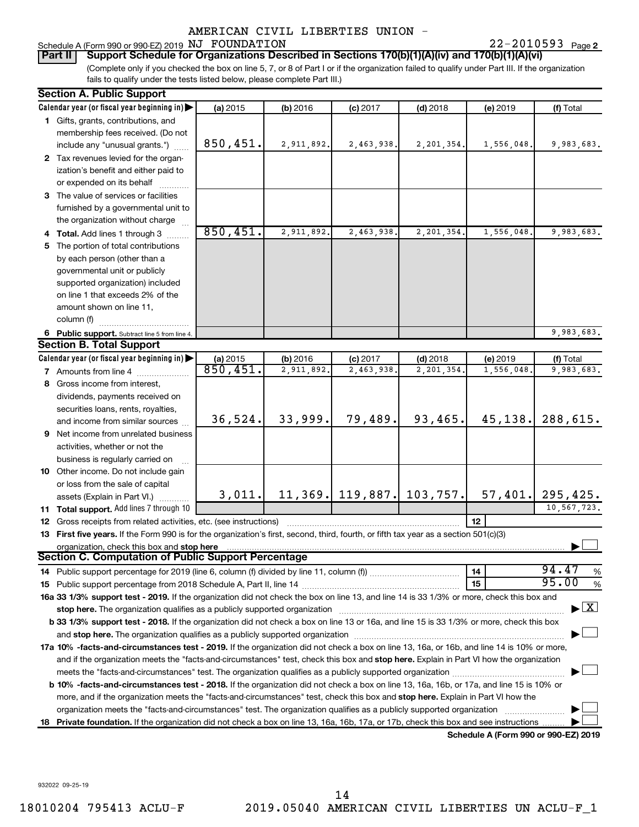22-2010593 Page 2 Schedule A (Form 990 or 990-EZ) 2019 Page NJ FOUNDATION 22-2010593

**Part II Support Schedule for Organizations Described in Sections 170(b)(1)(A)(iv) and 170(b)(1)(A)(vi)**

(Complete only if you checked the box on line 5, 7, or 8 of Part I or if the organization failed to qualify under Part III. If the organization fails to qualify under the tests listed below, please complete Part III.)

| Calendar year (or fiscal year beginning in)<br>(a) 2015<br>(b) 2016<br>$(d)$ 2018<br>(f) Total<br>$(c)$ 2017<br>(e) 2019<br>1 Gifts, grants, contributions, and<br>membership fees received. (Do not<br>850,451.<br>2,911,892.<br>2,463,938.<br>2,201,354.<br>1,556,048.<br>9,983,683.<br>include any "unusual grants.")<br>2 Tax revenues levied for the organ-<br>ization's benefit and either paid to<br>or expended on its behalf<br>3 The value of services or facilities<br>furnished by a governmental unit to<br>the organization without charge<br>850, 451.<br>2,911,892.<br>2,463,938.<br>9,983,683.<br>2,201,354.<br>1,556,048<br>4 Total. Add lines 1 through 3<br>5 The portion of total contributions<br>by each person (other than a<br>governmental unit or publicly<br>supported organization) included<br>on line 1 that exceeds 2% of the<br>amount shown on line 11,<br>column (f)<br>9,983,683.<br>6 Public support. Subtract line 5 from line 4.<br><b>Section B. Total Support</b><br>Calendar year (or fiscal year beginning in)<br>(a) 2015<br>(b) 2016<br>$(c)$ 2017<br>$(d)$ 2018<br>(e) 2019<br>(f) Total<br>850,451.<br>2,911,892<br>2,463,938.<br>2,201,354.<br>1,556,048<br>9,983,683.<br>7 Amounts from line 4<br>8 Gross income from interest,<br>dividends, payments received on<br>securities loans, rents, royalties,<br>33,999.<br>79,489.<br>93,465.<br>288,615.<br>36,524.<br>45,138.<br>and income from similar sources<br>9 Net income from unrelated business<br>activities, whether or not the<br>business is regularly carried on<br>10 Other income. Do not include gain<br>or loss from the sale of capital<br>$11, 369$ , 119, 887, 103, 757,<br>57,401.<br>3,011.]<br>295,425.<br>assets (Explain in Part VI.)<br>10,567,723.<br>11 Total support. Add lines 7 through 10<br>12<br><b>12</b> Gross receipts from related activities, etc. (see instructions)<br>13 First five years. If the Form 990 is for the organization's first, second, third, fourth, or fifth tax year as a section 501(c)(3)<br>organization, check this box and stop here<br><b>Section C. Computation of Public Support Percentage</b><br>94.47<br>14<br>%<br>95.00<br>15<br>%<br>16a 33 1/3% support test - 2019. If the organization did not check the box on line 13, and line 14 is 33 1/3% or more, check this box and<br>$\blacktriangleright$ $\mathbf{X}$<br>stop here. The organization qualifies as a publicly supported organization manufactured content and the content of the state of the state of the state of the state of the state of the state of the state of the state of the<br>b 33 1/3% support test - 2018. If the organization did not check a box on line 13 or 16a, and line 15 is 33 1/3% or more, check this box<br>17a 10% -facts-and-circumstances test - 2019. If the organization did not check a box on line 13, 16a, or 16b, and line 14 is 10% or more,<br>and if the organization meets the "facts-and-circumstances" test, check this box and stop here. Explain in Part VI how the organization<br>b 10% -facts-and-circumstances test - 2018. If the organization did not check a box on line 13, 16a, 16b, or 17a, and line 15 is 10% or<br>more, and if the organization meets the "facts-and-circumstances" test, check this box and stop here. Explain in Part VI how the<br>organization meets the "facts-and-circumstances" test. The organization qualifies as a publicly supported organization<br>18 Private foundation. If the organization did not check a box on line 13, 16a, 16b, 17a, or 17b, check this box and see instructions<br>Schedule A (Form 990 or 990-F7) 2019 | <b>Section A. Public Support</b> |  |  |  |
|----------------------------------------------------------------------------------------------------------------------------------------------------------------------------------------------------------------------------------------------------------------------------------------------------------------------------------------------------------------------------------------------------------------------------------------------------------------------------------------------------------------------------------------------------------------------------------------------------------------------------------------------------------------------------------------------------------------------------------------------------------------------------------------------------------------------------------------------------------------------------------------------------------------------------------------------------------------------------------------------------------------------------------------------------------------------------------------------------------------------------------------------------------------------------------------------------------------------------------------------------------------------------------------------------------------------------------------------------------------------------------------------------------------------------------------------------------------------------------------------------------------------------------------------------------------------------------------------------------------------------------------------------------------------------------------------------------------------------------------------------------------------------------------------------------------------------------------------------------------------------------------------------------------------------------------------------------------------------------------------------------------------------------------------------------------------------------------------------------------------------------------------------------------------------------------------------------------------------------------------------------------------------------------------------------------------------------------------------------------------------------------------------------------------------------------------------------------------------------------------------------------------------------------------------------------------------------------------------------------------------------------------------------------------------------------------------------------------------------------------------------------------------------------------------------------------------------------------------------------------------------------------------------------------------------------------------------------------------------------------------------------------------------------------------------------------------------------------------------------------------------------------------------------------------------------------------------------------------------------------------------------------------------------------------------------------------------------------------------------------------------------------------------------------------------------------------------------------------------------------------------------------------------------------------------------------------------------------------------------------------------------------------------------|----------------------------------|--|--|--|
|                                                                                                                                                                                                                                                                                                                                                                                                                                                                                                                                                                                                                                                                                                                                                                                                                                                                                                                                                                                                                                                                                                                                                                                                                                                                                                                                                                                                                                                                                                                                                                                                                                                                                                                                                                                                                                                                                                                                                                                                                                                                                                                                                                                                                                                                                                                                                                                                                                                                                                                                                                                                                                                                                                                                                                                                                                                                                                                                                                                                                                                                                                                                                                                                                                                                                                                                                                                                                                                                                                                                                                                                                                                                |                                  |  |  |  |
|                                                                                                                                                                                                                                                                                                                                                                                                                                                                                                                                                                                                                                                                                                                                                                                                                                                                                                                                                                                                                                                                                                                                                                                                                                                                                                                                                                                                                                                                                                                                                                                                                                                                                                                                                                                                                                                                                                                                                                                                                                                                                                                                                                                                                                                                                                                                                                                                                                                                                                                                                                                                                                                                                                                                                                                                                                                                                                                                                                                                                                                                                                                                                                                                                                                                                                                                                                                                                                                                                                                                                                                                                                                                |                                  |  |  |  |
|                                                                                                                                                                                                                                                                                                                                                                                                                                                                                                                                                                                                                                                                                                                                                                                                                                                                                                                                                                                                                                                                                                                                                                                                                                                                                                                                                                                                                                                                                                                                                                                                                                                                                                                                                                                                                                                                                                                                                                                                                                                                                                                                                                                                                                                                                                                                                                                                                                                                                                                                                                                                                                                                                                                                                                                                                                                                                                                                                                                                                                                                                                                                                                                                                                                                                                                                                                                                                                                                                                                                                                                                                                                                |                                  |  |  |  |
|                                                                                                                                                                                                                                                                                                                                                                                                                                                                                                                                                                                                                                                                                                                                                                                                                                                                                                                                                                                                                                                                                                                                                                                                                                                                                                                                                                                                                                                                                                                                                                                                                                                                                                                                                                                                                                                                                                                                                                                                                                                                                                                                                                                                                                                                                                                                                                                                                                                                                                                                                                                                                                                                                                                                                                                                                                                                                                                                                                                                                                                                                                                                                                                                                                                                                                                                                                                                                                                                                                                                                                                                                                                                |                                  |  |  |  |
|                                                                                                                                                                                                                                                                                                                                                                                                                                                                                                                                                                                                                                                                                                                                                                                                                                                                                                                                                                                                                                                                                                                                                                                                                                                                                                                                                                                                                                                                                                                                                                                                                                                                                                                                                                                                                                                                                                                                                                                                                                                                                                                                                                                                                                                                                                                                                                                                                                                                                                                                                                                                                                                                                                                                                                                                                                                                                                                                                                                                                                                                                                                                                                                                                                                                                                                                                                                                                                                                                                                                                                                                                                                                |                                  |  |  |  |
|                                                                                                                                                                                                                                                                                                                                                                                                                                                                                                                                                                                                                                                                                                                                                                                                                                                                                                                                                                                                                                                                                                                                                                                                                                                                                                                                                                                                                                                                                                                                                                                                                                                                                                                                                                                                                                                                                                                                                                                                                                                                                                                                                                                                                                                                                                                                                                                                                                                                                                                                                                                                                                                                                                                                                                                                                                                                                                                                                                                                                                                                                                                                                                                                                                                                                                                                                                                                                                                                                                                                                                                                                                                                |                                  |  |  |  |
|                                                                                                                                                                                                                                                                                                                                                                                                                                                                                                                                                                                                                                                                                                                                                                                                                                                                                                                                                                                                                                                                                                                                                                                                                                                                                                                                                                                                                                                                                                                                                                                                                                                                                                                                                                                                                                                                                                                                                                                                                                                                                                                                                                                                                                                                                                                                                                                                                                                                                                                                                                                                                                                                                                                                                                                                                                                                                                                                                                                                                                                                                                                                                                                                                                                                                                                                                                                                                                                                                                                                                                                                                                                                |                                  |  |  |  |
|                                                                                                                                                                                                                                                                                                                                                                                                                                                                                                                                                                                                                                                                                                                                                                                                                                                                                                                                                                                                                                                                                                                                                                                                                                                                                                                                                                                                                                                                                                                                                                                                                                                                                                                                                                                                                                                                                                                                                                                                                                                                                                                                                                                                                                                                                                                                                                                                                                                                                                                                                                                                                                                                                                                                                                                                                                                                                                                                                                                                                                                                                                                                                                                                                                                                                                                                                                                                                                                                                                                                                                                                                                                                |                                  |  |  |  |
|                                                                                                                                                                                                                                                                                                                                                                                                                                                                                                                                                                                                                                                                                                                                                                                                                                                                                                                                                                                                                                                                                                                                                                                                                                                                                                                                                                                                                                                                                                                                                                                                                                                                                                                                                                                                                                                                                                                                                                                                                                                                                                                                                                                                                                                                                                                                                                                                                                                                                                                                                                                                                                                                                                                                                                                                                                                                                                                                                                                                                                                                                                                                                                                                                                                                                                                                                                                                                                                                                                                                                                                                                                                                |                                  |  |  |  |
|                                                                                                                                                                                                                                                                                                                                                                                                                                                                                                                                                                                                                                                                                                                                                                                                                                                                                                                                                                                                                                                                                                                                                                                                                                                                                                                                                                                                                                                                                                                                                                                                                                                                                                                                                                                                                                                                                                                                                                                                                                                                                                                                                                                                                                                                                                                                                                                                                                                                                                                                                                                                                                                                                                                                                                                                                                                                                                                                                                                                                                                                                                                                                                                                                                                                                                                                                                                                                                                                                                                                                                                                                                                                |                                  |  |  |  |
|                                                                                                                                                                                                                                                                                                                                                                                                                                                                                                                                                                                                                                                                                                                                                                                                                                                                                                                                                                                                                                                                                                                                                                                                                                                                                                                                                                                                                                                                                                                                                                                                                                                                                                                                                                                                                                                                                                                                                                                                                                                                                                                                                                                                                                                                                                                                                                                                                                                                                                                                                                                                                                                                                                                                                                                                                                                                                                                                                                                                                                                                                                                                                                                                                                                                                                                                                                                                                                                                                                                                                                                                                                                                |                                  |  |  |  |
|                                                                                                                                                                                                                                                                                                                                                                                                                                                                                                                                                                                                                                                                                                                                                                                                                                                                                                                                                                                                                                                                                                                                                                                                                                                                                                                                                                                                                                                                                                                                                                                                                                                                                                                                                                                                                                                                                                                                                                                                                                                                                                                                                                                                                                                                                                                                                                                                                                                                                                                                                                                                                                                                                                                                                                                                                                                                                                                                                                                                                                                                                                                                                                                                                                                                                                                                                                                                                                                                                                                                                                                                                                                                |                                  |  |  |  |
|                                                                                                                                                                                                                                                                                                                                                                                                                                                                                                                                                                                                                                                                                                                                                                                                                                                                                                                                                                                                                                                                                                                                                                                                                                                                                                                                                                                                                                                                                                                                                                                                                                                                                                                                                                                                                                                                                                                                                                                                                                                                                                                                                                                                                                                                                                                                                                                                                                                                                                                                                                                                                                                                                                                                                                                                                                                                                                                                                                                                                                                                                                                                                                                                                                                                                                                                                                                                                                                                                                                                                                                                                                                                |                                  |  |  |  |
|                                                                                                                                                                                                                                                                                                                                                                                                                                                                                                                                                                                                                                                                                                                                                                                                                                                                                                                                                                                                                                                                                                                                                                                                                                                                                                                                                                                                                                                                                                                                                                                                                                                                                                                                                                                                                                                                                                                                                                                                                                                                                                                                                                                                                                                                                                                                                                                                                                                                                                                                                                                                                                                                                                                                                                                                                                                                                                                                                                                                                                                                                                                                                                                                                                                                                                                                                                                                                                                                                                                                                                                                                                                                |                                  |  |  |  |
|                                                                                                                                                                                                                                                                                                                                                                                                                                                                                                                                                                                                                                                                                                                                                                                                                                                                                                                                                                                                                                                                                                                                                                                                                                                                                                                                                                                                                                                                                                                                                                                                                                                                                                                                                                                                                                                                                                                                                                                                                                                                                                                                                                                                                                                                                                                                                                                                                                                                                                                                                                                                                                                                                                                                                                                                                                                                                                                                                                                                                                                                                                                                                                                                                                                                                                                                                                                                                                                                                                                                                                                                                                                                |                                  |  |  |  |
|                                                                                                                                                                                                                                                                                                                                                                                                                                                                                                                                                                                                                                                                                                                                                                                                                                                                                                                                                                                                                                                                                                                                                                                                                                                                                                                                                                                                                                                                                                                                                                                                                                                                                                                                                                                                                                                                                                                                                                                                                                                                                                                                                                                                                                                                                                                                                                                                                                                                                                                                                                                                                                                                                                                                                                                                                                                                                                                                                                                                                                                                                                                                                                                                                                                                                                                                                                                                                                                                                                                                                                                                                                                                |                                  |  |  |  |
|                                                                                                                                                                                                                                                                                                                                                                                                                                                                                                                                                                                                                                                                                                                                                                                                                                                                                                                                                                                                                                                                                                                                                                                                                                                                                                                                                                                                                                                                                                                                                                                                                                                                                                                                                                                                                                                                                                                                                                                                                                                                                                                                                                                                                                                                                                                                                                                                                                                                                                                                                                                                                                                                                                                                                                                                                                                                                                                                                                                                                                                                                                                                                                                                                                                                                                                                                                                                                                                                                                                                                                                                                                                                |                                  |  |  |  |
|                                                                                                                                                                                                                                                                                                                                                                                                                                                                                                                                                                                                                                                                                                                                                                                                                                                                                                                                                                                                                                                                                                                                                                                                                                                                                                                                                                                                                                                                                                                                                                                                                                                                                                                                                                                                                                                                                                                                                                                                                                                                                                                                                                                                                                                                                                                                                                                                                                                                                                                                                                                                                                                                                                                                                                                                                                                                                                                                                                                                                                                                                                                                                                                                                                                                                                                                                                                                                                                                                                                                                                                                                                                                |                                  |  |  |  |
|                                                                                                                                                                                                                                                                                                                                                                                                                                                                                                                                                                                                                                                                                                                                                                                                                                                                                                                                                                                                                                                                                                                                                                                                                                                                                                                                                                                                                                                                                                                                                                                                                                                                                                                                                                                                                                                                                                                                                                                                                                                                                                                                                                                                                                                                                                                                                                                                                                                                                                                                                                                                                                                                                                                                                                                                                                                                                                                                                                                                                                                                                                                                                                                                                                                                                                                                                                                                                                                                                                                                                                                                                                                                |                                  |  |  |  |
|                                                                                                                                                                                                                                                                                                                                                                                                                                                                                                                                                                                                                                                                                                                                                                                                                                                                                                                                                                                                                                                                                                                                                                                                                                                                                                                                                                                                                                                                                                                                                                                                                                                                                                                                                                                                                                                                                                                                                                                                                                                                                                                                                                                                                                                                                                                                                                                                                                                                                                                                                                                                                                                                                                                                                                                                                                                                                                                                                                                                                                                                                                                                                                                                                                                                                                                                                                                                                                                                                                                                                                                                                                                                |                                  |  |  |  |
|                                                                                                                                                                                                                                                                                                                                                                                                                                                                                                                                                                                                                                                                                                                                                                                                                                                                                                                                                                                                                                                                                                                                                                                                                                                                                                                                                                                                                                                                                                                                                                                                                                                                                                                                                                                                                                                                                                                                                                                                                                                                                                                                                                                                                                                                                                                                                                                                                                                                                                                                                                                                                                                                                                                                                                                                                                                                                                                                                                                                                                                                                                                                                                                                                                                                                                                                                                                                                                                                                                                                                                                                                                                                |                                  |  |  |  |
|                                                                                                                                                                                                                                                                                                                                                                                                                                                                                                                                                                                                                                                                                                                                                                                                                                                                                                                                                                                                                                                                                                                                                                                                                                                                                                                                                                                                                                                                                                                                                                                                                                                                                                                                                                                                                                                                                                                                                                                                                                                                                                                                                                                                                                                                                                                                                                                                                                                                                                                                                                                                                                                                                                                                                                                                                                                                                                                                                                                                                                                                                                                                                                                                                                                                                                                                                                                                                                                                                                                                                                                                                                                                |                                  |  |  |  |
|                                                                                                                                                                                                                                                                                                                                                                                                                                                                                                                                                                                                                                                                                                                                                                                                                                                                                                                                                                                                                                                                                                                                                                                                                                                                                                                                                                                                                                                                                                                                                                                                                                                                                                                                                                                                                                                                                                                                                                                                                                                                                                                                                                                                                                                                                                                                                                                                                                                                                                                                                                                                                                                                                                                                                                                                                                                                                                                                                                                                                                                                                                                                                                                                                                                                                                                                                                                                                                                                                                                                                                                                                                                                |                                  |  |  |  |
|                                                                                                                                                                                                                                                                                                                                                                                                                                                                                                                                                                                                                                                                                                                                                                                                                                                                                                                                                                                                                                                                                                                                                                                                                                                                                                                                                                                                                                                                                                                                                                                                                                                                                                                                                                                                                                                                                                                                                                                                                                                                                                                                                                                                                                                                                                                                                                                                                                                                                                                                                                                                                                                                                                                                                                                                                                                                                                                                                                                                                                                                                                                                                                                                                                                                                                                                                                                                                                                                                                                                                                                                                                                                |                                  |  |  |  |
|                                                                                                                                                                                                                                                                                                                                                                                                                                                                                                                                                                                                                                                                                                                                                                                                                                                                                                                                                                                                                                                                                                                                                                                                                                                                                                                                                                                                                                                                                                                                                                                                                                                                                                                                                                                                                                                                                                                                                                                                                                                                                                                                                                                                                                                                                                                                                                                                                                                                                                                                                                                                                                                                                                                                                                                                                                                                                                                                                                                                                                                                                                                                                                                                                                                                                                                                                                                                                                                                                                                                                                                                                                                                |                                  |  |  |  |
|                                                                                                                                                                                                                                                                                                                                                                                                                                                                                                                                                                                                                                                                                                                                                                                                                                                                                                                                                                                                                                                                                                                                                                                                                                                                                                                                                                                                                                                                                                                                                                                                                                                                                                                                                                                                                                                                                                                                                                                                                                                                                                                                                                                                                                                                                                                                                                                                                                                                                                                                                                                                                                                                                                                                                                                                                                                                                                                                                                                                                                                                                                                                                                                                                                                                                                                                                                                                                                                                                                                                                                                                                                                                |                                  |  |  |  |
|                                                                                                                                                                                                                                                                                                                                                                                                                                                                                                                                                                                                                                                                                                                                                                                                                                                                                                                                                                                                                                                                                                                                                                                                                                                                                                                                                                                                                                                                                                                                                                                                                                                                                                                                                                                                                                                                                                                                                                                                                                                                                                                                                                                                                                                                                                                                                                                                                                                                                                                                                                                                                                                                                                                                                                                                                                                                                                                                                                                                                                                                                                                                                                                                                                                                                                                                                                                                                                                                                                                                                                                                                                                                |                                  |  |  |  |
|                                                                                                                                                                                                                                                                                                                                                                                                                                                                                                                                                                                                                                                                                                                                                                                                                                                                                                                                                                                                                                                                                                                                                                                                                                                                                                                                                                                                                                                                                                                                                                                                                                                                                                                                                                                                                                                                                                                                                                                                                                                                                                                                                                                                                                                                                                                                                                                                                                                                                                                                                                                                                                                                                                                                                                                                                                                                                                                                                                                                                                                                                                                                                                                                                                                                                                                                                                                                                                                                                                                                                                                                                                                                |                                  |  |  |  |
|                                                                                                                                                                                                                                                                                                                                                                                                                                                                                                                                                                                                                                                                                                                                                                                                                                                                                                                                                                                                                                                                                                                                                                                                                                                                                                                                                                                                                                                                                                                                                                                                                                                                                                                                                                                                                                                                                                                                                                                                                                                                                                                                                                                                                                                                                                                                                                                                                                                                                                                                                                                                                                                                                                                                                                                                                                                                                                                                                                                                                                                                                                                                                                                                                                                                                                                                                                                                                                                                                                                                                                                                                                                                |                                  |  |  |  |
|                                                                                                                                                                                                                                                                                                                                                                                                                                                                                                                                                                                                                                                                                                                                                                                                                                                                                                                                                                                                                                                                                                                                                                                                                                                                                                                                                                                                                                                                                                                                                                                                                                                                                                                                                                                                                                                                                                                                                                                                                                                                                                                                                                                                                                                                                                                                                                                                                                                                                                                                                                                                                                                                                                                                                                                                                                                                                                                                                                                                                                                                                                                                                                                                                                                                                                                                                                                                                                                                                                                                                                                                                                                                |                                  |  |  |  |
|                                                                                                                                                                                                                                                                                                                                                                                                                                                                                                                                                                                                                                                                                                                                                                                                                                                                                                                                                                                                                                                                                                                                                                                                                                                                                                                                                                                                                                                                                                                                                                                                                                                                                                                                                                                                                                                                                                                                                                                                                                                                                                                                                                                                                                                                                                                                                                                                                                                                                                                                                                                                                                                                                                                                                                                                                                                                                                                                                                                                                                                                                                                                                                                                                                                                                                                                                                                                                                                                                                                                                                                                                                                                |                                  |  |  |  |
|                                                                                                                                                                                                                                                                                                                                                                                                                                                                                                                                                                                                                                                                                                                                                                                                                                                                                                                                                                                                                                                                                                                                                                                                                                                                                                                                                                                                                                                                                                                                                                                                                                                                                                                                                                                                                                                                                                                                                                                                                                                                                                                                                                                                                                                                                                                                                                                                                                                                                                                                                                                                                                                                                                                                                                                                                                                                                                                                                                                                                                                                                                                                                                                                                                                                                                                                                                                                                                                                                                                                                                                                                                                                |                                  |  |  |  |
|                                                                                                                                                                                                                                                                                                                                                                                                                                                                                                                                                                                                                                                                                                                                                                                                                                                                                                                                                                                                                                                                                                                                                                                                                                                                                                                                                                                                                                                                                                                                                                                                                                                                                                                                                                                                                                                                                                                                                                                                                                                                                                                                                                                                                                                                                                                                                                                                                                                                                                                                                                                                                                                                                                                                                                                                                                                                                                                                                                                                                                                                                                                                                                                                                                                                                                                                                                                                                                                                                                                                                                                                                                                                |                                  |  |  |  |
|                                                                                                                                                                                                                                                                                                                                                                                                                                                                                                                                                                                                                                                                                                                                                                                                                                                                                                                                                                                                                                                                                                                                                                                                                                                                                                                                                                                                                                                                                                                                                                                                                                                                                                                                                                                                                                                                                                                                                                                                                                                                                                                                                                                                                                                                                                                                                                                                                                                                                                                                                                                                                                                                                                                                                                                                                                                                                                                                                                                                                                                                                                                                                                                                                                                                                                                                                                                                                                                                                                                                                                                                                                                                |                                  |  |  |  |
|                                                                                                                                                                                                                                                                                                                                                                                                                                                                                                                                                                                                                                                                                                                                                                                                                                                                                                                                                                                                                                                                                                                                                                                                                                                                                                                                                                                                                                                                                                                                                                                                                                                                                                                                                                                                                                                                                                                                                                                                                                                                                                                                                                                                                                                                                                                                                                                                                                                                                                                                                                                                                                                                                                                                                                                                                                                                                                                                                                                                                                                                                                                                                                                                                                                                                                                                                                                                                                                                                                                                                                                                                                                                |                                  |  |  |  |
|                                                                                                                                                                                                                                                                                                                                                                                                                                                                                                                                                                                                                                                                                                                                                                                                                                                                                                                                                                                                                                                                                                                                                                                                                                                                                                                                                                                                                                                                                                                                                                                                                                                                                                                                                                                                                                                                                                                                                                                                                                                                                                                                                                                                                                                                                                                                                                                                                                                                                                                                                                                                                                                                                                                                                                                                                                                                                                                                                                                                                                                                                                                                                                                                                                                                                                                                                                                                                                                                                                                                                                                                                                                                |                                  |  |  |  |
|                                                                                                                                                                                                                                                                                                                                                                                                                                                                                                                                                                                                                                                                                                                                                                                                                                                                                                                                                                                                                                                                                                                                                                                                                                                                                                                                                                                                                                                                                                                                                                                                                                                                                                                                                                                                                                                                                                                                                                                                                                                                                                                                                                                                                                                                                                                                                                                                                                                                                                                                                                                                                                                                                                                                                                                                                                                                                                                                                                                                                                                                                                                                                                                                                                                                                                                                                                                                                                                                                                                                                                                                                                                                |                                  |  |  |  |
|                                                                                                                                                                                                                                                                                                                                                                                                                                                                                                                                                                                                                                                                                                                                                                                                                                                                                                                                                                                                                                                                                                                                                                                                                                                                                                                                                                                                                                                                                                                                                                                                                                                                                                                                                                                                                                                                                                                                                                                                                                                                                                                                                                                                                                                                                                                                                                                                                                                                                                                                                                                                                                                                                                                                                                                                                                                                                                                                                                                                                                                                                                                                                                                                                                                                                                                                                                                                                                                                                                                                                                                                                                                                |                                  |  |  |  |
|                                                                                                                                                                                                                                                                                                                                                                                                                                                                                                                                                                                                                                                                                                                                                                                                                                                                                                                                                                                                                                                                                                                                                                                                                                                                                                                                                                                                                                                                                                                                                                                                                                                                                                                                                                                                                                                                                                                                                                                                                                                                                                                                                                                                                                                                                                                                                                                                                                                                                                                                                                                                                                                                                                                                                                                                                                                                                                                                                                                                                                                                                                                                                                                                                                                                                                                                                                                                                                                                                                                                                                                                                                                                |                                  |  |  |  |
|                                                                                                                                                                                                                                                                                                                                                                                                                                                                                                                                                                                                                                                                                                                                                                                                                                                                                                                                                                                                                                                                                                                                                                                                                                                                                                                                                                                                                                                                                                                                                                                                                                                                                                                                                                                                                                                                                                                                                                                                                                                                                                                                                                                                                                                                                                                                                                                                                                                                                                                                                                                                                                                                                                                                                                                                                                                                                                                                                                                                                                                                                                                                                                                                                                                                                                                                                                                                                                                                                                                                                                                                                                                                |                                  |  |  |  |
|                                                                                                                                                                                                                                                                                                                                                                                                                                                                                                                                                                                                                                                                                                                                                                                                                                                                                                                                                                                                                                                                                                                                                                                                                                                                                                                                                                                                                                                                                                                                                                                                                                                                                                                                                                                                                                                                                                                                                                                                                                                                                                                                                                                                                                                                                                                                                                                                                                                                                                                                                                                                                                                                                                                                                                                                                                                                                                                                                                                                                                                                                                                                                                                                                                                                                                                                                                                                                                                                                                                                                                                                                                                                |                                  |  |  |  |
|                                                                                                                                                                                                                                                                                                                                                                                                                                                                                                                                                                                                                                                                                                                                                                                                                                                                                                                                                                                                                                                                                                                                                                                                                                                                                                                                                                                                                                                                                                                                                                                                                                                                                                                                                                                                                                                                                                                                                                                                                                                                                                                                                                                                                                                                                                                                                                                                                                                                                                                                                                                                                                                                                                                                                                                                                                                                                                                                                                                                                                                                                                                                                                                                                                                                                                                                                                                                                                                                                                                                                                                                                                                                |                                  |  |  |  |
|                                                                                                                                                                                                                                                                                                                                                                                                                                                                                                                                                                                                                                                                                                                                                                                                                                                                                                                                                                                                                                                                                                                                                                                                                                                                                                                                                                                                                                                                                                                                                                                                                                                                                                                                                                                                                                                                                                                                                                                                                                                                                                                                                                                                                                                                                                                                                                                                                                                                                                                                                                                                                                                                                                                                                                                                                                                                                                                                                                                                                                                                                                                                                                                                                                                                                                                                                                                                                                                                                                                                                                                                                                                                |                                  |  |  |  |
|                                                                                                                                                                                                                                                                                                                                                                                                                                                                                                                                                                                                                                                                                                                                                                                                                                                                                                                                                                                                                                                                                                                                                                                                                                                                                                                                                                                                                                                                                                                                                                                                                                                                                                                                                                                                                                                                                                                                                                                                                                                                                                                                                                                                                                                                                                                                                                                                                                                                                                                                                                                                                                                                                                                                                                                                                                                                                                                                                                                                                                                                                                                                                                                                                                                                                                                                                                                                                                                                                                                                                                                                                                                                |                                  |  |  |  |
|                                                                                                                                                                                                                                                                                                                                                                                                                                                                                                                                                                                                                                                                                                                                                                                                                                                                                                                                                                                                                                                                                                                                                                                                                                                                                                                                                                                                                                                                                                                                                                                                                                                                                                                                                                                                                                                                                                                                                                                                                                                                                                                                                                                                                                                                                                                                                                                                                                                                                                                                                                                                                                                                                                                                                                                                                                                                                                                                                                                                                                                                                                                                                                                                                                                                                                                                                                                                                                                                                                                                                                                                                                                                |                                  |  |  |  |
|                                                                                                                                                                                                                                                                                                                                                                                                                                                                                                                                                                                                                                                                                                                                                                                                                                                                                                                                                                                                                                                                                                                                                                                                                                                                                                                                                                                                                                                                                                                                                                                                                                                                                                                                                                                                                                                                                                                                                                                                                                                                                                                                                                                                                                                                                                                                                                                                                                                                                                                                                                                                                                                                                                                                                                                                                                                                                                                                                                                                                                                                                                                                                                                                                                                                                                                                                                                                                                                                                                                                                                                                                                                                |                                  |  |  |  |
|                                                                                                                                                                                                                                                                                                                                                                                                                                                                                                                                                                                                                                                                                                                                                                                                                                                                                                                                                                                                                                                                                                                                                                                                                                                                                                                                                                                                                                                                                                                                                                                                                                                                                                                                                                                                                                                                                                                                                                                                                                                                                                                                                                                                                                                                                                                                                                                                                                                                                                                                                                                                                                                                                                                                                                                                                                                                                                                                                                                                                                                                                                                                                                                                                                                                                                                                                                                                                                                                                                                                                                                                                                                                |                                  |  |  |  |
|                                                                                                                                                                                                                                                                                                                                                                                                                                                                                                                                                                                                                                                                                                                                                                                                                                                                                                                                                                                                                                                                                                                                                                                                                                                                                                                                                                                                                                                                                                                                                                                                                                                                                                                                                                                                                                                                                                                                                                                                                                                                                                                                                                                                                                                                                                                                                                                                                                                                                                                                                                                                                                                                                                                                                                                                                                                                                                                                                                                                                                                                                                                                                                                                                                                                                                                                                                                                                                                                                                                                                                                                                                                                |                                  |  |  |  |
|                                                                                                                                                                                                                                                                                                                                                                                                                                                                                                                                                                                                                                                                                                                                                                                                                                                                                                                                                                                                                                                                                                                                                                                                                                                                                                                                                                                                                                                                                                                                                                                                                                                                                                                                                                                                                                                                                                                                                                                                                                                                                                                                                                                                                                                                                                                                                                                                                                                                                                                                                                                                                                                                                                                                                                                                                                                                                                                                                                                                                                                                                                                                                                                                                                                                                                                                                                                                                                                                                                                                                                                                                                                                |                                  |  |  |  |
|                                                                                                                                                                                                                                                                                                                                                                                                                                                                                                                                                                                                                                                                                                                                                                                                                                                                                                                                                                                                                                                                                                                                                                                                                                                                                                                                                                                                                                                                                                                                                                                                                                                                                                                                                                                                                                                                                                                                                                                                                                                                                                                                                                                                                                                                                                                                                                                                                                                                                                                                                                                                                                                                                                                                                                                                                                                                                                                                                                                                                                                                                                                                                                                                                                                                                                                                                                                                                                                                                                                                                                                                                                                                |                                  |  |  |  |

**Schedule A (Form 990 or 990-EZ) 2019**

932022 09-25-19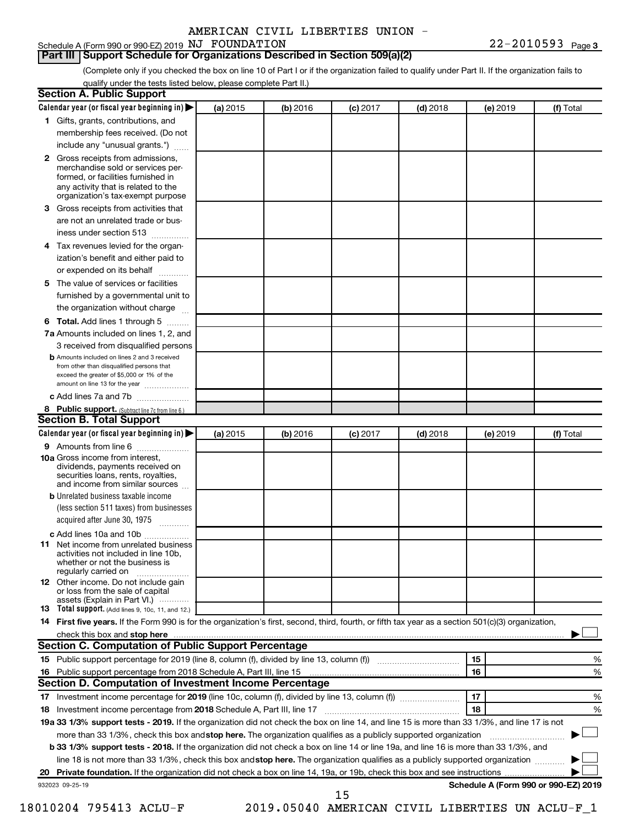### **Part III Support Schedule for Organizations Described in Section 509(a)(2)**

(Complete only if you checked the box on line 10 of Part I or if the organization failed to qualify under Part II. If the organization fails to qualify under the tests listed below, please complete Part II.)

| <b>Section A. Public Support</b>                                                                                                                                                         |          |          |            |            |          |                                      |
|------------------------------------------------------------------------------------------------------------------------------------------------------------------------------------------|----------|----------|------------|------------|----------|--------------------------------------|
| Calendar year (or fiscal year beginning in)                                                                                                                                              | (a) 2015 | (b) 2016 | $(c)$ 2017 | $(d)$ 2018 | (e) 2019 | (f) Total                            |
| 1 Gifts, grants, contributions, and                                                                                                                                                      |          |          |            |            |          |                                      |
| membership fees received. (Do not                                                                                                                                                        |          |          |            |            |          |                                      |
| include any "unusual grants.")                                                                                                                                                           |          |          |            |            |          |                                      |
| 2 Gross receipts from admissions,<br>merchandise sold or services per-<br>formed, or facilities furnished in<br>any activity that is related to the<br>organization's tax-exempt purpose |          |          |            |            |          |                                      |
| 3 Gross receipts from activities that                                                                                                                                                    |          |          |            |            |          |                                      |
| are not an unrelated trade or bus-                                                                                                                                                       |          |          |            |            |          |                                      |
| iness under section 513                                                                                                                                                                  |          |          |            |            |          |                                      |
| 4 Tax revenues levied for the organ-                                                                                                                                                     |          |          |            |            |          |                                      |
| ization's benefit and either paid to                                                                                                                                                     |          |          |            |            |          |                                      |
| or expended on its behalf                                                                                                                                                                |          |          |            |            |          |                                      |
| .<br>5 The value of services or facilities                                                                                                                                               |          |          |            |            |          |                                      |
| furnished by a governmental unit to                                                                                                                                                      |          |          |            |            |          |                                      |
| the organization without charge                                                                                                                                                          |          |          |            |            |          |                                      |
| 6 Total. Add lines 1 through 5                                                                                                                                                           |          |          |            |            |          |                                      |
| 7a Amounts included on lines 1, 2, and                                                                                                                                                   |          |          |            |            |          |                                      |
| 3 received from disqualified persons                                                                                                                                                     |          |          |            |            |          |                                      |
| <b>b</b> Amounts included on lines 2 and 3 received<br>from other than disqualified persons that<br>exceed the greater of \$5,000 or 1% of the<br>amount on line 13 for the year         |          |          |            |            |          |                                      |
| c Add lines 7a and 7b                                                                                                                                                                    |          |          |            |            |          |                                      |
| 8 Public support. (Subtract line 7c from line 6.)                                                                                                                                        |          |          |            |            |          |                                      |
| <b>Section B. Total Support</b>                                                                                                                                                          |          |          |            |            |          |                                      |
| Calendar year (or fiscal year beginning in)                                                                                                                                              | (a) 2015 | (b) 2016 | $(c)$ 2017 | $(d)$ 2018 | (e) 2019 | (f) Total                            |
| <b>9</b> Amounts from line 6                                                                                                                                                             |          |          |            |            |          |                                      |
| <b>10a</b> Gross income from interest,<br>dividends, payments received on<br>securities loans, rents, royalties,<br>and income from similar sources                                      |          |          |            |            |          |                                      |
| <b>b</b> Unrelated business taxable income                                                                                                                                               |          |          |            |            |          |                                      |
| (less section 511 taxes) from businesses<br>acquired after June 30, 1975                                                                                                                 |          |          |            |            |          |                                      |
| c Add lines 10a and 10b                                                                                                                                                                  |          |          |            |            |          |                                      |
| 11 Net income from unrelated business<br>activities not included in line 10b.<br>whether or not the business is<br>regularly carried on                                                  |          |          |            |            |          |                                      |
| <b>12</b> Other income. Do not include gain<br>or loss from the sale of capital<br>assets (Explain in Part VI.)                                                                          |          |          |            |            |          |                                      |
| <b>13</b> Total support. (Add lines 9, 10c, 11, and 12.)                                                                                                                                 |          |          |            |            |          |                                      |
| 14 First five years. If the Form 990 is for the organization's first, second, third, fourth, or fifth tax year as a section 501(c)(3) organization,                                      |          |          |            |            |          |                                      |
|                                                                                                                                                                                          |          |          |            |            |          |                                      |
| Section C. Computation of Public Support Percentage                                                                                                                                      |          |          |            |            |          |                                      |
| 15 Public support percentage for 2019 (line 8, column (f), divided by line 13, column (f) <i>manumeronominimi</i> ng.                                                                    |          |          |            |            | 15       | ℅                                    |
| 16 Public support percentage from 2018 Schedule A, Part III, line 15                                                                                                                     |          |          |            |            | 16       | %                                    |
| Section D. Computation of Investment Income Percentage                                                                                                                                   |          |          |            |            |          |                                      |
|                                                                                                                                                                                          |          |          |            |            | 17       | %                                    |
| 18 Investment income percentage from 2018 Schedule A, Part III, line 17                                                                                                                  |          |          |            |            | 18       | %                                    |
| 19a 33 1/3% support tests - 2019. If the organization did not check the box on line 14, and line 15 is more than 33 1/3%, and line 17 is not                                             |          |          |            |            |          |                                      |
| more than 33 1/3%, check this box and stop here. The organization qualifies as a publicly supported organization                                                                         |          |          |            |            |          |                                      |
| b 33 1/3% support tests - 2018. If the organization did not check a box on line 14 or line 19a, and line 16 is more than 33 1/3%, and                                                    |          |          |            |            |          |                                      |
| line 18 is not more than 33 1/3%, check this box and stop here. The organization qualifies as a publicly supported organization                                                          |          |          |            |            |          |                                      |
|                                                                                                                                                                                          |          |          |            |            |          |                                      |
| 932023 09-25-19                                                                                                                                                                          |          |          |            |            |          | Schedule A (Form 990 or 990-EZ) 2019 |
|                                                                                                                                                                                          |          |          | 15         |            |          |                                      |

18010204 795413 ACLU-F 2019.05040 AMERICAN CIVIL LIBERTIES UN ACLU-F\_1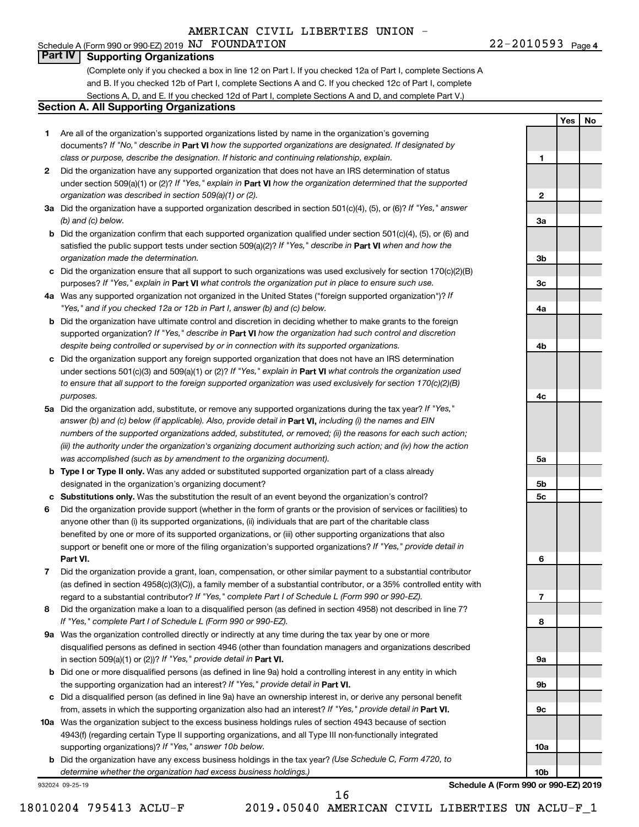### Schedule A (Form 990 or 990-EZ) 2019 Page NJ FOUNDATION 22-2010593 **Part IV Supporting Organizations**

(Complete only if you checked a box in line 12 on Part I. If you checked 12a of Part I, complete Sections A and B. If you checked 12b of Part I, complete Sections A and C. If you checked 12c of Part I, complete Sections A, D, and E. If you checked 12d of Part I, complete Sections A and D, and complete Part V.)

### **Section A. All Supporting Organizations**

- **1** Are all of the organization's supported organizations listed by name in the organization's governing documents? If "No," describe in Part VI how the supported organizations are designated. If designated by *class or purpose, describe the designation. If historic and continuing relationship, explain.*
- **2** Did the organization have any supported organization that does not have an IRS determination of status under section 509(a)(1) or (2)? If "Yes," explain in Part **VI** how the organization determined that the supported *organization was described in section 509(a)(1) or (2).*
- **3a** Did the organization have a supported organization described in section 501(c)(4), (5), or (6)? If "Yes," answer *(b) and (c) below.*
- **b** Did the organization confirm that each supported organization qualified under section 501(c)(4), (5), or (6) and satisfied the public support tests under section 509(a)(2)? If "Yes," describe in Part VI when and how the *organization made the determination.*
- **c** Did the organization ensure that all support to such organizations was used exclusively for section 170(c)(2)(B) purposes? If "Yes," explain in Part VI what controls the organization put in place to ensure such use.
- **4 a** *If* Was any supported organization not organized in the United States ("foreign supported organization")? *"Yes," and if you checked 12a or 12b in Part I, answer (b) and (c) below.*
- **b** Did the organization have ultimate control and discretion in deciding whether to make grants to the foreign supported organization? If "Yes," describe in Part VI how the organization had such control and discretion *despite being controlled or supervised by or in connection with its supported organizations.*
- **c** Did the organization support any foreign supported organization that does not have an IRS determination under sections 501(c)(3) and 509(a)(1) or (2)? If "Yes," explain in Part VI what controls the organization used *to ensure that all support to the foreign supported organization was used exclusively for section 170(c)(2)(B) purposes.*
- **5a** Did the organization add, substitute, or remove any supported organizations during the tax year? If "Yes," answer (b) and (c) below (if applicable). Also, provide detail in **Part VI,** including (i) the names and EIN *numbers of the supported organizations added, substituted, or removed; (ii) the reasons for each such action; (iii) the authority under the organization's organizing document authorizing such action; and (iv) how the action was accomplished (such as by amendment to the organizing document).*
- **b Type I or Type II only.** Was any added or substituted supported organization part of a class already designated in the organization's organizing document?
- **c Substitutions only.**  Was the substitution the result of an event beyond the organization's control?
- **6** Did the organization provide support (whether in the form of grants or the provision of services or facilities) to **Part VI.** support or benefit one or more of the filing organization's supported organizations? If "Yes," provide detail in anyone other than (i) its supported organizations, (ii) individuals that are part of the charitable class benefited by one or more of its supported organizations, or (iii) other supporting organizations that also
- **7** Did the organization provide a grant, loan, compensation, or other similar payment to a substantial contributor regard to a substantial contributor? If "Yes," complete Part I of Schedule L (Form 990 or 990-EZ). (as defined in section 4958(c)(3)(C)), a family member of a substantial contributor, or a 35% controlled entity with
- **8** Did the organization make a loan to a disqualified person (as defined in section 4958) not described in line 7? *If "Yes," complete Part I of Schedule L (Form 990 or 990-EZ).*
- **9 a** Was the organization controlled directly or indirectly at any time during the tax year by one or more in section 509(a)(1) or (2))? If "Yes," provide detail in **Part VI.** disqualified persons as defined in section 4946 (other than foundation managers and organizations described
- **b** Did one or more disqualified persons (as defined in line 9a) hold a controlling interest in any entity in which the supporting organization had an interest? If "Yes," provide detail in Part VI.
- **c** Did a disqualified person (as defined in line 9a) have an ownership interest in, or derive any personal benefit from, assets in which the supporting organization also had an interest? If "Yes," provide detail in Part VI.
- **10 a** Was the organization subject to the excess business holdings rules of section 4943 because of section supporting organizations)? If "Yes," answer 10b below. 4943(f) (regarding certain Type II supporting organizations, and all Type III non-functionally integrated
	- **b** Did the organization have any excess business holdings in the tax year? (Use Schedule C, Form 4720, to *determine whether the organization had excess business holdings.)*

932024 09-25-19

**10b Schedule A (Form 990 or 990-EZ) 2019**

16

18010204 795413 ACLU-F 2019.05040 AMERICAN CIVIL LIBERTIES UN ACLU-F\_1

| $\overline{2}$         |  |  |
|------------------------|--|--|
|                        |  |  |
| 3a                     |  |  |
|                        |  |  |
|                        |  |  |
|                        |  |  |
| 3b                     |  |  |
|                        |  |  |
| $\overline{\text{3c}}$ |  |  |
|                        |  |  |
|                        |  |  |
| 4a                     |  |  |
|                        |  |  |
|                        |  |  |
| 4b                     |  |  |
|                        |  |  |
|                        |  |  |
|                        |  |  |
|                        |  |  |
| 4c                     |  |  |
|                        |  |  |
|                        |  |  |
|                        |  |  |
|                        |  |  |
|                        |  |  |
| 5a                     |  |  |
|                        |  |  |
| 5b                     |  |  |
| 5c                     |  |  |
|                        |  |  |
|                        |  |  |
|                        |  |  |
|                        |  |  |
|                        |  |  |
| 6                      |  |  |
|                        |  |  |
|                        |  |  |
| 7                      |  |  |
|                        |  |  |
|                        |  |  |
| 8                      |  |  |
|                        |  |  |
|                        |  |  |
| 9a                     |  |  |
|                        |  |  |
| 9b                     |  |  |
|                        |  |  |
|                        |  |  |
| 9c                     |  |  |
|                        |  |  |
|                        |  |  |
| 10a                    |  |  |
|                        |  |  |
|                        |  |  |
| 10 <sub>b</sub>        |  |  |

**1**

**Yes No**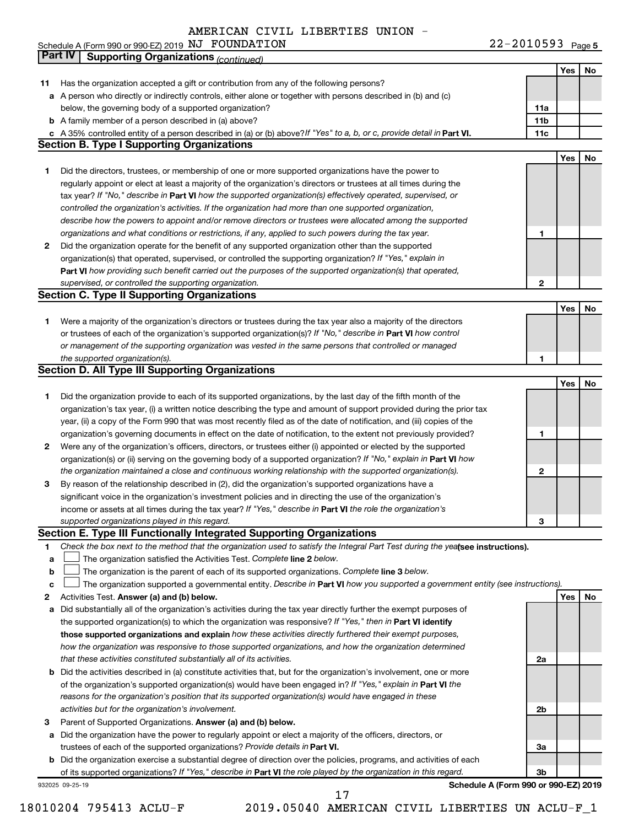22-2010593 Page 5 Schedule A (Form 990 or 990-EZ) 2019 NU FOUNDATILON NU CHARAGE CONSERVATION ALL AND SURFACE Page NJ FOUNDATION 22-2010593

|    | Part IV<br><b>Supporting Organizations (continued)</b>                                                                          |                 |     |    |
|----|---------------------------------------------------------------------------------------------------------------------------------|-----------------|-----|----|
|    |                                                                                                                                 |                 | Yes | No |
| 11 | Has the organization accepted a gift or contribution from any of the following persons?                                         |                 |     |    |
|    | a A person who directly or indirectly controls, either alone or together with persons described in (b) and (c)                  |                 |     |    |
|    | below, the governing body of a supported organization?                                                                          | 11a             |     |    |
|    | <b>b</b> A family member of a person described in (a) above?                                                                    | 11 <sub>b</sub> |     |    |
|    | c A 35% controlled entity of a person described in (a) or (b) above? If "Yes" to a, b, or c, provide detail in Part VI.         | 11c             |     |    |
|    | <b>Section B. Type I Supporting Organizations</b>                                                                               |                 |     |    |
|    |                                                                                                                                 |                 | Yes | No |
| 1  | Did the directors, trustees, or membership of one or more supported organizations have the power to                             |                 |     |    |
|    | regularly appoint or elect at least a majority of the organization's directors or trustees at all times during the              |                 |     |    |
|    | tax year? If "No," describe in Part VI how the supported organization(s) effectively operated, supervised, or                   |                 |     |    |
|    | controlled the organization's activities. If the organization had more than one supported organization,                         |                 |     |    |
|    | describe how the powers to appoint and/or remove directors or trustees were allocated among the supported                       |                 |     |    |
|    |                                                                                                                                 | 1               |     |    |
|    | organizations and what conditions or restrictions, if any, applied to such powers during the tax year.                          |                 |     |    |
| 2  | Did the organization operate for the benefit of any supported organization other than the supported                             |                 |     |    |
|    | organization(s) that operated, supervised, or controlled the supporting organization? If "Yes," explain in                      |                 |     |    |
|    | Part VI how providing such benefit carried out the purposes of the supported organization(s) that operated,                     |                 |     |    |
|    | supervised, or controlled the supporting organization.                                                                          | 2               |     |    |
|    | <b>Section C. Type II Supporting Organizations</b>                                                                              |                 |     |    |
|    |                                                                                                                                 |                 | Yes | No |
| 1. | Were a majority of the organization's directors or trustees during the tax year also a majority of the directors                |                 |     |    |
|    | or trustees of each of the organization's supported organization(s)? If "No," describe in Part VI how control                   |                 |     |    |
|    | or management of the supporting organization was vested in the same persons that controlled or managed                          |                 |     |    |
|    | the supported organization(s).                                                                                                  | 1               |     |    |
|    | <b>Section D. All Type III Supporting Organizations</b>                                                                         |                 |     |    |
|    |                                                                                                                                 |                 | Yes | No |
| 1  | Did the organization provide to each of its supported organizations, by the last day of the fifth month of the                  |                 |     |    |
|    | organization's tax year, (i) a written notice describing the type and amount of support provided during the prior tax           |                 |     |    |
|    | year, (ii) a copy of the Form 990 that was most recently filed as of the date of notification, and (iii) copies of the          |                 |     |    |
|    | organization's governing documents in effect on the date of notification, to the extent not previously provided?                | 1               |     |    |
| 2  | Were any of the organization's officers, directors, or trustees either (i) appointed or elected by the supported                |                 |     |    |
|    | organization(s) or (ii) serving on the governing body of a supported organization? If "No," explain in Part VI how              |                 |     |    |
|    | the organization maintained a close and continuous working relationship with the supported organization(s).                     | $\mathbf{2}$    |     |    |
| 3  | By reason of the relationship described in (2), did the organization's supported organizations have a                           |                 |     |    |
|    | significant voice in the organization's investment policies and in directing the use of the organization's                      |                 |     |    |
|    | income or assets at all times during the tax year? If "Yes," describe in Part VI the role the organization's                    |                 |     |    |
|    | supported organizations played in this regard.                                                                                  | з               |     |    |
|    | Section E. Type III Functionally Integrated Supporting Organizations                                                            |                 |     |    |
| 1  | Check the box next to the method that the organization used to satisfy the Integral Part Test during the yealsee instructions). |                 |     |    |
| a  | The organization satisfied the Activities Test. Complete line 2 below.                                                          |                 |     |    |
| b  | The organization is the parent of each of its supported organizations. Complete line 3 below.                                   |                 |     |    |
| c  | The organization supported a governmental entity. Describe in Part VI how you supported a government entity (see instructions). |                 |     |    |
| 2  | Activities Test. Answer (a) and (b) below.                                                                                      |                 | Yes | No |
| а  | Did substantially all of the organization's activities during the tax year directly further the exempt purposes of              |                 |     |    |
|    | the supported organization(s) to which the organization was responsive? If "Yes," then in Part VI identify                      |                 |     |    |
|    | those supported organizations and explain how these activities directly furthered their exempt purposes,                        |                 |     |    |
|    | how the organization was responsive to those supported organizations, and how the organization determined                       |                 |     |    |
|    | that these activities constituted substantially all of its activities.                                                          | 2a              |     |    |
| b  | Did the activities described in (a) constitute activities that, but for the organization's involvement, one or more             |                 |     |    |
|    | of the organization's supported organization(s) would have been engaged in? If "Yes," explain in Part VI the                    |                 |     |    |
|    | reasons for the organization's position that its supported organization(s) would have engaged in these                          |                 |     |    |
|    | activities but for the organization's involvement.                                                                              | 2b              |     |    |
|    |                                                                                                                                 |                 |     |    |
| 3  | Parent of Supported Organizations. Answer (a) and (b) below.                                                                    |                 |     |    |
| а  | Did the organization have the power to regularly appoint or elect a majority of the officers, directors, or                     |                 |     |    |
|    | trustees of each of the supported organizations? Provide details in Part VI.                                                    | За              |     |    |
|    | <b>b</b> Did the organization exercise a substantial degree of direction over the policies, programs, and activities of each    |                 |     |    |
|    | of its supported organizations? If "Yes," describe in Part VI the role played by the organization in this regard.               | 3b              |     |    |
|    | Schedule A (Form 990 or 990-EZ) 2019<br>932025 09-25-19<br>17                                                                   |                 |     |    |
|    |                                                                                                                                 |                 |     |    |

<sup>18010204 795413</sup> ACLU-F 2019.05040 AMERICAN CIVIL LIBERTIES UN ACLU-F\_1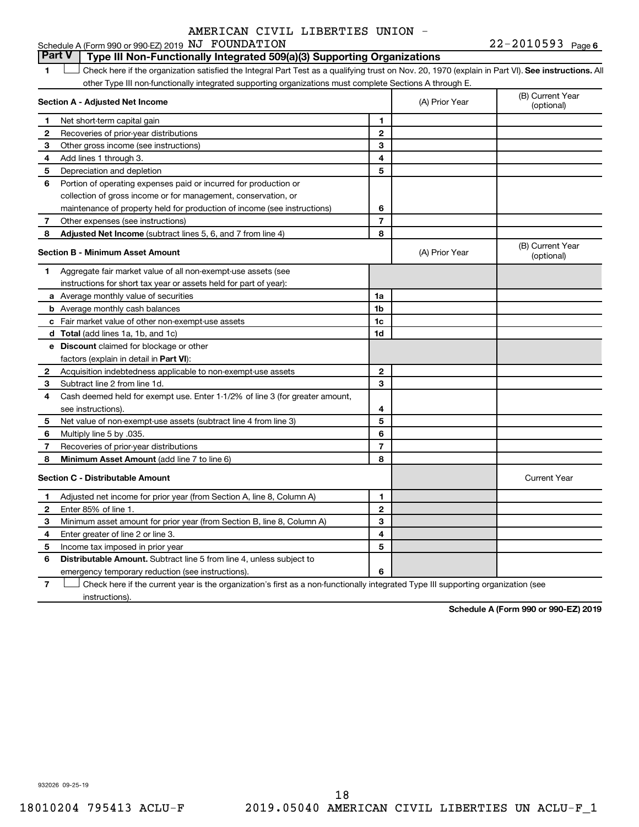# **Part V Type III Non-Functionally Integrated 509(a)(3) Supporting Organizations**

1 **Letter See instructions.** All Check here if the organization satisfied the Integral Part Test as a qualifying trust on Nov. 20, 1970 (explain in Part VI). See instructions. All other Type III non-functionally integrated supporting organizations must complete Sections A through E.

|                | Section A - Adjusted Net Income                                              |                | (A) Prior Year | (B) Current Year<br>(optional) |
|----------------|------------------------------------------------------------------------------|----------------|----------------|--------------------------------|
| 1              | Net short-term capital gain                                                  | 1              |                |                                |
| 2              | Recoveries of prior-year distributions                                       | $\mathbf{2}$   |                |                                |
| 3              | Other gross income (see instructions)                                        | 3              |                |                                |
| 4              | Add lines 1 through 3.                                                       | 4              |                |                                |
| 5              | Depreciation and depletion                                                   | 5              |                |                                |
| 6              | Portion of operating expenses paid or incurred for production or             |                |                |                                |
|                | collection of gross income or for management, conservation, or               |                |                |                                |
|                | maintenance of property held for production of income (see instructions)     | 6              |                |                                |
| 7              | Other expenses (see instructions)                                            | 7              |                |                                |
| 8              | Adjusted Net Income (subtract lines 5, 6, and 7 from line 4)                 | 8              |                |                                |
|                | <b>Section B - Minimum Asset Amount</b>                                      |                | (A) Prior Year | (B) Current Year<br>(optional) |
| 1.             | Aggregate fair market value of all non-exempt-use assets (see                |                |                |                                |
|                | instructions for short tax year or assets held for part of year):            |                |                |                                |
|                | a Average monthly value of securities                                        | 1a             |                |                                |
|                | <b>b</b> Average monthly cash balances                                       | 1b             |                |                                |
|                | c Fair market value of other non-exempt-use assets                           | 1c             |                |                                |
|                | <b>d</b> Total (add lines 1a, 1b, and 1c)                                    | 1d             |                |                                |
|                | e Discount claimed for blockage or other                                     |                |                |                                |
|                | factors (explain in detail in <b>Part VI</b> ):                              |                |                |                                |
| 2              | Acquisition indebtedness applicable to non-exempt-use assets                 | 2              |                |                                |
| 3              | Subtract line 2 from line 1d.                                                | 3              |                |                                |
| 4              | Cash deemed held for exempt use. Enter 1-1/2% of line 3 (for greater amount, |                |                |                                |
|                | see instructions).                                                           | 4              |                |                                |
| 5              | Net value of non-exempt-use assets (subtract line 4 from line 3)             | 5              |                |                                |
| 6              | Multiply line 5 by .035.                                                     | 6              |                |                                |
| $\overline{7}$ | Recoveries of prior-year distributions                                       | $\overline{7}$ |                |                                |
| 8              | Minimum Asset Amount (add line 7 to line 6)                                  | 8              |                |                                |
|                | <b>Section C - Distributable Amount</b>                                      |                |                | <b>Current Year</b>            |
| 1              | Adjusted net income for prior year (from Section A, line 8, Column A)        | 1              |                |                                |
| 2              | Enter 85% of line 1.                                                         | $\overline{2}$ |                |                                |
| 3              | Minimum asset amount for prior year (from Section B, line 8, Column A)       | 3              |                |                                |
| 4              | Enter greater of line 2 or line 3.                                           | 4              |                |                                |
| 5              | Income tax imposed in prior year                                             | 5              |                |                                |
| 6              | Distributable Amount. Subtract line 5 from line 4, unless subject to         |                |                |                                |
|                | emergency temporary reduction (see instructions).                            | 6              |                |                                |
|                |                                                                              |                |                |                                |

**7** Check here if the current year is the organization's first as a non-functionally integrated Type III supporting organization (see † instructions).

**Schedule A (Form 990 or 990-EZ) 2019**

932026 09-25-19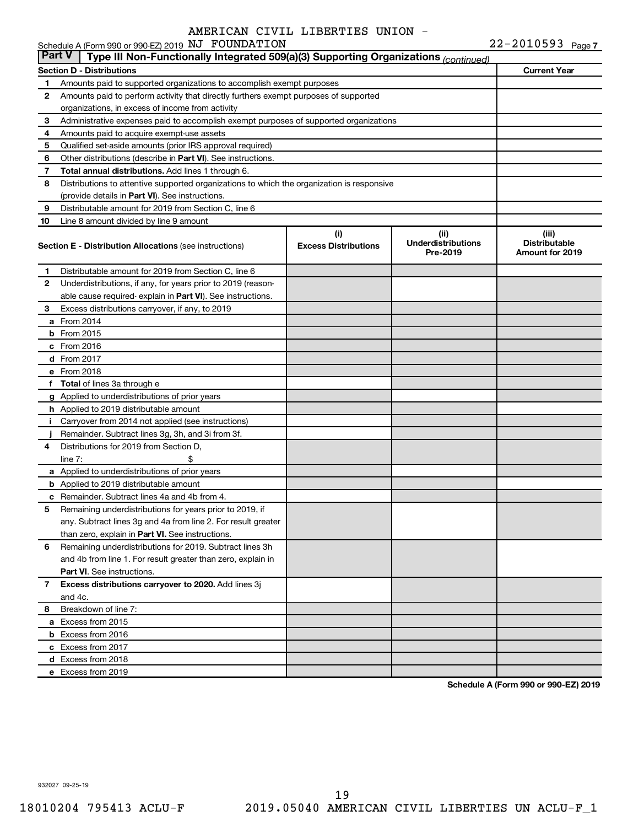|               | Schedule A (Form 990 or 990-EZ) 2019 NJ FOUNDATION                                         |                             |                           | $22 - 2010593$ Page 7  |
|---------------|--------------------------------------------------------------------------------------------|-----------------------------|---------------------------|------------------------|
| <b>Part V</b> | Type III Non-Functionally Integrated 509(a)(3) Supporting Organizations (continued)        |                             |                           |                        |
|               | <b>Section D - Distributions</b>                                                           |                             |                           | <b>Current Year</b>    |
| 1             | Amounts paid to supported organizations to accomplish exempt purposes                      |                             |                           |                        |
| 2             | Amounts paid to perform activity that directly furthers exempt purposes of supported       |                             |                           |                        |
|               | organizations, in excess of income from activity                                           |                             |                           |                        |
| 3             | Administrative expenses paid to accomplish exempt purposes of supported organizations      |                             |                           |                        |
| 4             | Amounts paid to acquire exempt-use assets                                                  |                             |                           |                        |
| 5             | Qualified set-aside amounts (prior IRS approval required)                                  |                             |                           |                        |
| 6             | Other distributions (describe in <b>Part VI</b> ). See instructions.                       |                             |                           |                        |
| 7             | Total annual distributions. Add lines 1 through 6.                                         |                             |                           |                        |
| 8             | Distributions to attentive supported organizations to which the organization is responsive |                             |                           |                        |
|               | (provide details in Part VI). See instructions.                                            |                             |                           |                        |
| 9             | Distributable amount for 2019 from Section C, line 6                                       |                             |                           |                        |
| 10            | Line 8 amount divided by line 9 amount                                                     |                             |                           |                        |
|               |                                                                                            | (i)                         | (ii)                      | (iii)                  |
|               | <b>Section E - Distribution Allocations (see instructions)</b>                             | <b>Excess Distributions</b> | <b>Underdistributions</b> | <b>Distributable</b>   |
|               |                                                                                            |                             | Pre-2019                  | <b>Amount for 2019</b> |
| 1             | Distributable amount for 2019 from Section C, line 6                                       |                             |                           |                        |
| 2             | Underdistributions, if any, for years prior to 2019 (reason-                               |                             |                           |                        |
|               | able cause required- explain in Part VI). See instructions.                                |                             |                           |                        |
| З             | Excess distributions carryover, if any, to 2019                                            |                             |                           |                        |
|               | a From 2014                                                                                |                             |                           |                        |
|               | <b>b</b> From 2015                                                                         |                             |                           |                        |
|               | c From 2016                                                                                |                             |                           |                        |
|               |                                                                                            |                             |                           |                        |
|               | d From 2017                                                                                |                             |                           |                        |
|               | e From 2018                                                                                |                             |                           |                        |
|               | f Total of lines 3a through e                                                              |                             |                           |                        |
|               | g Applied to underdistributions of prior years                                             |                             |                           |                        |
|               | <b>h</b> Applied to 2019 distributable amount                                              |                             |                           |                        |
| Ť.            | Carryover from 2014 not applied (see instructions)                                         |                             |                           |                        |
|               | Remainder. Subtract lines 3g, 3h, and 3i from 3f.                                          |                             |                           |                        |
| 4             | Distributions for 2019 from Section D,                                                     |                             |                           |                        |
|               | line $7:$                                                                                  |                             |                           |                        |
|               | a Applied to underdistributions of prior years                                             |                             |                           |                        |
|               | <b>b</b> Applied to 2019 distributable amount                                              |                             |                           |                        |
|               | c Remainder. Subtract lines 4a and 4b from 4.                                              |                             |                           |                        |
|               | 5 Remaining underdistributions for years prior to 2019, if                                 |                             |                           |                        |
|               | any. Subtract lines 3g and 4a from line 2. For result greater                              |                             |                           |                        |
|               | than zero, explain in Part VI. See instructions.                                           |                             |                           |                        |
| 6             | Remaining underdistributions for 2019. Subtract lines 3h                                   |                             |                           |                        |
|               | and 4b from line 1. For result greater than zero, explain in                               |                             |                           |                        |
|               | <b>Part VI.</b> See instructions.                                                          |                             |                           |                        |
| 7             | Excess distributions carryover to 2020. Add lines 3j                                       |                             |                           |                        |
|               | and 4c.                                                                                    |                             |                           |                        |
| 8             | Breakdown of line 7:                                                                       |                             |                           |                        |
|               | a Excess from 2015                                                                         |                             |                           |                        |
|               | <b>b</b> Excess from 2016                                                                  |                             |                           |                        |
|               | c Excess from 2017                                                                         |                             |                           |                        |
|               | d Excess from 2018                                                                         |                             |                           |                        |
|               | e Excess from 2019                                                                         |                             |                           |                        |

**Schedule A (Form 990 or 990-EZ) 2019**

932027 09-25-19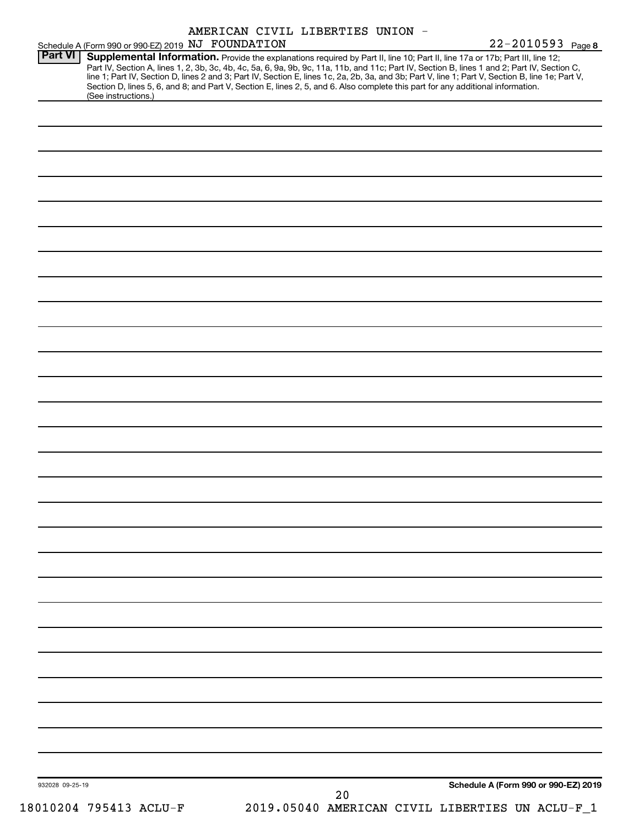| (See instructions.)                                                                                                                                                                                   |  |                                                                                                                                 |                                                                                                                                                                                                                                                                                                  |
|-------------------------------------------------------------------------------------------------------------------------------------------------------------------------------------------------------|--|---------------------------------------------------------------------------------------------------------------------------------|--------------------------------------------------------------------------------------------------------------------------------------------------------------------------------------------------------------------------------------------------------------------------------------------------|
|                                                                                                                                                                                                       |  |                                                                                                                                 |                                                                                                                                                                                                                                                                                                  |
| Schedule A (Form 990 or 990-EZ) 2019 NJ FOUNDATION<br><b>Part VI</b><br>Supplemental Information. Provide the explanations required by Part II, line 10; Part II, line 17a or 17b; Part III, line 12; |  | Section D, lines 5, 6, and 8; and Part V, Section E, lines 2, 5, and 6. Also complete this part for any additional information. | Part IV, Section A, lines 1, 2, 3b, 3c, 4b, 4c, 5a, 6, 9a, 9b, 9c, 11a, 11b, and 11c; Part IV, Section B, lines 1 and 2; Part IV, Section C,<br>line 1; Part IV, Section D, lines 2 and 3; Part IV, Section E, lines 1c, 2a, 2b, 3a, and 3b; Part V, line 1; Part V, Section B, line 1e; Part V, |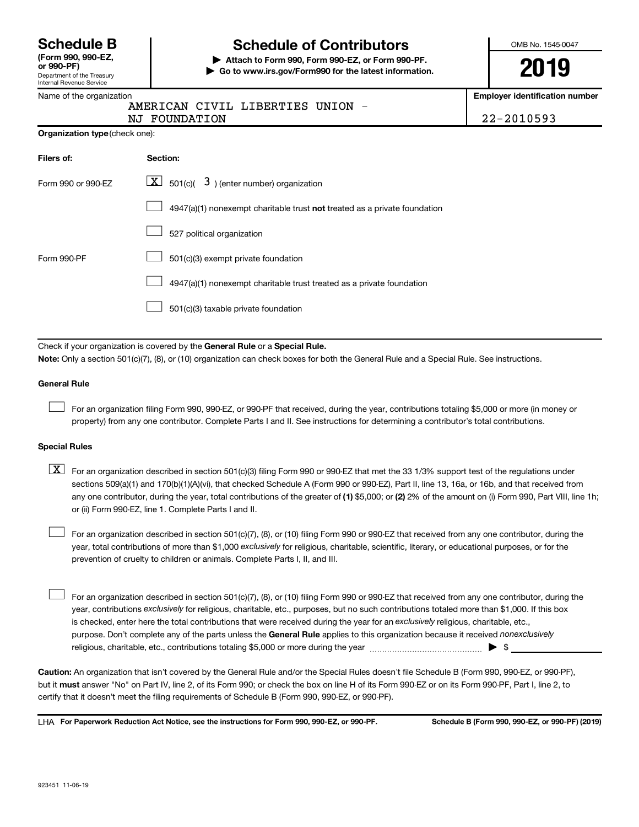| <b>Schedule B</b>          |  |  |
|----------------------------|--|--|
| $T$ , $\ldots$ and and $T$ |  |  |

# Department of the Treasury **(Form 990, 990-EZ,**

# Internal Revenue Service

# **Schedule of Contributors**

**or 990-PF) | Attach to Form 990, Form 990-EZ, or Form 990-PF. | Go to www.irs.gov/Form990 for the latest information.** OMB No. 1545-0047

# **2019**

**Employer identification number**

| Name of the organization |  |
|--------------------------|--|
|                          |  |

|               | AMERICAN CIVIL LIBERTIES UNION |                |
|---------------|--------------------------------|----------------|
| NJ FOUNDATION |                                | $22 - 2010593$ |

| Filers of:         | Section:                                                                           |
|--------------------|------------------------------------------------------------------------------------|
| Form 990 or 990-EZ | $\boxed{\textbf{X}}$ 501(c)(<br>$3$ ) (enter number) organization                  |
|                    | $4947(a)(1)$ nonexempt charitable trust <b>not</b> treated as a private foundation |
|                    | 527 political organization                                                         |
| Form 990-PF        | 501(c)(3) exempt private foundation                                                |
|                    | 4947(a)(1) nonexempt charitable trust treated as a private foundation              |
|                    | 501(c)(3) taxable private foundation                                               |

Check if your organization is covered by the General Rule or a Special Rule.

**Note:**  Only a section 501(c)(7), (8), or (10) organization can check boxes for both the General Rule and a Special Rule. See instructions.

### **General Rule**

 $\Box$ 

For an organization filing Form 990, 990-EZ, or 990-PF that received, during the year, contributions totaling \$5,000 or more (in money or property) from any one contributor. Complete Parts I and II. See instructions for determining a contributor's total contributions.

### **Special Rules**

any one contributor, during the year, total contributions of the greater of (1) \$5,000; or (2) 2% of the amount on (i) Form 990, Part VIII, line 1h;  $\boxed{\text{X}}$  For an organization described in section 501(c)(3) filing Form 990 or 990-EZ that met the 33 1/3% support test of the regulations under sections 509(a)(1) and 170(b)(1)(A)(vi), that checked Schedule A (Form 990 or 990-EZ), Part II, line 13, 16a, or 16b, and that received from or (ii) Form 990-EZ, line 1. Complete Parts I and II.

year, total contributions of more than \$1,000 *exclusively* for religious, charitable, scientific, literary, or educational purposes, or for the For an organization described in section 501(c)(7), (8), or (10) filing Form 990 or 990-EZ that received from any one contributor, during the prevention of cruelty to children or animals. Complete Parts I, II, and III.  $\Box$ 

purpose. Don't complete any of the parts unless the General Rule applies to this organization because it received nonexclusively year, contributions exclusively for religious, charitable, etc., purposes, but no such contributions totaled more than \$1,000. If this box is checked, enter here the total contributions that were received during the year for an exclusively religious, charitable, etc., For an organization described in section 501(c)(7), (8), or (10) filing Form 990 or 990-EZ that received from any one contributor, during the religious, charitable, etc., contributions totaling \$5,000 or more during the year  $~\ldots\ldots\ldots\ldots\ldots\ldots\ldots\ldots\ldots\blacktriangleright~$ \$  $\Box$ 

**Caution:**  An organization that isn't covered by the General Rule and/or the Special Rules doesn't file Schedule B (Form 990, 990-EZ, or 990-PF),  **must** but it answer "No" on Part IV, line 2, of its Form 990; or check the box on line H of its Form 990-EZ or on its Form 990-PF, Part I, line 2, to certify that it doesn't meet the filing requirements of Schedule B (Form 990, 990-EZ, or 990-PF).

**For Paperwork Reduction Act Notice, see the instructions for Form 990, 990-EZ, or 990-PF. Schedule B (Form 990, 990-EZ, or 990-PF) (2019)** LHA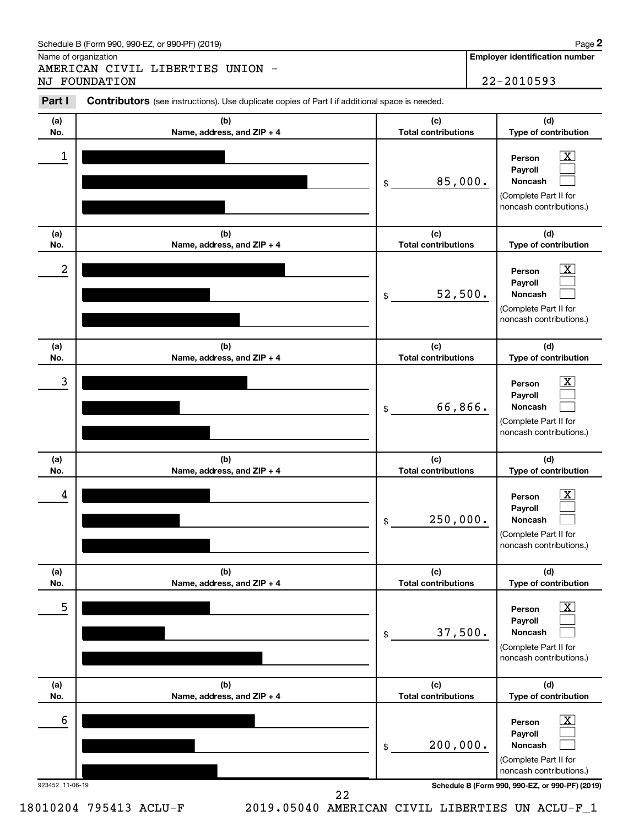Name of organization

AMERICAN CIVIL LIBERTIES UNION - NJ FOUNDATION 22-2010593

**Employer identification number**

**2**

| Part I          | <b>Contributors</b> (see instructions). Use duplicate copies of Part I if additional space is needed. |                                   |                                                                                                                 |
|-----------------|-------------------------------------------------------------------------------------------------------|-----------------------------------|-----------------------------------------------------------------------------------------------------------------|
| (a)<br>No.      | (b)<br>Name, address, and ZIP + 4                                                                     | (c)<br><b>Total contributions</b> | (d)<br>Type of contribution                                                                                     |
| 1               |                                                                                                       | 85,000.<br>\$                     | $\mathbf{X}$<br>Person<br>Payroll<br>Noncash<br>(Complete Part II for<br>noncash contributions.)                |
| (a)<br>No.      | (b)<br>Name, address, and ZIP + 4                                                                     | (c)<br><b>Total contributions</b> | (d)<br>Type of contribution                                                                                     |
| 2               |                                                                                                       | 52,500.<br>\$                     | $\overline{\mathbf{X}}$<br>Person<br>Payroll<br>Noncash<br>(Complete Part II for<br>noncash contributions.)     |
| (a)<br>No.      | (b)<br>Name, address, and ZIP + 4                                                                     | (c)<br><b>Total contributions</b> | (d)<br>Type of contribution                                                                                     |
| 3               |                                                                                                       | 66,866.<br>\$                     | $\mathbf{X}$<br>Person<br>Payroll<br>Noncash<br>(Complete Part II for<br>noncash contributions.)                |
| (a)<br>No.      | (b)<br>Name, address, and ZIP + 4                                                                     | (c)<br><b>Total contributions</b> | (d)<br>Type of contribution                                                                                     |
| 4               |                                                                                                       | 250,000.<br>\$                    | $\mathbf{X}$<br>Person<br>Payroll<br>Noncash<br>(Complete Part II for<br>noncash contributions.)                |
| (a)<br>No.      | (b)<br>Name, address, and ZIP + 4                                                                     | (c)<br><b>Total contributions</b> | (d)<br>Type of contribution                                                                                     |
| 5               |                                                                                                       | 37,500.<br>\$                     | $\boxed{\mathbf{X}}$<br>Person<br>Payroll<br><b>Noncash</b><br>(Complete Part II for<br>noncash contributions.) |
| (a)<br>No.      | (b)<br>Name, address, and ZIP + 4                                                                     | (c)<br><b>Total contributions</b> | (d)<br>Type of contribution                                                                                     |
| 6               |                                                                                                       | 200,000.<br>\$                    | $\boxed{\mathbf{X}}$<br>Person<br>Payroll<br><b>Noncash</b><br>(Complete Part II for<br>noncash contributions.) |
| 923452 11-06-19 | າາ                                                                                                    |                                   | Schedule B (Form 990, 990-EZ, or 990-PF) (2019)                                                                 |

18010204 795413 ACLU-F 2019.05040 AMERICAN CIVIL LIBERTIES UN ACLU-F\_1

22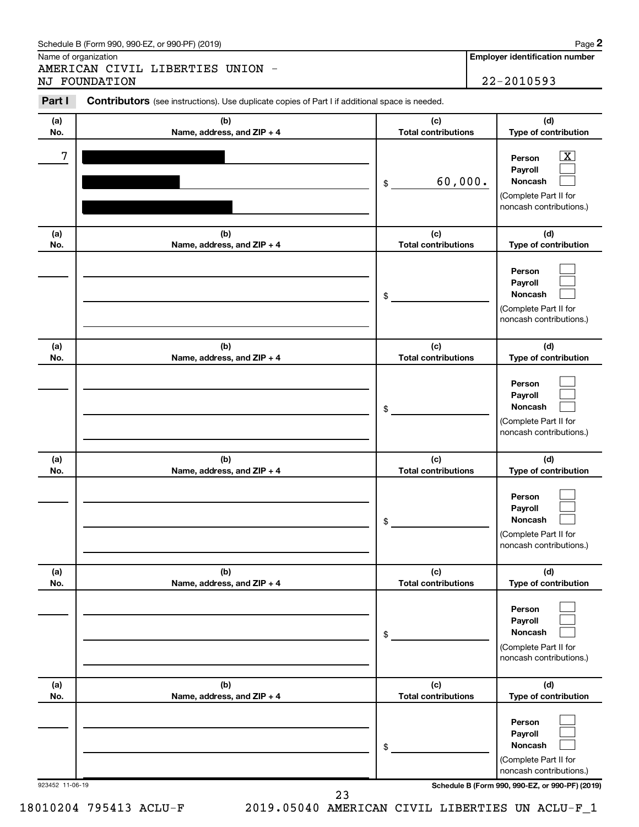Name of organization

AMERICAN CIVIL LIBERTIES UNION - NJ FOUNDATION 22-2010593 **2**

| Part I          | <b>Contributors</b> (see instructions). Use duplicate copies of Part I if additional space is needed. |                                   |                                                                                                             |
|-----------------|-------------------------------------------------------------------------------------------------------|-----------------------------------|-------------------------------------------------------------------------------------------------------------|
| (a)<br>No.      | (b)<br>Name, address, and ZIP + 4                                                                     | (c)<br><b>Total contributions</b> | (d)<br>Type of contribution                                                                                 |
| 7               |                                                                                                       | 60,000.<br>\$                     | $\overline{\mathbf{X}}$<br>Person<br>Payroll<br>Noncash<br>(Complete Part II for<br>noncash contributions.) |
| (a)<br>No.      | (b)<br>Name, address, and ZIP + 4                                                                     | (c)<br><b>Total contributions</b> | (d)<br>Type of contribution                                                                                 |
|                 |                                                                                                       | \$                                | Person<br>Payroll<br>Noncash<br>(Complete Part II for<br>noncash contributions.)                            |
| (a)<br>No.      | (b)<br>Name, address, and ZIP + 4                                                                     | (c)<br><b>Total contributions</b> | (d)<br>Type of contribution                                                                                 |
|                 |                                                                                                       | \$                                | Person<br>Payroll<br>Noncash<br>(Complete Part II for<br>noncash contributions.)                            |
| (a)<br>No.      | (b)<br>Name, address, and ZIP + 4                                                                     | (c)<br><b>Total contributions</b> | (d)<br>Type of contribution                                                                                 |
|                 |                                                                                                       | \$                                | Person<br>Payroll<br><b>Noncash</b><br>(Complete Part II for<br>noncash contributions.)                     |
| (a)<br>No.      | (b)<br>Name, address, and ZIP + 4                                                                     | (c)<br><b>Total contributions</b> | (d)<br>Type of contribution                                                                                 |
|                 |                                                                                                       | \$                                | Person<br>Payroll<br>Noncash<br>(Complete Part II for<br>noncash contributions.)                            |
| (a)<br>No.      | (b)<br>Name, address, and ZIP + 4                                                                     | (c)<br><b>Total contributions</b> | (d)<br>Type of contribution                                                                                 |
|                 |                                                                                                       | \$                                | Person<br>Payroll<br>Noncash<br>(Complete Part II for<br>noncash contributions.)                            |
| 923452 11-06-19 |                                                                                                       |                                   | Schedule B (Form 990, 990-EZ, or 990-PF) (2019)                                                             |

23

18010204 795413 ACLU-F 2019.05040 AMERICAN CIVIL LIBERTIES UN ACLU-F\_1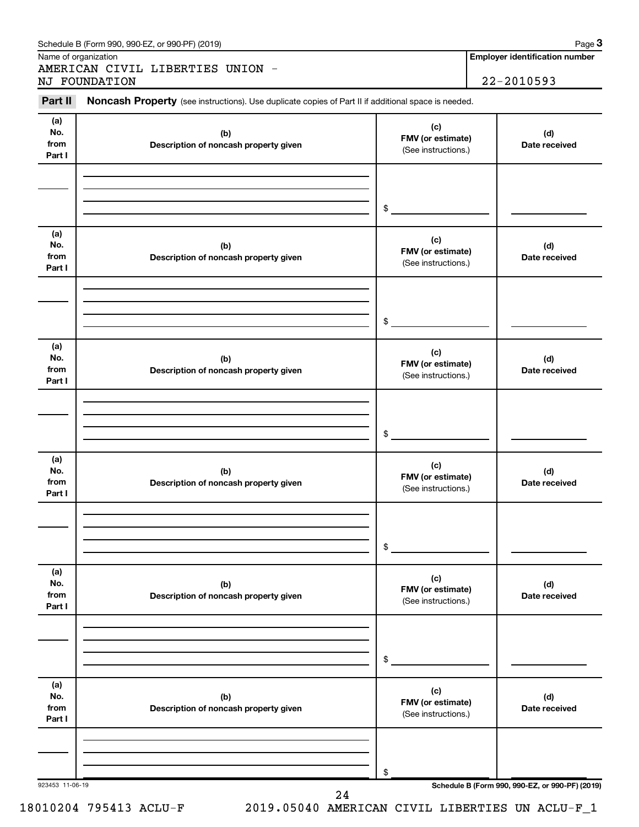| Part II                      | Noncash Property (see instructions). Use duplicate copies of Part II if additional space is needed. |                                                 |                      |
|------------------------------|-----------------------------------------------------------------------------------------------------|-------------------------------------------------|----------------------|
|                              |                                                                                                     |                                                 |                      |
| (a)<br>No.<br>from<br>Part I | (b)<br>Description of noncash property given                                                        | (c)<br>FMV (or estimate)<br>(See instructions.) | (d)<br>Date received |
|                              |                                                                                                     | $$\circ$$                                       |                      |
| (a)<br>No.<br>from<br>Part I | (b)<br>Description of noncash property given                                                        | (c)<br>FMV (or estimate)<br>(See instructions.) | (d)<br>Date received |
|                              |                                                                                                     |                                                 |                      |
|                              |                                                                                                     | $$\tilde$$                                      |                      |
| (a)<br>No.<br>from<br>Part I | (b)<br>Description of noncash property given                                                        | (c)<br>FMV (or estimate)<br>(See instructions.) | (d)<br>Date received |
|                              |                                                                                                     |                                                 |                      |
|                              |                                                                                                     | $\frac{1}{2}$                                   |                      |
| (a)<br>No.<br>from<br>Part I | (b)<br>Description of noncash property given                                                        | (c)<br>FMV (or estimate)<br>(See instructions.) | (d)<br>Date received |
|                              |                                                                                                     |                                                 |                      |
|                              |                                                                                                     | \$                                              |                      |
| (a)<br>No.<br>from<br>Part I | (b)<br>Description of noncash property given                                                        | (c)<br>FMV (or estimate)<br>(See instructions.) | (d)<br>Date received |
|                              |                                                                                                     |                                                 |                      |
|                              |                                                                                                     | \$                                              |                      |
| (a)<br>No.<br>from<br>Part I | (b)<br>Description of noncash property given                                                        | (c)<br>FMV (or estimate)<br>(See instructions.) | (d)<br>Date received |
|                              |                                                                                                     |                                                 |                      |
|                              |                                                                                                     | \$                                              |                      |

18010204 795413 ACLU-F 2019.05040 AMERICAN CIVIL LIBERTIES UN ACLU-F\_1

**Employer identification number 3**

Schedule B (Form 990, 990-EZ, or 990-PF) (2019)

Name of organization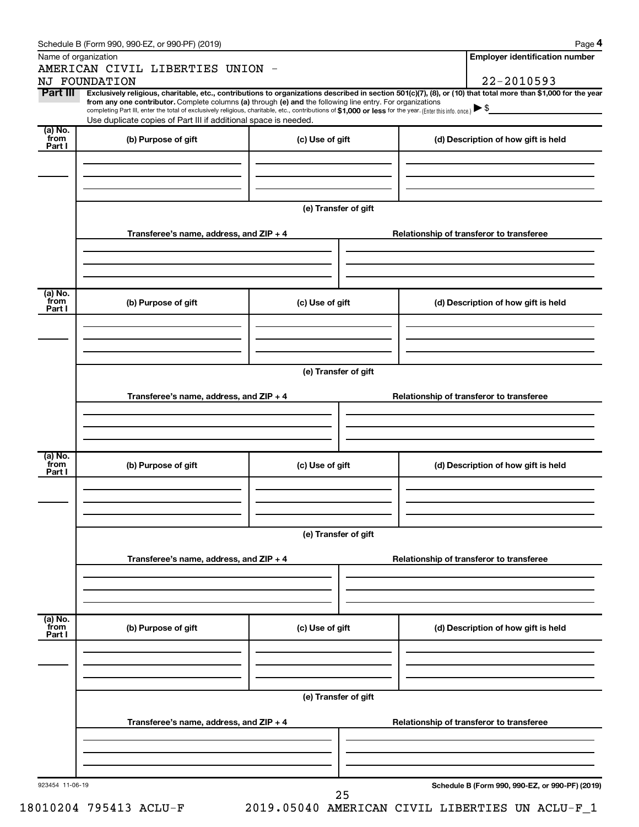|                   | Schedule B (Form 990, 990-EZ, or 990-PF) (2019)                                                                                                                                                                             |                      |                                          | Page 4                                          |  |  |  |
|-------------------|-----------------------------------------------------------------------------------------------------------------------------------------------------------------------------------------------------------------------------|----------------------|------------------------------------------|-------------------------------------------------|--|--|--|
|                   | Name of organization                                                                                                                                                                                                        |                      |                                          | <b>Employer identification number</b>           |  |  |  |
|                   | AMERICAN CIVIL LIBERTIES UNION -                                                                                                                                                                                            |                      |                                          |                                                 |  |  |  |
| Part III          | NJ FOUNDATION<br>Exclusively religious, charitable, etc., contributions to organizations described in section 501(c)(7), (8), or (10) that total more than \$1,000 for the year                                             |                      |                                          | 22-2010593                                      |  |  |  |
|                   | from any one contributor. Complete columns (a) through (e) and the following line entry. For organizations                                                                                                                  |                      |                                          |                                                 |  |  |  |
|                   | completing Part III, enter the total of exclusively religious, charitable, etc., contributions of \$1,000 or less for the year. (Enter this info. once.)<br>Use duplicate copies of Part III if additional space is needed. |                      |                                          |                                                 |  |  |  |
| $(a)$ No.<br>from |                                                                                                                                                                                                                             |                      |                                          |                                                 |  |  |  |
| Part I            | (b) Purpose of gift                                                                                                                                                                                                         | (c) Use of gift      |                                          | (d) Description of how gift is held             |  |  |  |
|                   |                                                                                                                                                                                                                             |                      |                                          |                                                 |  |  |  |
|                   |                                                                                                                                                                                                                             |                      |                                          |                                                 |  |  |  |
|                   |                                                                                                                                                                                                                             |                      |                                          |                                                 |  |  |  |
|                   |                                                                                                                                                                                                                             | (e) Transfer of gift |                                          |                                                 |  |  |  |
|                   |                                                                                                                                                                                                                             |                      |                                          |                                                 |  |  |  |
|                   | Transferee's name, address, and ZIP + 4                                                                                                                                                                                     |                      |                                          | Relationship of transferor to transferee        |  |  |  |
|                   |                                                                                                                                                                                                                             |                      |                                          |                                                 |  |  |  |
|                   |                                                                                                                                                                                                                             |                      |                                          |                                                 |  |  |  |
|                   |                                                                                                                                                                                                                             |                      |                                          |                                                 |  |  |  |
| (a) No.<br>from   | (b) Purpose of gift                                                                                                                                                                                                         | (c) Use of gift      |                                          | (d) Description of how gift is held             |  |  |  |
| Part I            |                                                                                                                                                                                                                             |                      |                                          |                                                 |  |  |  |
|                   |                                                                                                                                                                                                                             |                      |                                          |                                                 |  |  |  |
|                   |                                                                                                                                                                                                                             |                      |                                          |                                                 |  |  |  |
|                   |                                                                                                                                                                                                                             |                      |                                          |                                                 |  |  |  |
|                   |                                                                                                                                                                                                                             | (e) Transfer of gift |                                          |                                                 |  |  |  |
|                   |                                                                                                                                                                                                                             |                      |                                          |                                                 |  |  |  |
|                   | Transferee's name, address, and ZIP + 4                                                                                                                                                                                     |                      | Relationship of transferor to transferee |                                                 |  |  |  |
|                   |                                                                                                                                                                                                                             |                      |                                          |                                                 |  |  |  |
|                   |                                                                                                                                                                                                                             |                      |                                          |                                                 |  |  |  |
|                   |                                                                                                                                                                                                                             |                      |                                          |                                                 |  |  |  |
| (a) No.<br>from   | (b) Purpose of gift                                                                                                                                                                                                         | (c) Use of gift      |                                          | (d) Description of how gift is held             |  |  |  |
| Part I            |                                                                                                                                                                                                                             |                      |                                          |                                                 |  |  |  |
|                   |                                                                                                                                                                                                                             |                      |                                          |                                                 |  |  |  |
|                   |                                                                                                                                                                                                                             |                      |                                          |                                                 |  |  |  |
|                   |                                                                                                                                                                                                                             |                      |                                          |                                                 |  |  |  |
|                   |                                                                                                                                                                                                                             | (e) Transfer of gift |                                          |                                                 |  |  |  |
|                   | Transferee's name, address, and ZIP + 4<br>Relationship of transferor to transferee                                                                                                                                         |                      |                                          |                                                 |  |  |  |
|                   |                                                                                                                                                                                                                             |                      |                                          |                                                 |  |  |  |
|                   |                                                                                                                                                                                                                             |                      |                                          |                                                 |  |  |  |
|                   |                                                                                                                                                                                                                             |                      |                                          |                                                 |  |  |  |
| (a) No.<br>from   |                                                                                                                                                                                                                             |                      |                                          |                                                 |  |  |  |
| Part I            | (b) Purpose of gift                                                                                                                                                                                                         | (c) Use of gift      |                                          | (d) Description of how gift is held             |  |  |  |
|                   |                                                                                                                                                                                                                             |                      |                                          |                                                 |  |  |  |
|                   |                                                                                                                                                                                                                             |                      |                                          |                                                 |  |  |  |
|                   |                                                                                                                                                                                                                             |                      |                                          |                                                 |  |  |  |
|                   |                                                                                                                                                                                                                             |                      |                                          |                                                 |  |  |  |
|                   |                                                                                                                                                                                                                             | (e) Transfer of gift |                                          |                                                 |  |  |  |
|                   | Transferee's name, address, and ZIP + 4                                                                                                                                                                                     |                      |                                          | Relationship of transferor to transferee        |  |  |  |
|                   |                                                                                                                                                                                                                             |                      |                                          |                                                 |  |  |  |
|                   |                                                                                                                                                                                                                             |                      |                                          |                                                 |  |  |  |
|                   |                                                                                                                                                                                                                             |                      |                                          |                                                 |  |  |  |
| 923454 11-06-19   |                                                                                                                                                                                                                             |                      |                                          | Schedule B (Form 990, 990-EZ, or 990-PF) (2019) |  |  |  |
|                   |                                                                                                                                                                                                                             | 25                   |                                          |                                                 |  |  |  |

18010204 795413 ACLU-F 2019.05040 AMERICAN CIVIL LIBERTIES UN ACLU-F\_1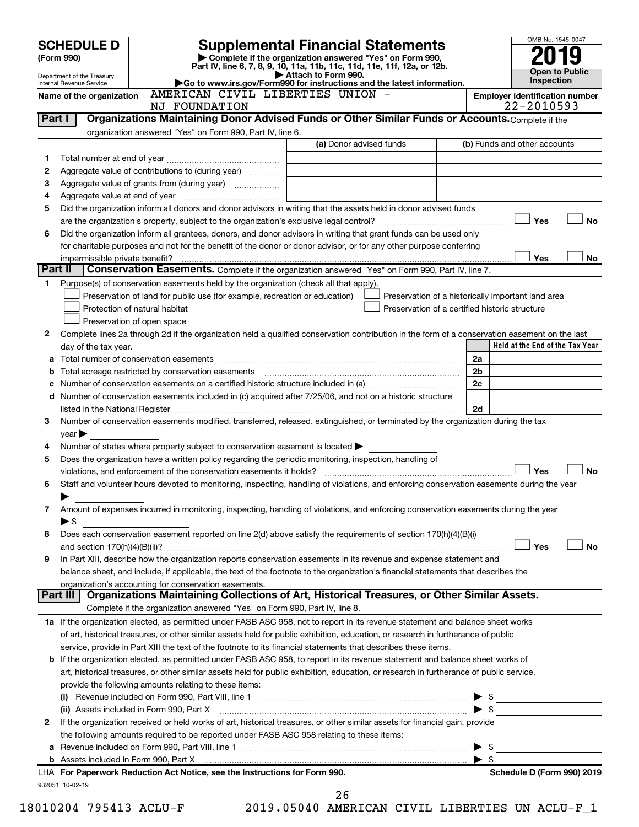|         |                                                        |                                                                                           | <b>Supplemental Financial Statements</b>                                                                                                                                                                                                                             |  | OMB No. 1545-0047                                  |           |
|---------|--------------------------------------------------------|-------------------------------------------------------------------------------------------|----------------------------------------------------------------------------------------------------------------------------------------------------------------------------------------------------------------------------------------------------------------------|--|----------------------------------------------------|-----------|
|         | <b>SCHEDULE D</b>                                      |                                                                                           |                                                                                                                                                                                                                                                                      |  |                                                    |           |
|         | (Form 990)                                             |                                                                                           | Complete if the organization answered "Yes" on Form 990,<br>Part IV, line 6, 7, 8, 9, 10, 11a, 11b, 11c, 11d, 11e, 11f, 12a, or 12b.<br>Attach to Form 990.                                                                                                          |  |                                                    |           |
|         | Department of the Treasury<br>Internal Revenue Service | Go to www.irs.gov/Form990 for instructions and the latest information.                    | Open to Public<br>Inspection                                                                                                                                                                                                                                         |  |                                                    |           |
|         | Name of the organization                               | AMERICAN CIVIL LIBERTIES UNION -                                                          |                                                                                                                                                                                                                                                                      |  | <b>Employer identification number</b>              |           |
|         |                                                        | NJ FOUNDATION                                                                             |                                                                                                                                                                                                                                                                      |  | 22-2010593                                         |           |
| Part I  |                                                        |                                                                                           | Organizations Maintaining Donor Advised Funds or Other Similar Funds or Accounts. Complete if the                                                                                                                                                                    |  |                                                    |           |
|         |                                                        | organization answered "Yes" on Form 990, Part IV, line 6.                                 | (a) Donor advised funds                                                                                                                                                                                                                                              |  | (b) Funds and other accounts                       |           |
| 1       |                                                        |                                                                                           |                                                                                                                                                                                                                                                                      |  |                                                    |           |
| 2       |                                                        | Aggregate value of contributions to (during year)                                         |                                                                                                                                                                                                                                                                      |  |                                                    |           |
| 3       |                                                        | Aggregate value of grants from (during year)                                              |                                                                                                                                                                                                                                                                      |  |                                                    |           |
| 4       |                                                        |                                                                                           |                                                                                                                                                                                                                                                                      |  |                                                    |           |
| 5       |                                                        |                                                                                           | Did the organization inform all donors and donor advisors in writing that the assets held in donor advised funds                                                                                                                                                     |  |                                                    |           |
|         |                                                        |                                                                                           |                                                                                                                                                                                                                                                                      |  | Yes                                                | <b>No</b> |
| 6       |                                                        |                                                                                           | Did the organization inform all grantees, donors, and donor advisors in writing that grant funds can be used only                                                                                                                                                    |  |                                                    |           |
|         |                                                        |                                                                                           | for charitable purposes and not for the benefit of the donor or donor advisor, or for any other purpose conferring                                                                                                                                                   |  |                                                    |           |
| Part II | impermissible private benefit?                         |                                                                                           | Conservation Easements. Complete if the organization answered "Yes" on Form 990, Part IV, line 7.                                                                                                                                                                    |  | Yes                                                | No        |
| 1.      |                                                        | Purpose(s) of conservation easements held by the organization (check all that apply).     |                                                                                                                                                                                                                                                                      |  |                                                    |           |
|         |                                                        | Preservation of land for public use (for example, recreation or education)                |                                                                                                                                                                                                                                                                      |  | Preservation of a historically important land area |           |
|         | Protection of natural habitat                          |                                                                                           |                                                                                                                                                                                                                                                                      |  | Preservation of a certified historic structure     |           |
|         | Preservation of open space                             |                                                                                           |                                                                                                                                                                                                                                                                      |  |                                                    |           |
| 2       |                                                        |                                                                                           | Complete lines 2a through 2d if the organization held a qualified conservation contribution in the form of a conservation easement on the last                                                                                                                       |  |                                                    |           |
|         | day of the tax year.                                   |                                                                                           |                                                                                                                                                                                                                                                                      |  | Held at the End of the Tax Year                    |           |
| а       |                                                        |                                                                                           |                                                                                                                                                                                                                                                                      |  | 2a                                                 |           |
| b       |                                                        | Total acreage restricted by conservation easements                                        |                                                                                                                                                                                                                                                                      |  | 2b                                                 |           |
| с       |                                                        |                                                                                           |                                                                                                                                                                                                                                                                      |  | 2c                                                 |           |
| d       |                                                        |                                                                                           | Number of conservation easements included in (c) acquired after 7/25/06, and not on a historic structure                                                                                                                                                             |  |                                                    |           |
|         |                                                        |                                                                                           | listed in the National Register [1111] Marshall Register [111] Marshall Register [11] Marshall Register [111] Marshall Register [111] Marshall Register [111] Marshall Register [11] Marshall Register [11] Marshall Register                                        |  | 2d                                                 |           |
| 3       |                                                        |                                                                                           | Number of conservation easements modified, transferred, released, extinguished, or terminated by the organization during the tax                                                                                                                                     |  |                                                    |           |
|         | year                                                   |                                                                                           |                                                                                                                                                                                                                                                                      |  |                                                    |           |
| 4       |                                                        | Number of states where property subject to conservation easement is located >             |                                                                                                                                                                                                                                                                      |  |                                                    |           |
| 5       |                                                        | violations, and enforcement of the conservation easements it holds?                       | Does the organization have a written policy regarding the periodic monitoring, inspection, handling of                                                                                                                                                               |  | Yes                                                | <b>No</b> |
| 6       |                                                        |                                                                                           | Staff and volunteer hours devoted to monitoring, inspecting, handling of violations, and enforcing conservation easements during the year                                                                                                                            |  |                                                    |           |
|         |                                                        |                                                                                           |                                                                                                                                                                                                                                                                      |  |                                                    |           |
| 7       |                                                        |                                                                                           | Amount of expenses incurred in monitoring, inspecting, handling of violations, and enforcing conservation easements during the year                                                                                                                                  |  |                                                    |           |
|         | $\blacktriangleright$ \$                               |                                                                                           |                                                                                                                                                                                                                                                                      |  |                                                    |           |
| 8       |                                                        |                                                                                           | Does each conservation easement reported on line 2(d) above satisfy the requirements of section 170(h)(4)(B)(i)                                                                                                                                                      |  |                                                    |           |
|         |                                                        |                                                                                           |                                                                                                                                                                                                                                                                      |  | Yes                                                | <b>No</b> |
| 9       |                                                        |                                                                                           | In Part XIII, describe how the organization reports conservation easements in its revenue and expense statement and                                                                                                                                                  |  |                                                    |           |
|         |                                                        |                                                                                           | balance sheet, and include, if applicable, the text of the footnote to the organization's financial statements that describes the                                                                                                                                    |  |                                                    |           |
|         |                                                        | organization's accounting for conservation easements.                                     |                                                                                                                                                                                                                                                                      |  |                                                    |           |
|         | Part III                                               |                                                                                           | Organizations Maintaining Collections of Art, Historical Treasures, or Other Similar Assets.                                                                                                                                                                         |  |                                                    |           |
|         |                                                        | Complete if the organization answered "Yes" on Form 990, Part IV, line 8.                 |                                                                                                                                                                                                                                                                      |  |                                                    |           |
|         |                                                        |                                                                                           | 1a If the organization elected, as permitted under FASB ASC 958, not to report in its revenue statement and balance sheet works<br>of art, historical treasures, or other similar assets held for public exhibition, education, or research in furtherance of public |  |                                                    |           |
|         |                                                        |                                                                                           | service, provide in Part XIII the text of the footnote to its financial statements that describes these items.                                                                                                                                                       |  |                                                    |           |
| b       |                                                        |                                                                                           | If the organization elected, as permitted under FASB ASC 958, to report in its revenue statement and balance sheet works of                                                                                                                                          |  |                                                    |           |
|         |                                                        |                                                                                           | art, historical treasures, or other similar assets held for public exhibition, education, or research in furtherance of public service,                                                                                                                              |  |                                                    |           |
|         |                                                        | provide the following amounts relating to these items:                                    |                                                                                                                                                                                                                                                                      |  |                                                    |           |
|         |                                                        |                                                                                           |                                                                                                                                                                                                                                                                      |  |                                                    |           |
|         | (ii) Assets included in Form 990, Part X               |                                                                                           |                                                                                                                                                                                                                                                                      |  | $\blacktriangleright$ s                            |           |
| 2       |                                                        |                                                                                           | If the organization received or held works of art, historical treasures, or other similar assets for financial gain, provide                                                                                                                                         |  |                                                    |           |
|         |                                                        | the following amounts required to be reported under FASB ASC 958 relating to these items: |                                                                                                                                                                                                                                                                      |  |                                                    |           |
| а       |                                                        |                                                                                           |                                                                                                                                                                                                                                                                      |  | - \$                                               |           |
|         |                                                        |                                                                                           |                                                                                                                                                                                                                                                                      |  | -\$                                                |           |
|         |                                                        | LHA For Paperwork Reduction Act Notice, see the Instructions for Form 990.                |                                                                                                                                                                                                                                                                      |  | Schedule D (Form 990) 2019                         |           |
|         | 932051 10-02-19                                        |                                                                                           | 26                                                                                                                                                                                                                                                                   |  |                                                    |           |
|         |                                                        |                                                                                           |                                                                                                                                                                                                                                                                      |  |                                                    |           |

<sup>18010204 795413</sup> ACLU-F 2019.05040 AMERICAN CIVIL LIBERTIES UN ACLU-F\_1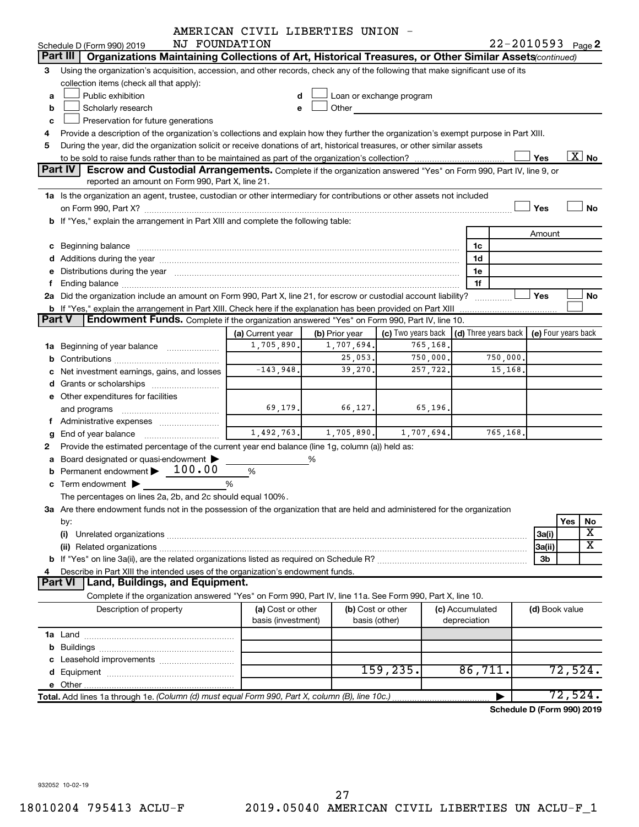|        |                                                                                                                                                                                                                                                          | AMERICAN CIVIL LIBERTIES UNION -        |                |                                    |            |                                            |          |                |                                      |
|--------|----------------------------------------------------------------------------------------------------------------------------------------------------------------------------------------------------------------------------------------------------------|-----------------------------------------|----------------|------------------------------------|------------|--------------------------------------------|----------|----------------|--------------------------------------|
|        | NJ FOUNDATION<br>Schedule D (Form 990) 2019                                                                                                                                                                                                              |                                         |                |                                    |            |                                            |          |                | $22 - 2010593$ Page 2                |
|        | Part III<br>Organizations Maintaining Collections of Art, Historical Treasures, or Other Similar Assets (continued)                                                                                                                                      |                                         |                |                                    |            |                                            |          |                |                                      |
| 3      | Using the organization's acquisition, accession, and other records, check any of the following that make significant use of its                                                                                                                          |                                         |                |                                    |            |                                            |          |                |                                      |
|        | collection items (check all that apply):                                                                                                                                                                                                                 |                                         |                |                                    |            |                                            |          |                |                                      |
| a      | Public exhibition                                                                                                                                                                                                                                        | d                                       |                | Loan or exchange program           |            |                                            |          |                |                                      |
| b      | Scholarly research<br>Other and the contract of the contract of the contract of the contract of the contract of the contract of the contract of the contract of the contract of the contract of the contract of the contract of the contract of the<br>е |                                         |                |                                    |            |                                            |          |                |                                      |
| c      | Preservation for future generations                                                                                                                                                                                                                      |                                         |                |                                    |            |                                            |          |                |                                      |
| 4      | Provide a description of the organization's collections and explain how they further the organization's exempt purpose in Part XIII.                                                                                                                     |                                         |                |                                    |            |                                            |          |                |                                      |
| 5      | During the year, did the organization solicit or receive donations of art, historical treasures, or other similar assets                                                                                                                                 |                                         |                |                                    |            |                                            |          |                |                                      |
|        |                                                                                                                                                                                                                                                          |                                         |                |                                    |            |                                            |          | Yes            | $\boxed{\text{X}}$ No                |
|        | <b>Part IV</b><br>Escrow and Custodial Arrangements. Complete if the organization answered "Yes" on Form 990, Part IV, line 9, or                                                                                                                        |                                         |                |                                    |            |                                            |          |                |                                      |
|        | reported an amount on Form 990, Part X, line 21.                                                                                                                                                                                                         |                                         |                |                                    |            |                                            |          |                |                                      |
|        | 1a Is the organization an agent, trustee, custodian or other intermediary for contributions or other assets not included                                                                                                                                 |                                         |                |                                    |            |                                            |          |                |                                      |
|        |                                                                                                                                                                                                                                                          |                                         |                |                                    |            |                                            |          | Yes            | No                                   |
|        | b If "Yes," explain the arrangement in Part XIII and complete the following table:                                                                                                                                                                       |                                         |                |                                    |            |                                            |          |                |                                      |
|        |                                                                                                                                                                                                                                                          |                                         |                |                                    |            |                                            |          | Amount         |                                      |
|        |                                                                                                                                                                                                                                                          |                                         |                |                                    |            | 1c                                         |          |                |                                      |
|        |                                                                                                                                                                                                                                                          |                                         |                |                                    |            | 1d                                         |          |                |                                      |
|        | e Distributions during the year manufactured and contain an account of the year manufactured and the year manufactured and the year manufactured and the year manufactured and the year manufactured and the year manufactured                           |                                         |                |                                    |            | 1e                                         |          |                |                                      |
|        |                                                                                                                                                                                                                                                          |                                         |                |                                    |            | 1f                                         |          |                |                                      |
|        | 2a Did the organization include an amount on Form 990, Part X, line 21, for escrow or custodial account liability?                                                                                                                                       |                                         |                |                                    |            |                                            | .        | Yes            | No                                   |
| Part V | <b>b</b> If "Yes," explain the arrangement in Part XIII. Check here if the explanation has been provided on Part XIII<br>Endowment Funds. Complete if the organization answered "Yes" on Form 990, Part IV, line 10.                                     |                                         |                |                                    |            |                                            |          |                |                                      |
|        |                                                                                                                                                                                                                                                          |                                         |                |                                    |            |                                            |          |                |                                      |
|        |                                                                                                                                                                                                                                                          | (a) Current year                        | (b) Prior year | (c) Two years back                 |            | (d) Three years back   (e) Four years back |          |                |                                      |
|        | <b>1a</b> Beginning of year balance                                                                                                                                                                                                                      | 1,705,890.                              | 1,707,694.     |                                    | 765,168.   |                                            |          |                |                                      |
|        |                                                                                                                                                                                                                                                          | $-143,948.$                             | 25,053.        |                                    | 750,000.   |                                            | 750,000. |                |                                      |
|        | Net investment earnings, gains, and losses                                                                                                                                                                                                               |                                         | 39,270.        |                                    | 257,722.   |                                            | 15,168.  |                |                                      |
|        |                                                                                                                                                                                                                                                          |                                         |                |                                    |            |                                            |          |                |                                      |
|        | e Other expenditures for facilities                                                                                                                                                                                                                      |                                         |                |                                    |            |                                            |          |                |                                      |
|        | and programs                                                                                                                                                                                                                                             | 69, 179.                                | 66,127.        |                                    | 65,196.    |                                            |          |                |                                      |
|        | f Administrative expenses                                                                                                                                                                                                                                | 1,492,763.                              |                |                                    |            |                                            |          |                |                                      |
|        |                                                                                                                                                                                                                                                          |                                         | 1,705,890.     |                                    | 1,707,694. |                                            | 765,168. |                |                                      |
|        | Provide the estimated percentage of the current year end balance (line 1g, column (a)) held as:                                                                                                                                                          |                                         |                |                                    |            |                                            |          |                |                                      |
|        | a Board designated or quasi-endowment >                                                                                                                                                                                                                  |                                         | %              |                                    |            |                                            |          |                |                                      |
|        | Permanent endowment > 100.00                                                                                                                                                                                                                             | %                                       |                |                                    |            |                                            |          |                |                                      |
|        | <b>c</b> Term endowment $\blacktriangleright$                                                                                                                                                                                                            | %                                       |                |                                    |            |                                            |          |                |                                      |
|        | The percentages on lines 2a, 2b, and 2c should equal 100%.                                                                                                                                                                                               |                                         |                |                                    |            |                                            |          |                |                                      |
|        | 3a Are there endowment funds not in the possession of the organization that are held and administered for the organization                                                                                                                               |                                         |                |                                    |            |                                            |          |                |                                      |
|        | by:                                                                                                                                                                                                                                                      |                                         |                |                                    |            |                                            |          |                | Yes<br>No<br>$\overline{\mathbf{X}}$ |
|        | (i)                                                                                                                                                                                                                                                      |                                         |                |                                    |            |                                            |          | 3a(i)          | $\overline{\text{X}}$                |
|        |                                                                                                                                                                                                                                                          |                                         |                |                                    |            |                                            |          | 3a(ii)         |                                      |
|        |                                                                                                                                                                                                                                                          |                                         |                |                                    |            |                                            |          | 3b             |                                      |
| 4      | Describe in Part XIII the intended uses of the organization's endowment funds.<br><b>Part VI</b>                                                                                                                                                         |                                         |                |                                    |            |                                            |          |                |                                      |
|        | Land, Buildings, and Equipment.                                                                                                                                                                                                                          |                                         |                |                                    |            |                                            |          |                |                                      |
|        | Complete if the organization answered "Yes" on Form 990, Part IV, line 11a. See Form 990, Part X, line 10.                                                                                                                                               |                                         |                |                                    |            |                                            |          |                |                                      |
|        | Description of property                                                                                                                                                                                                                                  | (a) Cost or other<br>basis (investment) |                | (b) Cost or other<br>basis (other) |            | (c) Accumulated<br>depreciation            |          | (d) Book value |                                      |
|        |                                                                                                                                                                                                                                                          |                                         |                |                                    |            |                                            |          |                |                                      |
|        |                                                                                                                                                                                                                                                          |                                         |                |                                    |            |                                            |          |                |                                      |
|        |                                                                                                                                                                                                                                                          |                                         |                |                                    |            |                                            |          |                |                                      |
|        |                                                                                                                                                                                                                                                          |                                         |                | 159, 235.                          |            | 86,711.                                    |          |                | 72,524.                              |
|        |                                                                                                                                                                                                                                                          |                                         |                |                                    |            |                                            |          |                |                                      |
|        | Total. Add lines 1a through 1e. (Column (d) must equal Form 990, Part X, column (B), line 10c.)                                                                                                                                                          |                                         |                |                                    |            |                                            |          |                | 72,524.                              |
|        |                                                                                                                                                                                                                                                          |                                         |                |                                    |            |                                            |          |                |                                      |
|        |                                                                                                                                                                                                                                                          |                                         |                |                                    |            |                                            |          |                | Schedule D (Form 990) 2019           |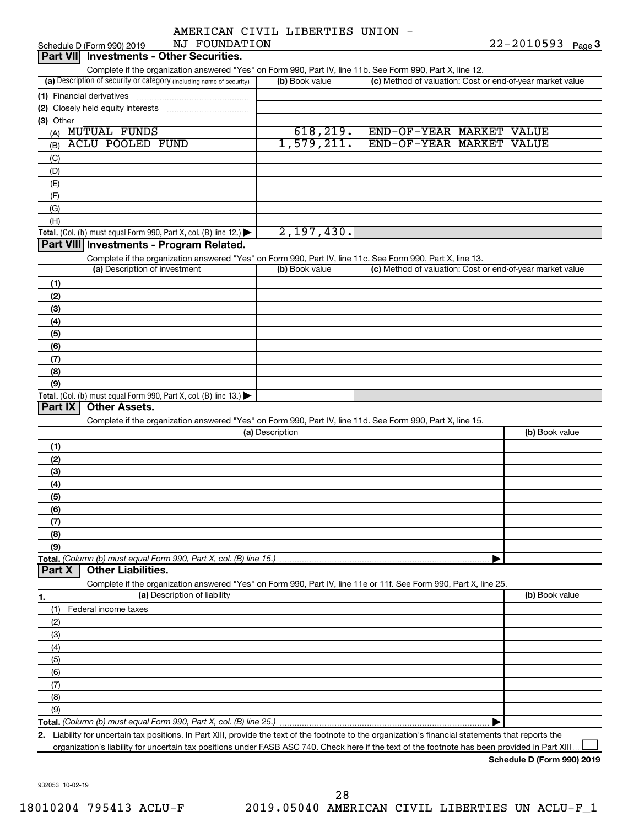|  | AMERICAN CIVIL LIBERTIES UNION |  |
|--|--------------------------------|--|
|  |                                |  |

| NJ FOUNDATION<br>Schedule D (Form 990) 2019                                                                                                          |                 |                          | 22-2010593 Page 3                                         |
|------------------------------------------------------------------------------------------------------------------------------------------------------|-----------------|--------------------------|-----------------------------------------------------------|
| <b>Investments - Other Securities.</b><br><b>Part VIII</b>                                                                                           |                 |                          |                                                           |
| Complete if the organization answered "Yes" on Form 990, Part IV, line 11b. See Form 990, Part X, line 12.                                           |                 |                          |                                                           |
| (a) Description of security or category (including name of security)                                                                                 | (b) Book value  |                          | (c) Method of valuation: Cost or end-of-year market value |
| (1) Financial derivatives                                                                                                                            |                 |                          |                                                           |
|                                                                                                                                                      |                 |                          |                                                           |
| (3) Other                                                                                                                                            |                 |                          |                                                           |
| <b>MUTUAL FUNDS</b><br>(A)                                                                                                                           | 618, 219.       | END-OF-YEAR MARKET VALUE |                                                           |
| <b>ACLU POOLED FUND</b><br>(B)                                                                                                                       | 1,579,211.      | END-OF-YEAR MARKET VALUE |                                                           |
| (C)                                                                                                                                                  |                 |                          |                                                           |
| (D)                                                                                                                                                  |                 |                          |                                                           |
| (E)                                                                                                                                                  |                 |                          |                                                           |
| (F)                                                                                                                                                  |                 |                          |                                                           |
| (G)                                                                                                                                                  |                 |                          |                                                           |
| (H)                                                                                                                                                  |                 |                          |                                                           |
| Total. (Col. (b) must equal Form 990, Part X, col. (B) line 12.) $\blacktriangleright$                                                               | 2,197,430.      |                          |                                                           |
| Part VIII Investments - Program Related.                                                                                                             |                 |                          |                                                           |
| Complete if the organization answered "Yes" on Form 990, Part IV, line 11c. See Form 990, Part X, line 13.                                           |                 |                          |                                                           |
| (a) Description of investment                                                                                                                        | (b) Book value  |                          | (c) Method of valuation: Cost or end-of-year market value |
| (1)                                                                                                                                                  |                 |                          |                                                           |
| (2)                                                                                                                                                  |                 |                          |                                                           |
| (3)                                                                                                                                                  |                 |                          |                                                           |
| (4)                                                                                                                                                  |                 |                          |                                                           |
| (5)                                                                                                                                                  |                 |                          |                                                           |
| (6)                                                                                                                                                  |                 |                          |                                                           |
| (7)                                                                                                                                                  |                 |                          |                                                           |
| (8)                                                                                                                                                  |                 |                          |                                                           |
| (9)                                                                                                                                                  |                 |                          |                                                           |
| Total. (Col. (b) must equal Form 990, Part X, col. (B) line $13.$ )<br><b>Other Assets.</b><br>Part IX                                               |                 |                          |                                                           |
|                                                                                                                                                      |                 |                          |                                                           |
| Complete if the organization answered "Yes" on Form 990, Part IV, line 11d. See Form 990, Part X, line 15.                                           | (a) Description |                          | (b) Book value                                            |
|                                                                                                                                                      |                 |                          |                                                           |
| (1)                                                                                                                                                  |                 |                          |                                                           |
| (2)                                                                                                                                                  |                 |                          |                                                           |
| (3)                                                                                                                                                  |                 |                          |                                                           |
| (4)<br>(5)                                                                                                                                           |                 |                          |                                                           |
|                                                                                                                                                      |                 |                          |                                                           |
| (6)<br>(7)                                                                                                                                           |                 |                          |                                                           |
| (8)                                                                                                                                                  |                 |                          |                                                           |
| (9)                                                                                                                                                  |                 |                          |                                                           |
| Total. (Column (b) must equal Form 990, Part X, col. (B) line 15.)                                                                                   |                 |                          |                                                           |
| <b>Other Liabilities.</b><br>Part X                                                                                                                  |                 |                          |                                                           |
| Complete if the organization answered "Yes" on Form 990, Part IV, line 11e or 11f. See Form 990, Part X, line 25.                                    |                 |                          |                                                           |
| (a) Description of liability<br>1.                                                                                                                   |                 |                          | (b) Book value                                            |
| Federal income taxes<br>(1)                                                                                                                          |                 |                          |                                                           |
| (2)                                                                                                                                                  |                 |                          |                                                           |
| (3)                                                                                                                                                  |                 |                          |                                                           |
| (4)                                                                                                                                                  |                 |                          |                                                           |
| (5)                                                                                                                                                  |                 |                          |                                                           |
| (6)                                                                                                                                                  |                 |                          |                                                           |
| (7)                                                                                                                                                  |                 |                          |                                                           |
| (8)                                                                                                                                                  |                 |                          |                                                           |
| (9)                                                                                                                                                  |                 |                          |                                                           |
|                                                                                                                                                      |                 |                          |                                                           |
| 2. Liability for uncertain tax positions. In Part XIII, provide the text of the footnote to the organization's financial statements that reports the |                 |                          |                                                           |

organization's liability for uncertain tax positions under FASB ASC 740. Check here if the text of the footnote has been provided in Part XIII...

**Schedule D (Form 990) 2019**

932053 10-02-19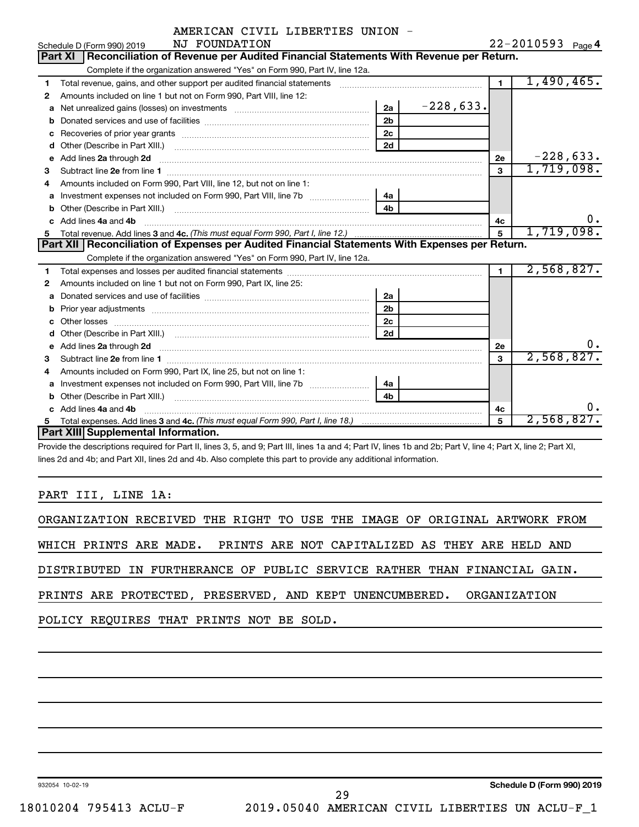| AMERICAN CIVIL LIBERTIES UNION |  |  |
|--------------------------------|--|--|
|--------------------------------|--|--|

|              | NJ FOUNDATION<br>Schedule D (Form 990) 2019                                                                                                                                                                                          |                |             |                | 22-2010593 Page 4 |    |
|--------------|--------------------------------------------------------------------------------------------------------------------------------------------------------------------------------------------------------------------------------------|----------------|-------------|----------------|-------------------|----|
|              | Reconciliation of Revenue per Audited Financial Statements With Revenue per Return.<br>Part XI                                                                                                                                       |                |             |                |                   |    |
|              | Complete if the organization answered "Yes" on Form 990, Part IV, line 12a.                                                                                                                                                          |                |             |                |                   |    |
| 1            | Total revenue, gains, and other support per audited financial statements [[[[[[[[[[[[[[[[[[[[[[]]]]]]]]]]]]]]                                                                                                                        |                |             | $\blacksquare$ | 1,490,465.        |    |
| 2            | Amounts included on line 1 but not on Form 990, Part VIII, line 12:                                                                                                                                                                  |                |             |                |                   |    |
| a            |                                                                                                                                                                                                                                      | 2a             | $-228,633.$ |                |                   |    |
| b            |                                                                                                                                                                                                                                      | 2 <sub>b</sub> |             |                |                   |    |
| с            |                                                                                                                                                                                                                                      | 2 <sub>c</sub> |             |                |                   |    |
| d            | Other (Describe in Part XIII.)                                                                                                                                                                                                       | 2d             |             |                |                   |    |
| e            | Add lines 2a through 2d                                                                                                                                                                                                              |                |             | 2е             | $-228,633.$       |    |
| 3            |                                                                                                                                                                                                                                      |                |             | 3              | 1,719,098.        |    |
|              | Amounts included on Form 990, Part VIII, line 12, but not on line 1:                                                                                                                                                                 |                |             |                |                   |    |
| a            | Investment expenses not included on Form 990, Part VIII, line 7b                                                                                                                                                                     | 4a             |             |                |                   |    |
| b            | Other (Describe in Part XIII.)                                                                                                                                                                                                       | 4 <sub>b</sub> |             |                |                   |    |
|              | Add lines 4a and 4b                                                                                                                                                                                                                  |                |             | 4c             |                   | 0. |
| 5.           |                                                                                                                                                                                                                                      | 5              | 1,719,098.  |                |                   |    |
|              | Part XII Reconciliation of Expenses per Audited Financial Statements With Expenses per Return.                                                                                                                                       |                |             |                |                   |    |
|              | Complete if the organization answered "Yes" on Form 990, Part IV, line 12a.                                                                                                                                                          |                |             |                |                   |    |
| 1            |                                                                                                                                                                                                                                      |                |             | $\blacksquare$ | 2,568,827.        |    |
| $\mathbf{2}$ | Amounts included on line 1 but not on Form 990, Part IX, line 25:                                                                                                                                                                    |                |             |                |                   |    |
| a            |                                                                                                                                                                                                                                      | 2a             |             |                |                   |    |
| b            |                                                                                                                                                                                                                                      | 2 <sub>b</sub> |             |                |                   |    |
| с            | Other losses <b>with a contract the contract of the contract of the contract of the contract of the contract of the contract of the contract of the contract of the contract of the contract of the contract of the contract of </b> | 2 <sub>c</sub> |             |                |                   |    |
|              |                                                                                                                                                                                                                                      | 2d             |             |                |                   |    |
| e            | Add lines 2a through 2d <b>contained a contained a contained a contained a</b> contained a contact the set of the set of the set of the set of the set of the set of the set of the set of the set of the set of the set of the set  |                |             | 2e             |                   | 0. |
| 3.           | Subtract line 2e from line 1                                                                                                                                                                                                         |                |             | 3              | 2,568,827.        |    |
| 4            | Amounts included on Form 990, Part IX, line 25, but not on line 1:                                                                                                                                                                   |                |             |                |                   |    |
| a            | Investment expenses not included on Form 990, Part VIII, line 7b [                                                                                                                                                                   | 4a             |             |                |                   |    |
|              |                                                                                                                                                                                                                                      |                |             |                |                   |    |
| b            |                                                                                                                                                                                                                                      | 4b             |             |                |                   |    |
|              | Add lines 4a and 4b                                                                                                                                                                                                                  |                |             | 4с             |                   | 0. |
|              | Part XIII Supplemental Information.                                                                                                                                                                                                  |                |             | 5              | 2,568,827.        |    |

Provide the descriptions required for Part II, lines 3, 5, and 9; Part III, lines 1a and 4; Part IV, lines 1b and 2b; Part V, line 4; Part X, line 2; Part XI, lines 2d and 4b; and Part XII, lines 2d and 4b. Also complete this part to provide any additional information.

# PART III, LINE 1A:

| ORGANIZATION RECEIVED THE RIGHT TO USE THE IMAGE OF ORIGINAL ARTWORK FROM |                                                                          |  |  |  |  |  |  |  |
|---------------------------------------------------------------------------|--------------------------------------------------------------------------|--|--|--|--|--|--|--|
|                                                                           | WHICH PRINTS ARE MADE. PRINTS ARE NOT CAPITALIZED AS THEY ARE HELD AND   |  |  |  |  |  |  |  |
|                                                                           | DISTRIBUTED IN FURTHERANCE OF PUBLIC SERVICE RATHER THAN FINANCIAL GAIN. |  |  |  |  |  |  |  |
|                                                                           | PRINTS ARE PROTECTED, PRESERVED, AND KEPT UNENCUMBERED. ORGANIZATION     |  |  |  |  |  |  |  |
|                                                                           | POLICY REQUIRES THAT PRINTS NOT BE SOLD.                                 |  |  |  |  |  |  |  |
|                                                                           |                                                                          |  |  |  |  |  |  |  |

932054 10-02-19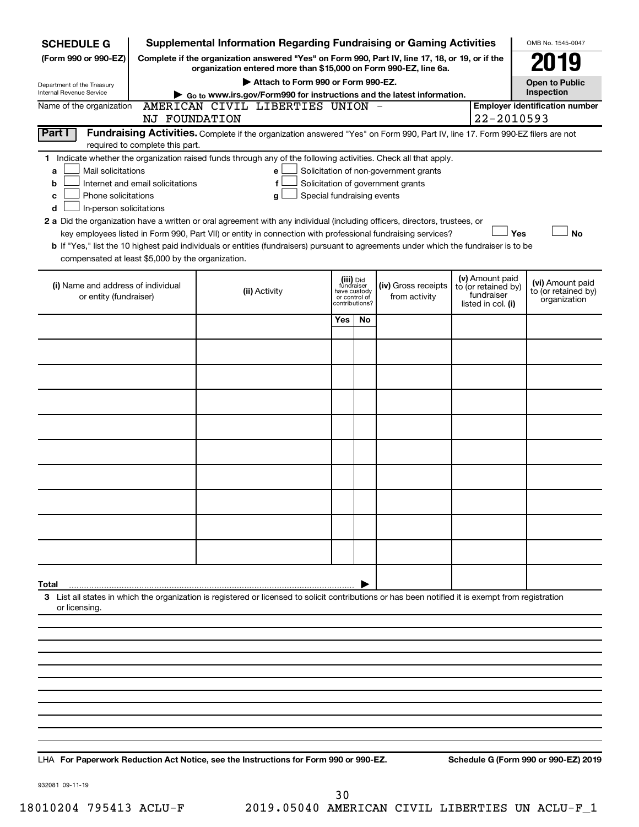| <b>SCHEDULE G</b>                                                                                                                                           | <b>Supplemental Information Regarding Fundraising or Gaming Activities</b>                                                                                          |     |                                                 |                                       |                                        | OMB No. 1545-0047                                   |
|-------------------------------------------------------------------------------------------------------------------------------------------------------------|---------------------------------------------------------------------------------------------------------------------------------------------------------------------|-----|-------------------------------------------------|---------------------------------------|----------------------------------------|-----------------------------------------------------|
| (Form 990 or 990-EZ)                                                                                                                                        | Complete if the organization answered "Yes" on Form 990, Part IV, line 17, 18, or 19, or if the<br>organization entered more than \$15,000 on Form 990-EZ, line 6a. |     |                                                 |                                       |                                        |                                                     |
| Department of the Treasury                                                                                                                                  | Attach to Form 990 or Form 990-EZ.                                                                                                                                  |     |                                                 |                                       |                                        | <b>Open to Public</b>                               |
| Internal Revenue Service<br>Name of the organization                                                                                                        | Go to www.irs.gov/Form990 for instructions and the latest information.<br>AMERICAN CIVIL LIBERTIES UNION                                                            |     |                                                 |                                       |                                        | Inspection<br><b>Employer identification number</b> |
|                                                                                                                                                             | NJ FOUNDATION                                                                                                                                                       |     |                                                 |                                       | 22-2010593                             |                                                     |
| <b>Part I</b>                                                                                                                                               | Fundraising Activities. Complete if the organization answered "Yes" on Form 990, Part IV, line 17. Form 990-EZ filers are not                                       |     |                                                 |                                       |                                        |                                                     |
| required to complete this part.<br>1.                                                                                                                       | Indicate whether the organization raised funds through any of the following activities. Check all that apply.                                                       |     |                                                 |                                       |                                        |                                                     |
| Mail solicitations<br>a                                                                                                                                     | е                                                                                                                                                                   |     |                                                 | Solicitation of non-government grants |                                        |                                                     |
| Internet and email solicitations<br>b                                                                                                                       | f                                                                                                                                                                   |     |                                                 | Solicitation of government grants     |                                        |                                                     |
| Phone solicitations<br>с<br>In-person solicitations<br>d                                                                                                    | Special fundraising events<br>g                                                                                                                                     |     |                                                 |                                       |                                        |                                                     |
| 2 a Did the organization have a written or oral agreement with any individual (including officers, directors, trustees, or                                  |                                                                                                                                                                     |     |                                                 |                                       |                                        |                                                     |
|                                                                                                                                                             | key employees listed in Form 990, Part VII) or entity in connection with professional fundraising services?                                                         |     |                                                 |                                       |                                        | Yes<br><b>No</b>                                    |
|                                                                                                                                                             | b If "Yes," list the 10 highest paid individuals or entities (fundraisers) pursuant to agreements under which the fundraiser is to be                               |     |                                                 |                                       |                                        |                                                     |
| compensated at least \$5,000 by the organization.                                                                                                           |                                                                                                                                                                     |     |                                                 |                                       |                                        |                                                     |
| (i) Name and address of individual                                                                                                                          |                                                                                                                                                                     |     | (iii) Did<br>fundraiser                         | (iv) Gross receipts                   | (v) Amount paid<br>to (or retained by) | (vi) Amount paid                                    |
| or entity (fundraiser)                                                                                                                                      | (ii) Activity                                                                                                                                                       |     | have custody<br>or control of<br>contributions? | from activity                         | fundraiser<br>listed in col. (i)       | to (or retained by)<br>organization                 |
|                                                                                                                                                             |                                                                                                                                                                     | Yes | No                                              |                                       |                                        |                                                     |
|                                                                                                                                                             |                                                                                                                                                                     |     |                                                 |                                       |                                        |                                                     |
|                                                                                                                                                             |                                                                                                                                                                     |     |                                                 |                                       |                                        |                                                     |
|                                                                                                                                                             |                                                                                                                                                                     |     |                                                 |                                       |                                        |                                                     |
|                                                                                                                                                             |                                                                                                                                                                     |     |                                                 |                                       |                                        |                                                     |
|                                                                                                                                                             |                                                                                                                                                                     |     |                                                 |                                       |                                        |                                                     |
|                                                                                                                                                             |                                                                                                                                                                     |     |                                                 |                                       |                                        |                                                     |
|                                                                                                                                                             |                                                                                                                                                                     |     |                                                 |                                       |                                        |                                                     |
|                                                                                                                                                             |                                                                                                                                                                     |     |                                                 |                                       |                                        |                                                     |
|                                                                                                                                                             |                                                                                                                                                                     |     |                                                 |                                       |                                        |                                                     |
|                                                                                                                                                             |                                                                                                                                                                     |     |                                                 |                                       |                                        |                                                     |
|                                                                                                                                                             |                                                                                                                                                                     |     |                                                 |                                       |                                        |                                                     |
|                                                                                                                                                             |                                                                                                                                                                     |     |                                                 |                                       |                                        |                                                     |
|                                                                                                                                                             |                                                                                                                                                                     |     |                                                 |                                       |                                        |                                                     |
|                                                                                                                                                             |                                                                                                                                                                     |     |                                                 |                                       |                                        |                                                     |
|                                                                                                                                                             |                                                                                                                                                                     |     |                                                 |                                       |                                        |                                                     |
| Total<br>3 List all states in which the organization is registered or licensed to solicit contributions or has been notified it is exempt from registration |                                                                                                                                                                     |     |                                                 |                                       |                                        |                                                     |
| or licensing.                                                                                                                                               |                                                                                                                                                                     |     |                                                 |                                       |                                        |                                                     |
|                                                                                                                                                             |                                                                                                                                                                     |     |                                                 |                                       |                                        |                                                     |
|                                                                                                                                                             |                                                                                                                                                                     |     |                                                 |                                       |                                        |                                                     |
|                                                                                                                                                             |                                                                                                                                                                     |     |                                                 |                                       |                                        |                                                     |
|                                                                                                                                                             |                                                                                                                                                                     |     |                                                 |                                       |                                        |                                                     |
|                                                                                                                                                             |                                                                                                                                                                     |     |                                                 |                                       |                                        |                                                     |
|                                                                                                                                                             |                                                                                                                                                                     |     |                                                 |                                       |                                        |                                                     |
|                                                                                                                                                             |                                                                                                                                                                     |     |                                                 |                                       |                                        |                                                     |

**For Paperwork Reduction Act Notice, see the Instructions for Form 990 or 990-EZ. Schedule G (Form 990 or 990-EZ) 2019** LHA

932081 09-11-19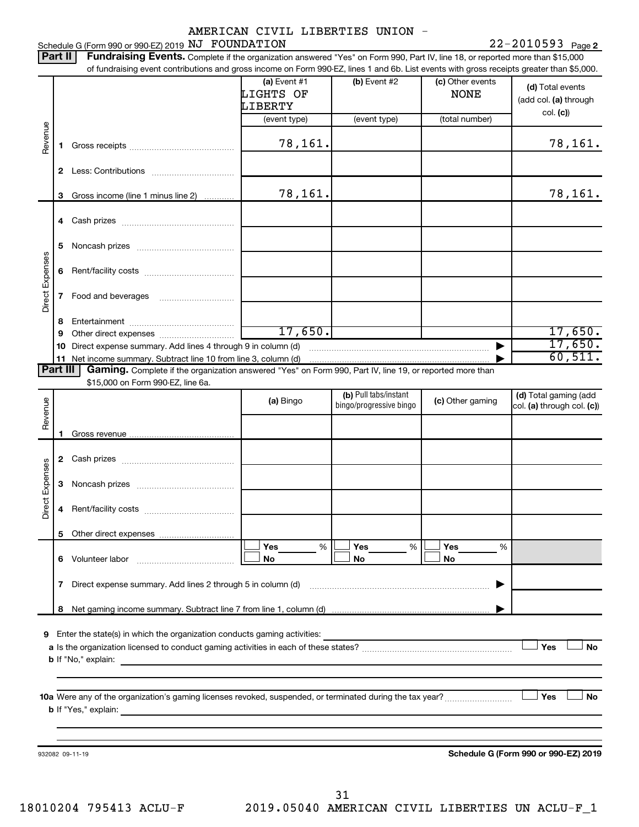#### Schedule G (Form 990 or 990-EZ) 2019 NU FOUNDATILON Number of the Contract of Australian Museum of Australian S NJ FOUNDATION 22-2010593

22-2010593 Page 2

|                 | Part II  | <b>Fundraising Events.</b> Complete if the organization answered "Yes" on Form 990, Part IV, line 18, or reported more than \$15,000      |                |                         |                  |                                      |
|-----------------|----------|-------------------------------------------------------------------------------------------------------------------------------------------|----------------|-------------------------|------------------|--------------------------------------|
|                 |          | of fundraising event contributions and gross income on Form 990-EZ, lines 1 and 6b. List events with gross receipts greater than \$5,000. |                |                         |                  |                                      |
|                 |          |                                                                                                                                           | (a) Event $#1$ | (b) Event #2            | (c) Other events | (d) Total events                     |
|                 |          |                                                                                                                                           | LIGHTS OF      |                         | <b>NONE</b>      | (add col. (a) through                |
|                 |          |                                                                                                                                           | LIBERTY        |                         |                  | col. (c))                            |
|                 |          |                                                                                                                                           | (event type)   | (event type)            | (total number)   |                                      |
| Revenue         |          |                                                                                                                                           |                |                         |                  |                                      |
|                 | 1.       |                                                                                                                                           | 78,161.        |                         |                  | 78,161.                              |
|                 |          |                                                                                                                                           |                |                         |                  |                                      |
|                 |          |                                                                                                                                           |                |                         |                  |                                      |
|                 |          |                                                                                                                                           |                |                         |                  |                                      |
|                 | З        | Gross income (line 1 minus line 2)                                                                                                        | 78,161.        |                         |                  | 78,161.                              |
|                 |          |                                                                                                                                           |                |                         |                  |                                      |
|                 |          |                                                                                                                                           |                |                         |                  |                                      |
|                 |          |                                                                                                                                           |                |                         |                  |                                      |
|                 | 5        |                                                                                                                                           |                |                         |                  |                                      |
|                 |          |                                                                                                                                           |                |                         |                  |                                      |
|                 | 6        |                                                                                                                                           |                |                         |                  |                                      |
| Direct Expenses |          |                                                                                                                                           |                |                         |                  |                                      |
|                 | 7        |                                                                                                                                           |                |                         |                  |                                      |
|                 |          |                                                                                                                                           |                |                         |                  |                                      |
|                 | 8        |                                                                                                                                           |                |                         |                  |                                      |
|                 | 9        |                                                                                                                                           | 17,650.        |                         |                  | 17,650.                              |
|                 | 10       |                                                                                                                                           |                |                         |                  | 17,650.                              |
|                 | 11       |                                                                                                                                           |                |                         |                  | 60,511.                              |
|                 | Part III | Gaming. Complete if the organization answered "Yes" on Form 990, Part IV, line 19, or reported more than                                  |                |                         |                  |                                      |
|                 |          | \$15,000 on Form 990-EZ, line 6a.                                                                                                         |                |                         |                  |                                      |
|                 |          |                                                                                                                                           | (a) Bingo      | (b) Pull tabs/instant   | (c) Other gaming | (d) Total gaming (add                |
|                 |          |                                                                                                                                           |                | bingo/progressive bingo |                  | col. (a) through col. (c))           |
| Revenue         |          |                                                                                                                                           |                |                         |                  |                                      |
|                 |          |                                                                                                                                           |                |                         |                  |                                      |
|                 |          |                                                                                                                                           |                |                         |                  |                                      |
|                 |          |                                                                                                                                           |                |                         |                  |                                      |
|                 |          |                                                                                                                                           |                |                         |                  |                                      |
|                 | З        |                                                                                                                                           |                |                         |                  |                                      |
| Direct Expenses |          |                                                                                                                                           |                |                         |                  |                                      |
|                 | 4        |                                                                                                                                           |                |                         |                  |                                      |
|                 |          |                                                                                                                                           |                |                         |                  |                                      |
|                 |          |                                                                                                                                           |                |                         |                  |                                      |
|                 |          |                                                                                                                                           | Yes<br>$\%$    | Yes<br>%                | Yes<br>%         |                                      |
|                 |          |                                                                                                                                           | No             | No                      | No               |                                      |
|                 |          |                                                                                                                                           |                |                         |                  |                                      |
|                 | 7        |                                                                                                                                           |                |                         |                  |                                      |
|                 |          |                                                                                                                                           |                |                         |                  |                                      |
|                 | 8        |                                                                                                                                           |                |                         |                  |                                      |
|                 |          |                                                                                                                                           |                |                         |                  |                                      |
| 9               |          |                                                                                                                                           |                |                         |                  |                                      |
|                 |          |                                                                                                                                           |                |                         |                  | Yes<br><b>No</b>                     |
|                 |          |                                                                                                                                           |                |                         |                  |                                      |
|                 |          |                                                                                                                                           |                |                         |                  |                                      |
|                 |          |                                                                                                                                           |                |                         |                  |                                      |
|                 |          | 10a Were any of the organization's gaming licenses revoked, suspended, or terminated during the tax year?                                 |                |                         |                  | Yes<br><b>No</b>                     |
|                 |          |                                                                                                                                           |                |                         |                  |                                      |
|                 |          |                                                                                                                                           |                |                         |                  |                                      |
|                 |          |                                                                                                                                           |                |                         |                  |                                      |
|                 |          | 932082 09-11-19                                                                                                                           |                |                         |                  | Schedule G (Form 990 or 990-EZ) 2019 |
|                 |          |                                                                                                                                           |                |                         |                  |                                      |
|                 |          |                                                                                                                                           |                |                         |                  |                                      |

31

18010204 795413 ACLU-F 2019.05040 AMERICAN CIVIL LIBERTIES UN ACLU-F\_1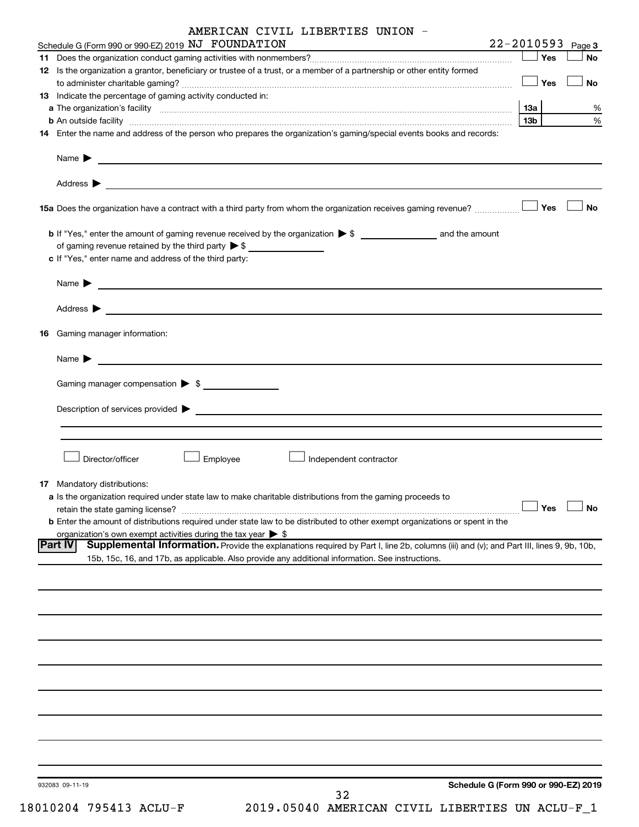|  |  | AMERICAN CIVIL LIBERTIES UNION |  |  |
|--|--|--------------------------------|--|--|
|--|--|--------------------------------|--|--|

|    | Schedule G (Form 990 or 990-EZ) 2019 NJ FOUNDATION                                                                                                                                                                                                                    |                 | 22-2010593 Page 3    |
|----|-----------------------------------------------------------------------------------------------------------------------------------------------------------------------------------------------------------------------------------------------------------------------|-----------------|----------------------|
| 11 |                                                                                                                                                                                                                                                                       | Yes             | No                   |
|    | 12 Is the organization a grantor, beneficiary or trustee of a trust, or a member of a partnership or other entity formed                                                                                                                                              | Yes             | No                   |
|    | 13 Indicate the percentage of gaming activity conducted in:                                                                                                                                                                                                           |                 |                      |
|    |                                                                                                                                                                                                                                                                       | 13a             | %                    |
|    | <b>b</b> An outside facility <i>www.communicality www.communicality.communicality www.communicality www.communicality.communicality www.communicality.com</i>                                                                                                         | 13 <sub>b</sub> | %                    |
|    | 14 Enter the name and address of the person who prepares the organization's gaming/special events books and records:                                                                                                                                                  |                 |                      |
|    | Name $\blacktriangleright$<br><u> 1989 - Andrea Stadt Britain, amerikansk politiker (</u>                                                                                                                                                                             |                 |                      |
|    | Address $\blacktriangleright$<br><u>some started and the started and the started and the started and the started and the started and the started and the started and the started and the started and the started and the started and the started and the started </u> |                 |                      |
|    | 15a Does the organization have a contract with a third party from whom the organization receives gaming revenue?                                                                                                                                                      | Yes             | No                   |
|    |                                                                                                                                                                                                                                                                       |                 |                      |
|    | of gaming revenue retained by the third party $\triangleright$ \$                                                                                                                                                                                                     |                 |                      |
|    | c If "Yes," enter name and address of the third party:                                                                                                                                                                                                                |                 |                      |
|    | Name $\blacktriangleright$<br><u> Alexandria (m. 1958)</u><br>1900 - Carl Maria (m. 1900)                                                                                                                                                                             |                 |                      |
|    | Address $\blacktriangleright$                                                                                                                                                                                                                                         |                 |                      |
| 16 | Gaming manager information:                                                                                                                                                                                                                                           |                 |                      |
|    | <u> 1989 - Johann Barbara, martin amerikan basal dan berasal dan berasal dalam basal dan berasal dan berasal dan</u><br>Name $\blacktriangleright$                                                                                                                    |                 |                      |
|    | Gaming manager compensation > \$                                                                                                                                                                                                                                      |                 |                      |
|    |                                                                                                                                                                                                                                                                       |                 |                      |
|    | Description of services provided states and the contract of the contract of the contract of the contract of the contract of the contract of the contract of the contract of the contract of the contract of the contract of th                                        |                 |                      |
|    |                                                                                                                                                                                                                                                                       |                 |                      |
|    | Director/officer<br>Employee<br>Independent contractor                                                                                                                                                                                                                |                 |                      |
|    | <b>17</b> Mandatory distributions:                                                                                                                                                                                                                                    |                 |                      |
|    | a Is the organization required under state law to make charitable distributions from the gaming proceeds to                                                                                                                                                           |                 |                      |
|    | retain the state gaming license?                                                                                                                                                                                                                                      |                 | $\Box$ Yes $\Box$ No |
|    | <b>b</b> Enter the amount of distributions required under state law to be distributed to other exempt organizations or spent in the                                                                                                                                   |                 |                      |
|    | organization's own exempt activities during the tax year $\triangleright$ \$                                                                                                                                                                                          |                 |                      |
|    | Part IV<br>Supplemental Information. Provide the explanations required by Part I, line 2b, columns (iii) and (v); and Part III, lines 9, 9b, 10b,<br>15b, 15c, 16, and 17b, as applicable. Also provide any additional information. See instructions.                 |                 |                      |
|    |                                                                                                                                                                                                                                                                       |                 |                      |
|    |                                                                                                                                                                                                                                                                       |                 |                      |
|    |                                                                                                                                                                                                                                                                       |                 |                      |
|    |                                                                                                                                                                                                                                                                       |                 |                      |
|    |                                                                                                                                                                                                                                                                       |                 |                      |
|    |                                                                                                                                                                                                                                                                       |                 |                      |
|    |                                                                                                                                                                                                                                                                       |                 |                      |
|    |                                                                                                                                                                                                                                                                       |                 |                      |
|    |                                                                                                                                                                                                                                                                       |                 |                      |
|    |                                                                                                                                                                                                                                                                       |                 |                      |
|    | Schedule G (Form 990 or 990-EZ) 2019<br>932083 09-11-19<br>32                                                                                                                                                                                                         |                 |                      |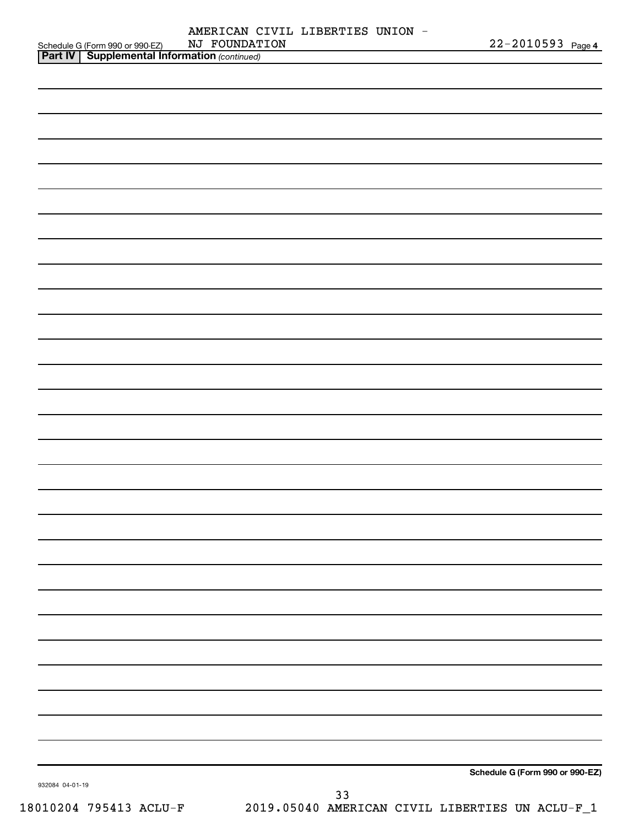|               | AMERICAN CIVIL LIBERTIES UNION - |  |                       |  |
|---------------|----------------------------------|--|-----------------------|--|
| NJ FOUNDATION |                                  |  | $22 - 2010593$ Page 4 |  |

| NJ FOUNDATION                                                                                       | <u>22-2010593 Page 4</u>        |
|-----------------------------------------------------------------------------------------------------|---------------------------------|
| Schedule G (Form 990 or 990-EZ) NJ FOUNDAT<br><b>Part IV   Supplemental Information</b> (continued) |                                 |
|                                                                                                     |                                 |
|                                                                                                     |                                 |
|                                                                                                     |                                 |
|                                                                                                     |                                 |
|                                                                                                     |                                 |
|                                                                                                     |                                 |
|                                                                                                     |                                 |
|                                                                                                     |                                 |
|                                                                                                     |                                 |
|                                                                                                     |                                 |
|                                                                                                     |                                 |
|                                                                                                     |                                 |
|                                                                                                     |                                 |
|                                                                                                     |                                 |
|                                                                                                     |                                 |
|                                                                                                     |                                 |
|                                                                                                     |                                 |
|                                                                                                     |                                 |
|                                                                                                     |                                 |
|                                                                                                     |                                 |
|                                                                                                     |                                 |
|                                                                                                     |                                 |
|                                                                                                     |                                 |
|                                                                                                     |                                 |
|                                                                                                     |                                 |
|                                                                                                     |                                 |
|                                                                                                     |                                 |
|                                                                                                     |                                 |
|                                                                                                     |                                 |
|                                                                                                     |                                 |
|                                                                                                     |                                 |
|                                                                                                     |                                 |
|                                                                                                     |                                 |
|                                                                                                     |                                 |
|                                                                                                     |                                 |
|                                                                                                     |                                 |
|                                                                                                     |                                 |
|                                                                                                     |                                 |
|                                                                                                     |                                 |
|                                                                                                     |                                 |
|                                                                                                     |                                 |
|                                                                                                     |                                 |
|                                                                                                     |                                 |
|                                                                                                     |                                 |
|                                                                                                     |                                 |
|                                                                                                     |                                 |
|                                                                                                     |                                 |
|                                                                                                     |                                 |
|                                                                                                     |                                 |
|                                                                                                     |                                 |
|                                                                                                     |                                 |
|                                                                                                     |                                 |
|                                                                                                     |                                 |
|                                                                                                     |                                 |
|                                                                                                     |                                 |
|                                                                                                     | Schedule G (Form 990 or 990-EZ) |
| 932084 04-01-19                                                                                     |                                 |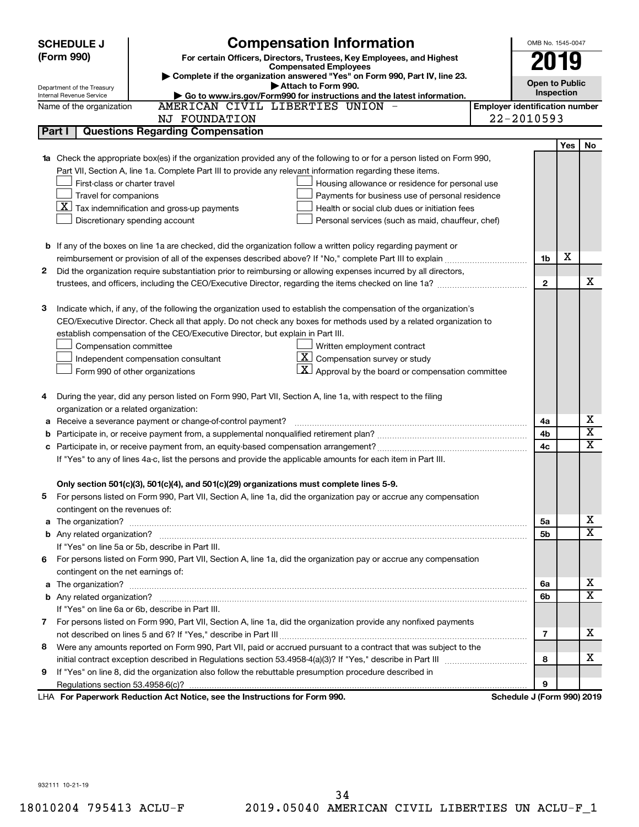| (Form 990)<br>For certain Officers, Directors, Trustees, Key Employees, and Highest<br>2019<br><b>Compensated Employees</b><br>Complete if the organization answered "Yes" on Form 990, Part IV, line 23.<br><b>Open to Public</b><br>Attach to Form 990.<br>Department of the Treasury<br>Inspection<br>Go to www.irs.gov/Form990 for instructions and the latest information.<br>Internal Revenue Service<br>AMERICAN CIVIL LIBERTIES UNION<br><b>Employer identification number</b><br>Name of the organization<br>22-2010593<br>NJ FOUNDATION<br>Part I<br><b>Questions Regarding Compensation</b><br><b>Yes</b><br>No<br>Check the appropriate box(es) if the organization provided any of the following to or for a person listed on Form 990,<br>Part VII, Section A, line 1a. Complete Part III to provide any relevant information regarding these items.<br>First-class or charter travel<br>Housing allowance or residence for personal use<br>Travel for companions<br>Payments for business use of personal residence<br>$ \mathbf{X} $ Tax indemnification and gross-up payments<br>Health or social club dues or initiation fees<br>Discretionary spending account<br>Personal services (such as maid, chauffeur, chef)<br><b>b</b> If any of the boxes on line 1a are checked, did the organization follow a written policy regarding payment or<br>х<br>1b<br>Did the organization require substantiation prior to reimbursing or allowing expenses incurred by all directors,<br>2<br>х<br>$\mathbf{2}$<br>з<br>Indicate which, if any, of the following the organization used to establish the compensation of the organization's<br>CEO/Executive Director. Check all that apply. Do not check any boxes for methods used by a related organization to<br>establish compensation of the CEO/Executive Director, but explain in Part III.<br>Compensation committee<br>Written employment contract<br>$ \mathbf{X} $ Compensation survey or study<br>Independent compensation consultant<br>$ \mathbf{X} $ Approval by the board or compensation committee<br>Form 990 of other organizations<br>During the year, did any person listed on Form 990, Part VII, Section A, line 1a, with respect to the filing<br>4<br>organization or a related organization:<br>х<br>Receive a severance payment or change-of-control payment?<br>4a<br>а<br>$\overline{\textbf{x}}$<br>4b<br>b<br>X<br>4c<br>c<br>If "Yes" to any of lines 4a-c, list the persons and provide the applicable amounts for each item in Part III.<br>Only section 501(c)(3), 501(c)(4), and 501(c)(29) organizations must complete lines 5-9.<br>For persons listed on Form 990, Part VII, Section A, line 1a, did the organization pay or accrue any compensation<br>contingent on the revenues of:<br>х<br>5a<br>X<br>5b<br>If "Yes" on line 5a or 5b, describe in Part III.<br>6 For persons listed on Form 990, Part VII, Section A, line 1a, did the organization pay or accrue any compensation<br>contingent on the net earnings of:<br>х<br>6a<br>X<br>6b<br>If "Yes" on line 6a or 6b, describe in Part III.<br>7 For persons listed on Form 990, Part VII, Section A, line 1a, did the organization provide any nonfixed payments<br>x<br>7<br>Were any amounts reported on Form 990, Part VII, paid or accrued pursuant to a contract that was subject to the<br>8<br>x<br>8<br>If "Yes" on line 8, did the organization also follow the rebuttable presumption procedure described in<br>9<br>9<br>LHA For Paperwork Reduction Act Notice, see the Instructions for Form 990.<br>Schedule J (Form 990) 2019 | <b>SCHEDULE J</b> | <b>Compensation Information</b> | OMB No. 1545-0047 |  |  |  |
|------------------------------------------------------------------------------------------------------------------------------------------------------------------------------------------------------------------------------------------------------------------------------------------------------------------------------------------------------------------------------------------------------------------------------------------------------------------------------------------------------------------------------------------------------------------------------------------------------------------------------------------------------------------------------------------------------------------------------------------------------------------------------------------------------------------------------------------------------------------------------------------------------------------------------------------------------------------------------------------------------------------------------------------------------------------------------------------------------------------------------------------------------------------------------------------------------------------------------------------------------------------------------------------------------------------------------------------------------------------------------------------------------------------------------------------------------------------------------------------------------------------------------------------------------------------------------------------------------------------------------------------------------------------------------------------------------------------------------------------------------------------------------------------------------------------------------------------------------------------------------------------------------------------------------------------------------------------------------------------------------------------------------------------------------------------------------------------------------------------------------------------------------------------------------------------------------------------------------------------------------------------------------------------------------------------------------------------------------------------------------------------------------------------------------------------------------------------------------------------------------------------------------------------------------------------------------------------------------------------------------------------------------------------------------------------------------------------------------------------------------------------------------------------------------------------------------------------------------------------------------------------------------------------------------------------------------------------------------------------------------------------------------------------------------------------------------------------------------------------------------------------------------------------------------------------------------------------------------------------------------------------------------------------------------------------------------------------------------------------------------------------------------------------------------------------------------------------------------------------------------------------------------------------------------------------------------------------------------------|-------------------|---------------------------------|-------------------|--|--|--|
|                                                                                                                                                                                                                                                                                                                                                                                                                                                                                                                                                                                                                                                                                                                                                                                                                                                                                                                                                                                                                                                                                                                                                                                                                                                                                                                                                                                                                                                                                                                                                                                                                                                                                                                                                                                                                                                                                                                                                                                                                                                                                                                                                                                                                                                                                                                                                                                                                                                                                                                                                                                                                                                                                                                                                                                                                                                                                                                                                                                                                                                                                                                                                                                                                                                                                                                                                                                                                                                                                                                                                                                                            |                   |                                 |                   |  |  |  |
|                                                                                                                                                                                                                                                                                                                                                                                                                                                                                                                                                                                                                                                                                                                                                                                                                                                                                                                                                                                                                                                                                                                                                                                                                                                                                                                                                                                                                                                                                                                                                                                                                                                                                                                                                                                                                                                                                                                                                                                                                                                                                                                                                                                                                                                                                                                                                                                                                                                                                                                                                                                                                                                                                                                                                                                                                                                                                                                                                                                                                                                                                                                                                                                                                                                                                                                                                                                                                                                                                                                                                                                                            |                   |                                 |                   |  |  |  |
|                                                                                                                                                                                                                                                                                                                                                                                                                                                                                                                                                                                                                                                                                                                                                                                                                                                                                                                                                                                                                                                                                                                                                                                                                                                                                                                                                                                                                                                                                                                                                                                                                                                                                                                                                                                                                                                                                                                                                                                                                                                                                                                                                                                                                                                                                                                                                                                                                                                                                                                                                                                                                                                                                                                                                                                                                                                                                                                                                                                                                                                                                                                                                                                                                                                                                                                                                                                                                                                                                                                                                                                                            |                   |                                 |                   |  |  |  |
|                                                                                                                                                                                                                                                                                                                                                                                                                                                                                                                                                                                                                                                                                                                                                                                                                                                                                                                                                                                                                                                                                                                                                                                                                                                                                                                                                                                                                                                                                                                                                                                                                                                                                                                                                                                                                                                                                                                                                                                                                                                                                                                                                                                                                                                                                                                                                                                                                                                                                                                                                                                                                                                                                                                                                                                                                                                                                                                                                                                                                                                                                                                                                                                                                                                                                                                                                                                                                                                                                                                                                                                                            |                   |                                 |                   |  |  |  |
|                                                                                                                                                                                                                                                                                                                                                                                                                                                                                                                                                                                                                                                                                                                                                                                                                                                                                                                                                                                                                                                                                                                                                                                                                                                                                                                                                                                                                                                                                                                                                                                                                                                                                                                                                                                                                                                                                                                                                                                                                                                                                                                                                                                                                                                                                                                                                                                                                                                                                                                                                                                                                                                                                                                                                                                                                                                                                                                                                                                                                                                                                                                                                                                                                                                                                                                                                                                                                                                                                                                                                                                                            |                   |                                 |                   |  |  |  |
|                                                                                                                                                                                                                                                                                                                                                                                                                                                                                                                                                                                                                                                                                                                                                                                                                                                                                                                                                                                                                                                                                                                                                                                                                                                                                                                                                                                                                                                                                                                                                                                                                                                                                                                                                                                                                                                                                                                                                                                                                                                                                                                                                                                                                                                                                                                                                                                                                                                                                                                                                                                                                                                                                                                                                                                                                                                                                                                                                                                                                                                                                                                                                                                                                                                                                                                                                                                                                                                                                                                                                                                                            |                   |                                 |                   |  |  |  |
|                                                                                                                                                                                                                                                                                                                                                                                                                                                                                                                                                                                                                                                                                                                                                                                                                                                                                                                                                                                                                                                                                                                                                                                                                                                                                                                                                                                                                                                                                                                                                                                                                                                                                                                                                                                                                                                                                                                                                                                                                                                                                                                                                                                                                                                                                                                                                                                                                                                                                                                                                                                                                                                                                                                                                                                                                                                                                                                                                                                                                                                                                                                                                                                                                                                                                                                                                                                                                                                                                                                                                                                                            |                   |                                 |                   |  |  |  |
|                                                                                                                                                                                                                                                                                                                                                                                                                                                                                                                                                                                                                                                                                                                                                                                                                                                                                                                                                                                                                                                                                                                                                                                                                                                                                                                                                                                                                                                                                                                                                                                                                                                                                                                                                                                                                                                                                                                                                                                                                                                                                                                                                                                                                                                                                                                                                                                                                                                                                                                                                                                                                                                                                                                                                                                                                                                                                                                                                                                                                                                                                                                                                                                                                                                                                                                                                                                                                                                                                                                                                                                                            |                   |                                 |                   |  |  |  |
|                                                                                                                                                                                                                                                                                                                                                                                                                                                                                                                                                                                                                                                                                                                                                                                                                                                                                                                                                                                                                                                                                                                                                                                                                                                                                                                                                                                                                                                                                                                                                                                                                                                                                                                                                                                                                                                                                                                                                                                                                                                                                                                                                                                                                                                                                                                                                                                                                                                                                                                                                                                                                                                                                                                                                                                                                                                                                                                                                                                                                                                                                                                                                                                                                                                                                                                                                                                                                                                                                                                                                                                                            |                   |                                 |                   |  |  |  |
|                                                                                                                                                                                                                                                                                                                                                                                                                                                                                                                                                                                                                                                                                                                                                                                                                                                                                                                                                                                                                                                                                                                                                                                                                                                                                                                                                                                                                                                                                                                                                                                                                                                                                                                                                                                                                                                                                                                                                                                                                                                                                                                                                                                                                                                                                                                                                                                                                                                                                                                                                                                                                                                                                                                                                                                                                                                                                                                                                                                                                                                                                                                                                                                                                                                                                                                                                                                                                                                                                                                                                                                                            |                   |                                 |                   |  |  |  |
|                                                                                                                                                                                                                                                                                                                                                                                                                                                                                                                                                                                                                                                                                                                                                                                                                                                                                                                                                                                                                                                                                                                                                                                                                                                                                                                                                                                                                                                                                                                                                                                                                                                                                                                                                                                                                                                                                                                                                                                                                                                                                                                                                                                                                                                                                                                                                                                                                                                                                                                                                                                                                                                                                                                                                                                                                                                                                                                                                                                                                                                                                                                                                                                                                                                                                                                                                                                                                                                                                                                                                                                                            |                   |                                 |                   |  |  |  |
|                                                                                                                                                                                                                                                                                                                                                                                                                                                                                                                                                                                                                                                                                                                                                                                                                                                                                                                                                                                                                                                                                                                                                                                                                                                                                                                                                                                                                                                                                                                                                                                                                                                                                                                                                                                                                                                                                                                                                                                                                                                                                                                                                                                                                                                                                                                                                                                                                                                                                                                                                                                                                                                                                                                                                                                                                                                                                                                                                                                                                                                                                                                                                                                                                                                                                                                                                                                                                                                                                                                                                                                                            |                   |                                 |                   |  |  |  |
|                                                                                                                                                                                                                                                                                                                                                                                                                                                                                                                                                                                                                                                                                                                                                                                                                                                                                                                                                                                                                                                                                                                                                                                                                                                                                                                                                                                                                                                                                                                                                                                                                                                                                                                                                                                                                                                                                                                                                                                                                                                                                                                                                                                                                                                                                                                                                                                                                                                                                                                                                                                                                                                                                                                                                                                                                                                                                                                                                                                                                                                                                                                                                                                                                                                                                                                                                                                                                                                                                                                                                                                                            |                   |                                 |                   |  |  |  |
|                                                                                                                                                                                                                                                                                                                                                                                                                                                                                                                                                                                                                                                                                                                                                                                                                                                                                                                                                                                                                                                                                                                                                                                                                                                                                                                                                                                                                                                                                                                                                                                                                                                                                                                                                                                                                                                                                                                                                                                                                                                                                                                                                                                                                                                                                                                                                                                                                                                                                                                                                                                                                                                                                                                                                                                                                                                                                                                                                                                                                                                                                                                                                                                                                                                                                                                                                                                                                                                                                                                                                                                                            |                   |                                 |                   |  |  |  |
|                                                                                                                                                                                                                                                                                                                                                                                                                                                                                                                                                                                                                                                                                                                                                                                                                                                                                                                                                                                                                                                                                                                                                                                                                                                                                                                                                                                                                                                                                                                                                                                                                                                                                                                                                                                                                                                                                                                                                                                                                                                                                                                                                                                                                                                                                                                                                                                                                                                                                                                                                                                                                                                                                                                                                                                                                                                                                                                                                                                                                                                                                                                                                                                                                                                                                                                                                                                                                                                                                                                                                                                                            |                   |                                 |                   |  |  |  |
|                                                                                                                                                                                                                                                                                                                                                                                                                                                                                                                                                                                                                                                                                                                                                                                                                                                                                                                                                                                                                                                                                                                                                                                                                                                                                                                                                                                                                                                                                                                                                                                                                                                                                                                                                                                                                                                                                                                                                                                                                                                                                                                                                                                                                                                                                                                                                                                                                                                                                                                                                                                                                                                                                                                                                                                                                                                                                                                                                                                                                                                                                                                                                                                                                                                                                                                                                                                                                                                                                                                                                                                                            |                   |                                 |                   |  |  |  |
|                                                                                                                                                                                                                                                                                                                                                                                                                                                                                                                                                                                                                                                                                                                                                                                                                                                                                                                                                                                                                                                                                                                                                                                                                                                                                                                                                                                                                                                                                                                                                                                                                                                                                                                                                                                                                                                                                                                                                                                                                                                                                                                                                                                                                                                                                                                                                                                                                                                                                                                                                                                                                                                                                                                                                                                                                                                                                                                                                                                                                                                                                                                                                                                                                                                                                                                                                                                                                                                                                                                                                                                                            |                   |                                 |                   |  |  |  |
|                                                                                                                                                                                                                                                                                                                                                                                                                                                                                                                                                                                                                                                                                                                                                                                                                                                                                                                                                                                                                                                                                                                                                                                                                                                                                                                                                                                                                                                                                                                                                                                                                                                                                                                                                                                                                                                                                                                                                                                                                                                                                                                                                                                                                                                                                                                                                                                                                                                                                                                                                                                                                                                                                                                                                                                                                                                                                                                                                                                                                                                                                                                                                                                                                                                                                                                                                                                                                                                                                                                                                                                                            |                   |                                 |                   |  |  |  |
|                                                                                                                                                                                                                                                                                                                                                                                                                                                                                                                                                                                                                                                                                                                                                                                                                                                                                                                                                                                                                                                                                                                                                                                                                                                                                                                                                                                                                                                                                                                                                                                                                                                                                                                                                                                                                                                                                                                                                                                                                                                                                                                                                                                                                                                                                                                                                                                                                                                                                                                                                                                                                                                                                                                                                                                                                                                                                                                                                                                                                                                                                                                                                                                                                                                                                                                                                                                                                                                                                                                                                                                                            |                   |                                 |                   |  |  |  |
|                                                                                                                                                                                                                                                                                                                                                                                                                                                                                                                                                                                                                                                                                                                                                                                                                                                                                                                                                                                                                                                                                                                                                                                                                                                                                                                                                                                                                                                                                                                                                                                                                                                                                                                                                                                                                                                                                                                                                                                                                                                                                                                                                                                                                                                                                                                                                                                                                                                                                                                                                                                                                                                                                                                                                                                                                                                                                                                                                                                                                                                                                                                                                                                                                                                                                                                                                                                                                                                                                                                                                                                                            |                   |                                 |                   |  |  |  |
|                                                                                                                                                                                                                                                                                                                                                                                                                                                                                                                                                                                                                                                                                                                                                                                                                                                                                                                                                                                                                                                                                                                                                                                                                                                                                                                                                                                                                                                                                                                                                                                                                                                                                                                                                                                                                                                                                                                                                                                                                                                                                                                                                                                                                                                                                                                                                                                                                                                                                                                                                                                                                                                                                                                                                                                                                                                                                                                                                                                                                                                                                                                                                                                                                                                                                                                                                                                                                                                                                                                                                                                                            |                   |                                 |                   |  |  |  |
|                                                                                                                                                                                                                                                                                                                                                                                                                                                                                                                                                                                                                                                                                                                                                                                                                                                                                                                                                                                                                                                                                                                                                                                                                                                                                                                                                                                                                                                                                                                                                                                                                                                                                                                                                                                                                                                                                                                                                                                                                                                                                                                                                                                                                                                                                                                                                                                                                                                                                                                                                                                                                                                                                                                                                                                                                                                                                                                                                                                                                                                                                                                                                                                                                                                                                                                                                                                                                                                                                                                                                                                                            |                   |                                 |                   |  |  |  |
|                                                                                                                                                                                                                                                                                                                                                                                                                                                                                                                                                                                                                                                                                                                                                                                                                                                                                                                                                                                                                                                                                                                                                                                                                                                                                                                                                                                                                                                                                                                                                                                                                                                                                                                                                                                                                                                                                                                                                                                                                                                                                                                                                                                                                                                                                                                                                                                                                                                                                                                                                                                                                                                                                                                                                                                                                                                                                                                                                                                                                                                                                                                                                                                                                                                                                                                                                                                                                                                                                                                                                                                                            |                   |                                 |                   |  |  |  |
|                                                                                                                                                                                                                                                                                                                                                                                                                                                                                                                                                                                                                                                                                                                                                                                                                                                                                                                                                                                                                                                                                                                                                                                                                                                                                                                                                                                                                                                                                                                                                                                                                                                                                                                                                                                                                                                                                                                                                                                                                                                                                                                                                                                                                                                                                                                                                                                                                                                                                                                                                                                                                                                                                                                                                                                                                                                                                                                                                                                                                                                                                                                                                                                                                                                                                                                                                                                                                                                                                                                                                                                                            |                   |                                 |                   |  |  |  |
|                                                                                                                                                                                                                                                                                                                                                                                                                                                                                                                                                                                                                                                                                                                                                                                                                                                                                                                                                                                                                                                                                                                                                                                                                                                                                                                                                                                                                                                                                                                                                                                                                                                                                                                                                                                                                                                                                                                                                                                                                                                                                                                                                                                                                                                                                                                                                                                                                                                                                                                                                                                                                                                                                                                                                                                                                                                                                                                                                                                                                                                                                                                                                                                                                                                                                                                                                                                                                                                                                                                                                                                                            |                   |                                 |                   |  |  |  |
|                                                                                                                                                                                                                                                                                                                                                                                                                                                                                                                                                                                                                                                                                                                                                                                                                                                                                                                                                                                                                                                                                                                                                                                                                                                                                                                                                                                                                                                                                                                                                                                                                                                                                                                                                                                                                                                                                                                                                                                                                                                                                                                                                                                                                                                                                                                                                                                                                                                                                                                                                                                                                                                                                                                                                                                                                                                                                                                                                                                                                                                                                                                                                                                                                                                                                                                                                                                                                                                                                                                                                                                                            |                   |                                 |                   |  |  |  |
|                                                                                                                                                                                                                                                                                                                                                                                                                                                                                                                                                                                                                                                                                                                                                                                                                                                                                                                                                                                                                                                                                                                                                                                                                                                                                                                                                                                                                                                                                                                                                                                                                                                                                                                                                                                                                                                                                                                                                                                                                                                                                                                                                                                                                                                                                                                                                                                                                                                                                                                                                                                                                                                                                                                                                                                                                                                                                                                                                                                                                                                                                                                                                                                                                                                                                                                                                                                                                                                                                                                                                                                                            |                   |                                 |                   |  |  |  |
|                                                                                                                                                                                                                                                                                                                                                                                                                                                                                                                                                                                                                                                                                                                                                                                                                                                                                                                                                                                                                                                                                                                                                                                                                                                                                                                                                                                                                                                                                                                                                                                                                                                                                                                                                                                                                                                                                                                                                                                                                                                                                                                                                                                                                                                                                                                                                                                                                                                                                                                                                                                                                                                                                                                                                                                                                                                                                                                                                                                                                                                                                                                                                                                                                                                                                                                                                                                                                                                                                                                                                                                                            |                   |                                 |                   |  |  |  |
|                                                                                                                                                                                                                                                                                                                                                                                                                                                                                                                                                                                                                                                                                                                                                                                                                                                                                                                                                                                                                                                                                                                                                                                                                                                                                                                                                                                                                                                                                                                                                                                                                                                                                                                                                                                                                                                                                                                                                                                                                                                                                                                                                                                                                                                                                                                                                                                                                                                                                                                                                                                                                                                                                                                                                                                                                                                                                                                                                                                                                                                                                                                                                                                                                                                                                                                                                                                                                                                                                                                                                                                                            |                   |                                 |                   |  |  |  |
|                                                                                                                                                                                                                                                                                                                                                                                                                                                                                                                                                                                                                                                                                                                                                                                                                                                                                                                                                                                                                                                                                                                                                                                                                                                                                                                                                                                                                                                                                                                                                                                                                                                                                                                                                                                                                                                                                                                                                                                                                                                                                                                                                                                                                                                                                                                                                                                                                                                                                                                                                                                                                                                                                                                                                                                                                                                                                                                                                                                                                                                                                                                                                                                                                                                                                                                                                                                                                                                                                                                                                                                                            |                   |                                 |                   |  |  |  |
|                                                                                                                                                                                                                                                                                                                                                                                                                                                                                                                                                                                                                                                                                                                                                                                                                                                                                                                                                                                                                                                                                                                                                                                                                                                                                                                                                                                                                                                                                                                                                                                                                                                                                                                                                                                                                                                                                                                                                                                                                                                                                                                                                                                                                                                                                                                                                                                                                                                                                                                                                                                                                                                                                                                                                                                                                                                                                                                                                                                                                                                                                                                                                                                                                                                                                                                                                                                                                                                                                                                                                                                                            |                   |                                 |                   |  |  |  |
|                                                                                                                                                                                                                                                                                                                                                                                                                                                                                                                                                                                                                                                                                                                                                                                                                                                                                                                                                                                                                                                                                                                                                                                                                                                                                                                                                                                                                                                                                                                                                                                                                                                                                                                                                                                                                                                                                                                                                                                                                                                                                                                                                                                                                                                                                                                                                                                                                                                                                                                                                                                                                                                                                                                                                                                                                                                                                                                                                                                                                                                                                                                                                                                                                                                                                                                                                                                                                                                                                                                                                                                                            |                   |                                 |                   |  |  |  |
|                                                                                                                                                                                                                                                                                                                                                                                                                                                                                                                                                                                                                                                                                                                                                                                                                                                                                                                                                                                                                                                                                                                                                                                                                                                                                                                                                                                                                                                                                                                                                                                                                                                                                                                                                                                                                                                                                                                                                                                                                                                                                                                                                                                                                                                                                                                                                                                                                                                                                                                                                                                                                                                                                                                                                                                                                                                                                                                                                                                                                                                                                                                                                                                                                                                                                                                                                                                                                                                                                                                                                                                                            |                   |                                 |                   |  |  |  |
|                                                                                                                                                                                                                                                                                                                                                                                                                                                                                                                                                                                                                                                                                                                                                                                                                                                                                                                                                                                                                                                                                                                                                                                                                                                                                                                                                                                                                                                                                                                                                                                                                                                                                                                                                                                                                                                                                                                                                                                                                                                                                                                                                                                                                                                                                                                                                                                                                                                                                                                                                                                                                                                                                                                                                                                                                                                                                                                                                                                                                                                                                                                                                                                                                                                                                                                                                                                                                                                                                                                                                                                                            |                   |                                 |                   |  |  |  |
|                                                                                                                                                                                                                                                                                                                                                                                                                                                                                                                                                                                                                                                                                                                                                                                                                                                                                                                                                                                                                                                                                                                                                                                                                                                                                                                                                                                                                                                                                                                                                                                                                                                                                                                                                                                                                                                                                                                                                                                                                                                                                                                                                                                                                                                                                                                                                                                                                                                                                                                                                                                                                                                                                                                                                                                                                                                                                                                                                                                                                                                                                                                                                                                                                                                                                                                                                                                                                                                                                                                                                                                                            |                   |                                 |                   |  |  |  |
|                                                                                                                                                                                                                                                                                                                                                                                                                                                                                                                                                                                                                                                                                                                                                                                                                                                                                                                                                                                                                                                                                                                                                                                                                                                                                                                                                                                                                                                                                                                                                                                                                                                                                                                                                                                                                                                                                                                                                                                                                                                                                                                                                                                                                                                                                                                                                                                                                                                                                                                                                                                                                                                                                                                                                                                                                                                                                                                                                                                                                                                                                                                                                                                                                                                                                                                                                                                                                                                                                                                                                                                                            |                   |                                 |                   |  |  |  |
|                                                                                                                                                                                                                                                                                                                                                                                                                                                                                                                                                                                                                                                                                                                                                                                                                                                                                                                                                                                                                                                                                                                                                                                                                                                                                                                                                                                                                                                                                                                                                                                                                                                                                                                                                                                                                                                                                                                                                                                                                                                                                                                                                                                                                                                                                                                                                                                                                                                                                                                                                                                                                                                                                                                                                                                                                                                                                                                                                                                                                                                                                                                                                                                                                                                                                                                                                                                                                                                                                                                                                                                                            |                   |                                 |                   |  |  |  |
|                                                                                                                                                                                                                                                                                                                                                                                                                                                                                                                                                                                                                                                                                                                                                                                                                                                                                                                                                                                                                                                                                                                                                                                                                                                                                                                                                                                                                                                                                                                                                                                                                                                                                                                                                                                                                                                                                                                                                                                                                                                                                                                                                                                                                                                                                                                                                                                                                                                                                                                                                                                                                                                                                                                                                                                                                                                                                                                                                                                                                                                                                                                                                                                                                                                                                                                                                                                                                                                                                                                                                                                                            |                   |                                 |                   |  |  |  |
|                                                                                                                                                                                                                                                                                                                                                                                                                                                                                                                                                                                                                                                                                                                                                                                                                                                                                                                                                                                                                                                                                                                                                                                                                                                                                                                                                                                                                                                                                                                                                                                                                                                                                                                                                                                                                                                                                                                                                                                                                                                                                                                                                                                                                                                                                                                                                                                                                                                                                                                                                                                                                                                                                                                                                                                                                                                                                                                                                                                                                                                                                                                                                                                                                                                                                                                                                                                                                                                                                                                                                                                                            |                   |                                 |                   |  |  |  |
|                                                                                                                                                                                                                                                                                                                                                                                                                                                                                                                                                                                                                                                                                                                                                                                                                                                                                                                                                                                                                                                                                                                                                                                                                                                                                                                                                                                                                                                                                                                                                                                                                                                                                                                                                                                                                                                                                                                                                                                                                                                                                                                                                                                                                                                                                                                                                                                                                                                                                                                                                                                                                                                                                                                                                                                                                                                                                                                                                                                                                                                                                                                                                                                                                                                                                                                                                                                                                                                                                                                                                                                                            |                   |                                 |                   |  |  |  |
|                                                                                                                                                                                                                                                                                                                                                                                                                                                                                                                                                                                                                                                                                                                                                                                                                                                                                                                                                                                                                                                                                                                                                                                                                                                                                                                                                                                                                                                                                                                                                                                                                                                                                                                                                                                                                                                                                                                                                                                                                                                                                                                                                                                                                                                                                                                                                                                                                                                                                                                                                                                                                                                                                                                                                                                                                                                                                                                                                                                                                                                                                                                                                                                                                                                                                                                                                                                                                                                                                                                                                                                                            |                   |                                 |                   |  |  |  |
|                                                                                                                                                                                                                                                                                                                                                                                                                                                                                                                                                                                                                                                                                                                                                                                                                                                                                                                                                                                                                                                                                                                                                                                                                                                                                                                                                                                                                                                                                                                                                                                                                                                                                                                                                                                                                                                                                                                                                                                                                                                                                                                                                                                                                                                                                                                                                                                                                                                                                                                                                                                                                                                                                                                                                                                                                                                                                                                                                                                                                                                                                                                                                                                                                                                                                                                                                                                                                                                                                                                                                                                                            |                   |                                 |                   |  |  |  |
|                                                                                                                                                                                                                                                                                                                                                                                                                                                                                                                                                                                                                                                                                                                                                                                                                                                                                                                                                                                                                                                                                                                                                                                                                                                                                                                                                                                                                                                                                                                                                                                                                                                                                                                                                                                                                                                                                                                                                                                                                                                                                                                                                                                                                                                                                                                                                                                                                                                                                                                                                                                                                                                                                                                                                                                                                                                                                                                                                                                                                                                                                                                                                                                                                                                                                                                                                                                                                                                                                                                                                                                                            |                   |                                 |                   |  |  |  |
|                                                                                                                                                                                                                                                                                                                                                                                                                                                                                                                                                                                                                                                                                                                                                                                                                                                                                                                                                                                                                                                                                                                                                                                                                                                                                                                                                                                                                                                                                                                                                                                                                                                                                                                                                                                                                                                                                                                                                                                                                                                                                                                                                                                                                                                                                                                                                                                                                                                                                                                                                                                                                                                                                                                                                                                                                                                                                                                                                                                                                                                                                                                                                                                                                                                                                                                                                                                                                                                                                                                                                                                                            |                   |                                 |                   |  |  |  |
|                                                                                                                                                                                                                                                                                                                                                                                                                                                                                                                                                                                                                                                                                                                                                                                                                                                                                                                                                                                                                                                                                                                                                                                                                                                                                                                                                                                                                                                                                                                                                                                                                                                                                                                                                                                                                                                                                                                                                                                                                                                                                                                                                                                                                                                                                                                                                                                                                                                                                                                                                                                                                                                                                                                                                                                                                                                                                                                                                                                                                                                                                                                                                                                                                                                                                                                                                                                                                                                                                                                                                                                                            |                   |                                 |                   |  |  |  |
|                                                                                                                                                                                                                                                                                                                                                                                                                                                                                                                                                                                                                                                                                                                                                                                                                                                                                                                                                                                                                                                                                                                                                                                                                                                                                                                                                                                                                                                                                                                                                                                                                                                                                                                                                                                                                                                                                                                                                                                                                                                                                                                                                                                                                                                                                                                                                                                                                                                                                                                                                                                                                                                                                                                                                                                                                                                                                                                                                                                                                                                                                                                                                                                                                                                                                                                                                                                                                                                                                                                                                                                                            |                   |                                 |                   |  |  |  |
|                                                                                                                                                                                                                                                                                                                                                                                                                                                                                                                                                                                                                                                                                                                                                                                                                                                                                                                                                                                                                                                                                                                                                                                                                                                                                                                                                                                                                                                                                                                                                                                                                                                                                                                                                                                                                                                                                                                                                                                                                                                                                                                                                                                                                                                                                                                                                                                                                                                                                                                                                                                                                                                                                                                                                                                                                                                                                                                                                                                                                                                                                                                                                                                                                                                                                                                                                                                                                                                                                                                                                                                                            |                   |                                 |                   |  |  |  |
|                                                                                                                                                                                                                                                                                                                                                                                                                                                                                                                                                                                                                                                                                                                                                                                                                                                                                                                                                                                                                                                                                                                                                                                                                                                                                                                                                                                                                                                                                                                                                                                                                                                                                                                                                                                                                                                                                                                                                                                                                                                                                                                                                                                                                                                                                                                                                                                                                                                                                                                                                                                                                                                                                                                                                                                                                                                                                                                                                                                                                                                                                                                                                                                                                                                                                                                                                                                                                                                                                                                                                                                                            |                   |                                 |                   |  |  |  |
|                                                                                                                                                                                                                                                                                                                                                                                                                                                                                                                                                                                                                                                                                                                                                                                                                                                                                                                                                                                                                                                                                                                                                                                                                                                                                                                                                                                                                                                                                                                                                                                                                                                                                                                                                                                                                                                                                                                                                                                                                                                                                                                                                                                                                                                                                                                                                                                                                                                                                                                                                                                                                                                                                                                                                                                                                                                                                                                                                                                                                                                                                                                                                                                                                                                                                                                                                                                                                                                                                                                                                                                                            |                   |                                 |                   |  |  |  |
|                                                                                                                                                                                                                                                                                                                                                                                                                                                                                                                                                                                                                                                                                                                                                                                                                                                                                                                                                                                                                                                                                                                                                                                                                                                                                                                                                                                                                                                                                                                                                                                                                                                                                                                                                                                                                                                                                                                                                                                                                                                                                                                                                                                                                                                                                                                                                                                                                                                                                                                                                                                                                                                                                                                                                                                                                                                                                                                                                                                                                                                                                                                                                                                                                                                                                                                                                                                                                                                                                                                                                                                                            |                   |                                 |                   |  |  |  |
|                                                                                                                                                                                                                                                                                                                                                                                                                                                                                                                                                                                                                                                                                                                                                                                                                                                                                                                                                                                                                                                                                                                                                                                                                                                                                                                                                                                                                                                                                                                                                                                                                                                                                                                                                                                                                                                                                                                                                                                                                                                                                                                                                                                                                                                                                                                                                                                                                                                                                                                                                                                                                                                                                                                                                                                                                                                                                                                                                                                                                                                                                                                                                                                                                                                                                                                                                                                                                                                                                                                                                                                                            |                   |                                 |                   |  |  |  |

932111 10-21-19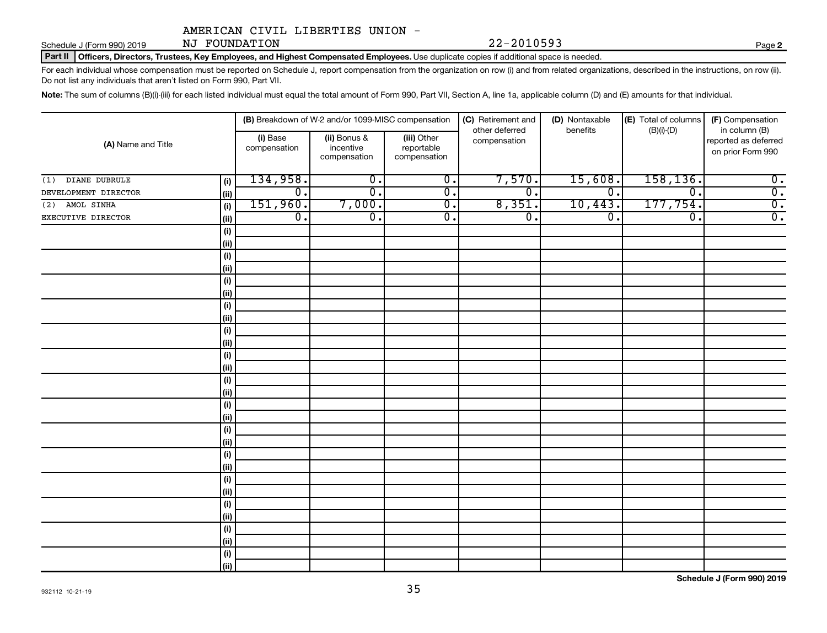Schedule J (Form 990) 2019  $NJ$   $FOUNDATION$   $22-2010593$ NJ FOUNDATION

**2**

Part II | Officers, Directors, Trustees, Key Employees, and Highest Compensated Employees. Use duplicate copies if additional space is needed.

For each individual whose compensation must be reported on Schedule J, report compensation from the organization on row (i) and from related organizations, described in the instructions, on row (ii). Do not list any individuals that aren't listed on Form 990, Part VII.

Note: The sum of columns (B)(i)-(iii) for each listed individual must equal the total amount of Form 990, Part VII, Section A, line 1a, applicable column (D) and (E) amounts for that individual.

|                      |                              |                          | (B) Breakdown of W-2 and/or 1099-MISC compensation |                                           | (C) Retirement and             | (D) Nontaxable   | (E) Total of columns | (F) Compensation                                           |
|----------------------|------------------------------|--------------------------|----------------------------------------------------|-------------------------------------------|--------------------------------|------------------|----------------------|------------------------------------------------------------|
| (A) Name and Title   |                              | (i) Base<br>compensation | (ii) Bonus &<br>incentive<br>compensation          | (iii) Other<br>reportable<br>compensation | other deferred<br>compensation | benefits         | $(B)(i)-(D)$         | in column (B)<br>reported as deferred<br>on prior Form 990 |
| DIANE DUBRULE<br>(1) | (i)                          | 134,958.                 | $\overline{0}$ .                                   | $\overline{0}$ .                          | 7,570.                         | 15,608.          | 158, 136.            | $\overline{0}$ .                                           |
| DEVELOPMENT DIRECTOR | (ii)                         | $\overline{0}$ .         | $\overline{0}$ .                                   | $\overline{0}$ .                          | $\overline{0}$ .               | $\overline{0}$ . | $\overline{0}$ .     | $\overline{0}$ .                                           |
| AMOL SINHA<br>(2)    | (i)                          | 151,960.                 | 7,000.                                             | $\overline{0}$ .                          | 8,351.                         | 10,443.          | 177,754.             | $\overline{0}$ .                                           |
| EXECUTIVE DIRECTOR   | (ii)                         | $\overline{0}$ .         | $\overline{0}$ .                                   | $\overline{0}$ .                          | $\overline{\mathfrak{o}}$ .    | $\overline{0}$ . | $\overline{0}$ .     | $\overline{0}$ .                                           |
|                      | $\qquad \qquad \textbf{(i)}$ |                          |                                                    |                                           |                                |                  |                      |                                                            |
|                      | (i)                          |                          |                                                    |                                           |                                |                  |                      |                                                            |
|                      | $\qquad \qquad \textbf{(i)}$ |                          |                                                    |                                           |                                |                  |                      |                                                            |
|                      | (ii)                         |                          |                                                    |                                           |                                |                  |                      |                                                            |
|                      | $\qquad \qquad \textbf{(i)}$ |                          |                                                    |                                           |                                |                  |                      |                                                            |
|                      | (ii)                         |                          |                                                    |                                           |                                |                  |                      |                                                            |
|                      | $\qquad \qquad \textbf{(i)}$ |                          |                                                    |                                           |                                |                  |                      |                                                            |
|                      | (ii)                         |                          |                                                    |                                           |                                |                  |                      |                                                            |
|                      | $(\sf{i})$                   |                          |                                                    |                                           |                                |                  |                      |                                                            |
|                      | (i)                          |                          |                                                    |                                           |                                |                  |                      |                                                            |
|                      | $(\sf{i})$                   |                          |                                                    |                                           |                                |                  |                      |                                                            |
|                      | (ii)                         |                          |                                                    |                                           |                                |                  |                      |                                                            |
|                      | $\qquad \qquad \textbf{(i)}$ |                          |                                                    |                                           |                                |                  |                      |                                                            |
|                      | (ii)                         |                          |                                                    |                                           |                                |                  |                      |                                                            |
|                      | $\qquad \qquad \textbf{(i)}$ |                          |                                                    |                                           |                                |                  |                      |                                                            |
|                      | (ii)                         |                          |                                                    |                                           |                                |                  |                      |                                                            |
|                      | $(\sf{i})$                   |                          |                                                    |                                           |                                |                  |                      |                                                            |
|                      | (ii)                         |                          |                                                    |                                           |                                |                  |                      |                                                            |
|                      | $(\sf{i})$                   |                          |                                                    |                                           |                                |                  |                      |                                                            |
|                      | (ii)                         |                          |                                                    |                                           |                                |                  |                      |                                                            |
|                      | $(\sf{i})$                   |                          |                                                    |                                           |                                |                  |                      |                                                            |
|                      | (ii)                         |                          |                                                    |                                           |                                |                  |                      |                                                            |
|                      | $(\sf{i})$                   |                          |                                                    |                                           |                                |                  |                      |                                                            |
|                      | (ii)                         |                          |                                                    |                                           |                                |                  |                      |                                                            |
|                      | $(\sf{i})$                   |                          |                                                    |                                           |                                |                  |                      |                                                            |
|                      | (ii)                         |                          |                                                    |                                           |                                |                  |                      |                                                            |
|                      | $(\sf{i})$                   |                          |                                                    |                                           |                                |                  |                      |                                                            |
|                      | (ii)                         |                          |                                                    |                                           |                                |                  |                      |                                                            |

**Schedule J (Form 990) 2019**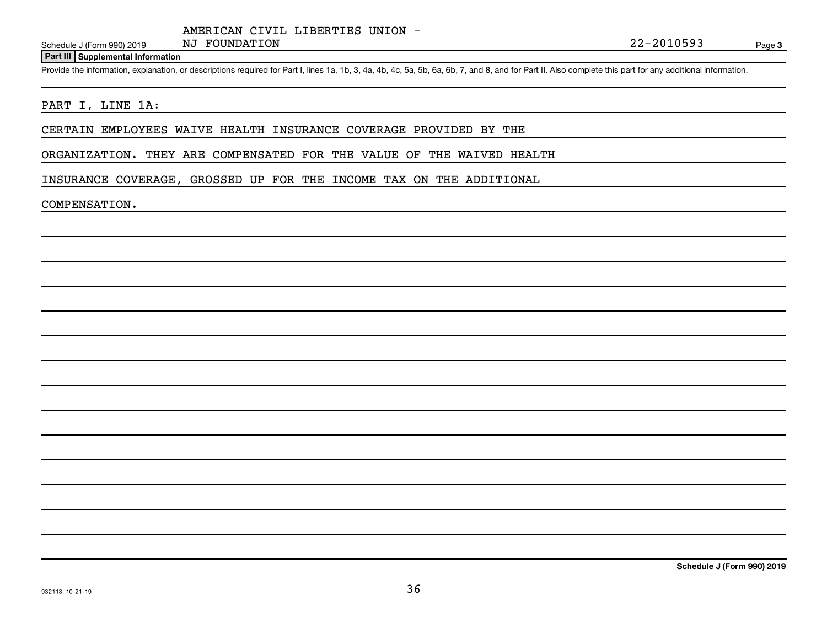### **Part III Supplemental Information**

Provide the information, explanation, or descriptions required for Part I, lines 1a, 1b, 3, 4a, 4b, 4c, 5a, 5b, 6a, 6b, 7, and 8, and for Part II. Also complete this part for any additional information.

### PART I, LINE 1A:

CERTAIN EMPLOYEES WAIVE HEALTH INSURANCE COVERAGE PROVIDED BY THE

ORGANIZATION. THEY ARE COMPENSATED FOR THE VALUE OF THE WAIVED HEALTH

INSURANCE COVERAGE, GROSSED UP FOR THE INCOME TAX ON THE ADDITIONAL

### COMPENSATION.

**Schedule J (Form 990) 2019**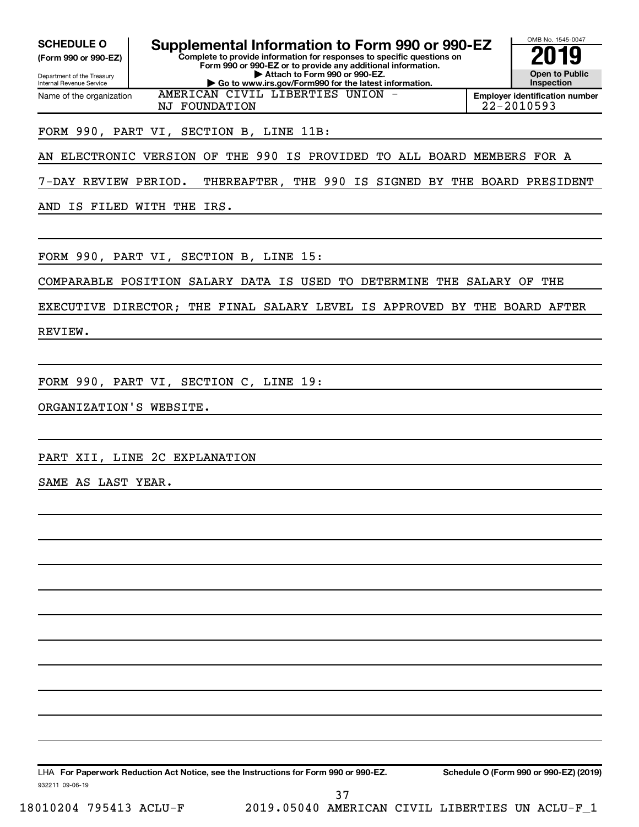OMB No. 1545-0047 Department of the Treasury Internal Revenue Service **Complete to provide information for responses to specific questions on Form 990 or 990-EZ or to provide any additional information. | Attach to Form 990 or 990-EZ. | Go to www.irs.gov/Form990 for the latest information. (Form 990 or 990-EZ) Open to Public Inspection Employer identification number** Name of the organization **SCHEDULE O Supplemental Information to Form 990 or 990-EZ 2019** AMERICAN CIVIL LIBERTIES UNION NJ FOUNDATION 22-2010593 FORM 990, PART VI, SECTION B, LINE 11B: AN ELECTRONIC VERSION OF THE 990 IS PROVIDED TO ALL BOARD MEMBERS FOR A 7-DAY REVIEW PERIOD. THEREAFTER, THE 990 IS SIGNED BY THE BOARD PRESIDENT AND IS FILED WITH THE IRS. FORM 990, PART VI, SECTION B, LINE 15: COMPARABLE POSITION SALARY DATA IS USED TO DETERMINE THE SALARY OF THE EXECUTIVE DIRECTOR; THE FINAL SALARY LEVEL IS APPROVED BY THE BOARD AFTER REVIEW. FORM 990, PART VI, SECTION C, LINE 19: ORGANIZATION'S WEBSITE. PART XII, LINE 2C EXPLANATION SAME AS LAST YEAR.

37

18010204 795413 ACLU-F 2019.05040 AMERICAN CIVIL LIBERTIES UN ACLU-F\_1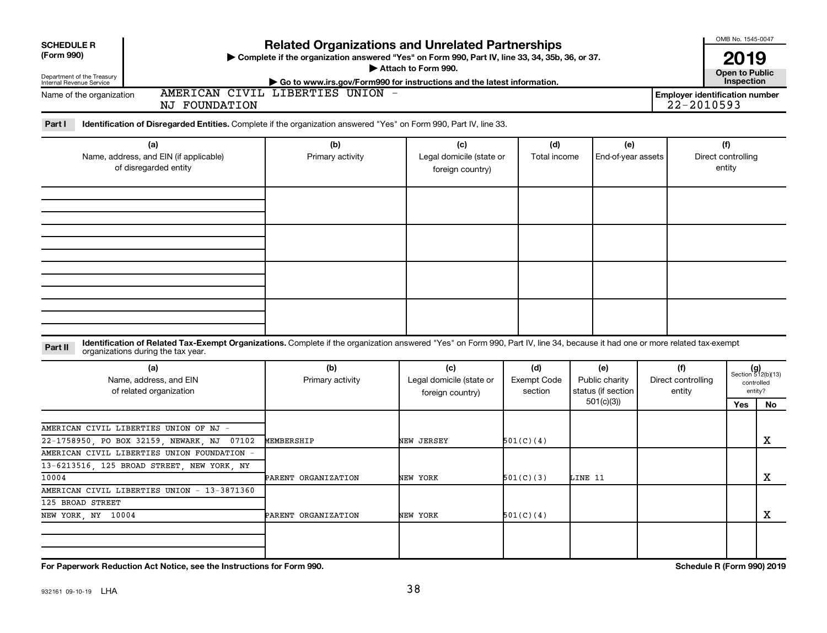| <b>SCHEDULE R</b>                                                                                                                                                                                                             | <b>Related Organizations and Unrelated Partnerships</b>                                                    |                                              |                    |                    |                                              | OMB No. 1545-0047            |                             |  |
|-------------------------------------------------------------------------------------------------------------------------------------------------------------------------------------------------------------------------------|------------------------------------------------------------------------------------------------------------|----------------------------------------------|--------------------|--------------------|----------------------------------------------|------------------------------|-----------------------------|--|
| (Form 990)                                                                                                                                                                                                                    | > Complete if the organization answered "Yes" on Form 990, Part IV, line 33, 34, 35b, 36, or 37.           |                                              |                    |                    |                                              | 2019                         |                             |  |
| Department of the Treasury<br>Internal Revenue Service                                                                                                                                                                        |                                                                                                            | Attach to Form 990.                          |                    |                    |                                              | <b>Open to Public</b>        |                             |  |
|                                                                                                                                                                                                                               | Go to www.irs.gov/Form990 for instructions and the latest information.<br>AMERICAN CIVIL LIBERTIES UNION - |                                              |                    |                    |                                              | Inspection                   |                             |  |
| Name of the organization<br>NJ FOUNDATION                                                                                                                                                                                     |                                                                                                            |                                              |                    |                    | Employer identification number<br>22-2010593 |                              |                             |  |
| Identification of Disregarded Entities. Complete if the organization answered "Yes" on Form 990, Part IV, line 33.<br>Part I                                                                                                  |                                                                                                            |                                              |                    |                    |                                              |                              |                             |  |
| (a)                                                                                                                                                                                                                           | (b)                                                                                                        | (c)                                          | (d)                | (e)                |                                              | (f)                          |                             |  |
| Name, address, and EIN (if applicable)<br>of disregarded entity                                                                                                                                                               | Primary activity                                                                                           | Legal domicile (state or<br>foreign country) | Total income       | End-of-year assets |                                              | Direct controlling<br>entity |                             |  |
|                                                                                                                                                                                                                               |                                                                                                            |                                              |                    |                    |                                              |                              |                             |  |
|                                                                                                                                                                                                                               |                                                                                                            |                                              |                    |                    |                                              |                              |                             |  |
|                                                                                                                                                                                                                               |                                                                                                            |                                              |                    |                    |                                              |                              |                             |  |
|                                                                                                                                                                                                                               |                                                                                                            |                                              |                    |                    |                                              |                              |                             |  |
|                                                                                                                                                                                                                               |                                                                                                            |                                              |                    |                    |                                              |                              |                             |  |
|                                                                                                                                                                                                                               |                                                                                                            |                                              |                    |                    |                                              |                              |                             |  |
| Identification of Related Tax-Exempt Organizations. Complete if the organization answered "Yes" on Form 990, Part IV, line 34, because it had one or more related tax-exempt<br>Part II<br>organizations during the tax year. |                                                                                                            |                                              |                    |                    |                                              |                              |                             |  |
| (a)                                                                                                                                                                                                                           | (b)                                                                                                        | (c)                                          | (d)                | (e)                | (f)                                          |                              | $(g)$<br>Section 512(b)(13) |  |
| Name, address, and EIN                                                                                                                                                                                                        | Primary activity                                                                                           | Legal domicile (state or                     | <b>Exempt Code</b> | Public charity     | Direct controlling                           |                              | controlled                  |  |
| of related organization                                                                                                                                                                                                       |                                                                                                            | foreign country)                             | section            | status (if section | entity                                       |                              | entity?                     |  |
|                                                                                                                                                                                                                               |                                                                                                            |                                              |                    | 501(c)(3)          |                                              | Yes                          | No                          |  |
|                                                                                                                                                                                                                               |                                                                                                            |                                              |                    |                    |                                              |                              |                             |  |
| AMERICAN CIVIL LIBERTIES UNION OF NJ -                                                                                                                                                                                        |                                                                                                            |                                              |                    |                    |                                              |                              |                             |  |
| 22-1758950, PO BOX 32159, NEWARK, NJ 07102                                                                                                                                                                                    | MEMBERSHIP                                                                                                 | NEW JERSEY                                   | 501(C)(4)          |                    |                                              |                              | X                           |  |
| AMERICAN CIVIL LIBERTIES UNION FOUNDATION                                                                                                                                                                                     |                                                                                                            |                                              |                    |                    |                                              |                              |                             |  |
| 13-6213516, 125 BROAD STREET, NEW YORK, NY                                                                                                                                                                                    |                                                                                                            |                                              |                    |                    |                                              |                              |                             |  |
| 10004                                                                                                                                                                                                                         | PARENT ORGANIZATION                                                                                        | NEW YORK                                     | 501(C)(3)          | LINE 11            |                                              |                              | X                           |  |
| AMERICAN CIVIL LIBERTIES UNION - 13-3871360<br>125 BROAD STREET                                                                                                                                                               |                                                                                                            |                                              |                    |                    |                                              |                              |                             |  |
| NEW YORK, NY 10004                                                                                                                                                                                                            | PARENT ORGANIZATION                                                                                        | NEW YORK                                     | 501(C)(4)          |                    |                                              |                              | X                           |  |
|                                                                                                                                                                                                                               |                                                                                                            |                                              |                    |                    |                                              |                              |                             |  |
|                                                                                                                                                                                                                               |                                                                                                            |                                              |                    |                    |                                              |                              |                             |  |
|                                                                                                                                                                                                                               |                                                                                                            |                                              |                    |                    |                                              |                              |                             |  |

**For Paperwork Reduction Act Notice, see the Instructions for Form 990. Schedule R (Form 990) 2019**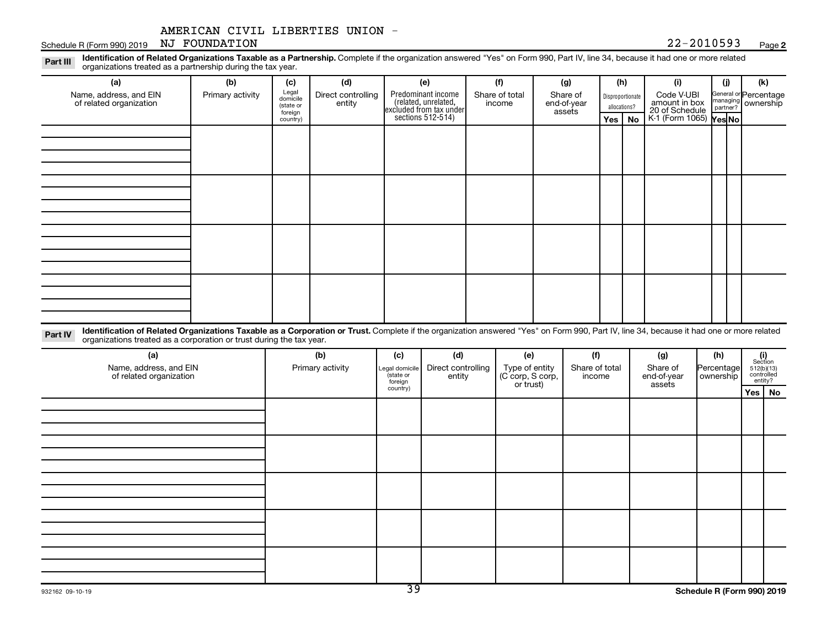### **2**

Disproportionate allocations? Legal domicile (state or foreign country) General or Percentage managing partner? Part III Identification of Related Organizations Taxable as a Partnership. Complete if the organization answered "Yes" on Form 990, Part IV, line 34, because it had one or more related<br>Read to the organizations tracted as **(a) (b) (c) (d) (e) (f) (g) (h) (i) (j) (k) Yes No Yes No** K-1 (Form 1065) Predominant income (related, unrelated, excluded from tax under sections 512-514) Schedule R (Form 990) 2019 NJ FOUNDATION  $22-2010593$  Page organizations treated as a partnership during the tax year. Name, address, and EIN of related organization Primary activity  $\left| \begin{array}{c} \text{Legal} \\ \text{demi} \end{array} \right|$  Direct controlling entity Share of total income Share of end-of-year assets Code V-UBI<br>amount in box 20 of Schedule ownership

Part IV Identification of Related Organizations Taxable as a Corporation or Trust. Complete if the organization answered "Yes" on Form 990, Part IV, line 34, because it had one or more related organizations treated as a corporation or trust during the tax year.

| (a)<br>Name, address, and EIN<br>of related organization | (b)<br>Primary activity | (c)<br>Legal domicile<br>(state or<br>foreign | (d)<br>Direct controlling<br>entity | (e)<br>Type of entity<br>(C corp, S corp,<br>or trust) | (f)<br>Share of total<br>income | (g)<br>Share of<br>end-of-year<br>assets | (h)<br>Percentage<br>  ownership | $\begin{array}{c} \textbf{(i)}\\ \text{Section}\\ 512 \text{(b)} \text{(13)}\\ \text{controlled}\\ \text{entity?} \end{array}$ |
|----------------------------------------------------------|-------------------------|-----------------------------------------------|-------------------------------------|--------------------------------------------------------|---------------------------------|------------------------------------------|----------------------------------|--------------------------------------------------------------------------------------------------------------------------------|
|                                                          |                         | country)                                      |                                     |                                                        |                                 |                                          |                                  | Yes   No                                                                                                                       |
|                                                          |                         |                                               |                                     |                                                        |                                 |                                          |                                  |                                                                                                                                |
|                                                          |                         |                                               |                                     |                                                        |                                 |                                          |                                  |                                                                                                                                |
|                                                          |                         |                                               |                                     |                                                        |                                 |                                          |                                  |                                                                                                                                |
|                                                          |                         |                                               |                                     |                                                        |                                 |                                          |                                  |                                                                                                                                |
|                                                          |                         |                                               |                                     |                                                        |                                 |                                          |                                  |                                                                                                                                |
|                                                          |                         |                                               |                                     |                                                        |                                 |                                          |                                  |                                                                                                                                |
|                                                          |                         |                                               |                                     |                                                        |                                 |                                          |                                  |                                                                                                                                |
|                                                          |                         |                                               |                                     |                                                        |                                 |                                          |                                  |                                                                                                                                |
|                                                          |                         |                                               |                                     |                                                        |                                 |                                          |                                  |                                                                                                                                |
|                                                          |                         |                                               |                                     |                                                        |                                 |                                          |                                  |                                                                                                                                |
|                                                          |                         |                                               |                                     |                                                        |                                 |                                          |                                  |                                                                                                                                |
|                                                          |                         |                                               |                                     |                                                        |                                 |                                          |                                  |                                                                                                                                |
|                                                          |                         |                                               |                                     |                                                        |                                 |                                          |                                  |                                                                                                                                |
|                                                          |                         |                                               |                                     |                                                        |                                 |                                          |                                  |                                                                                                                                |
|                                                          |                         |                                               |                                     |                                                        |                                 |                                          |                                  |                                                                                                                                |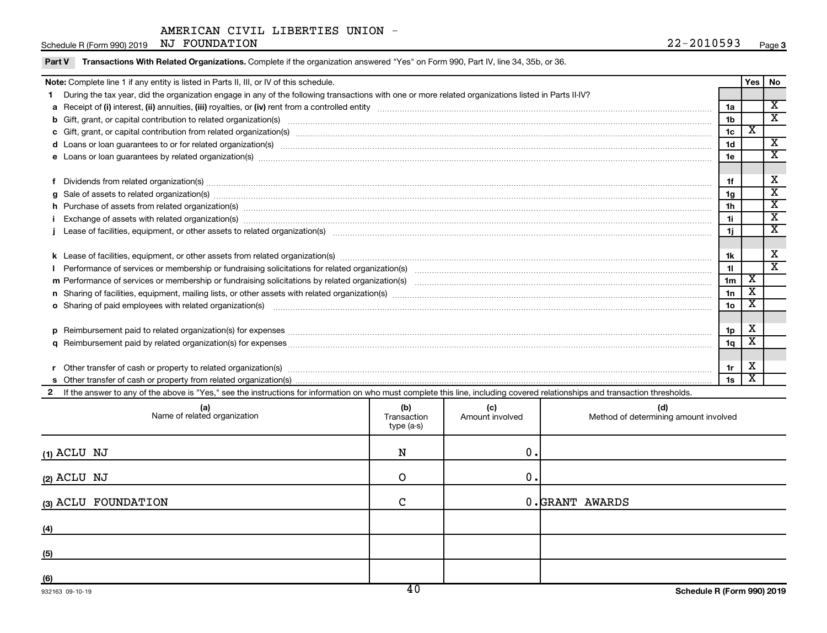Schedule R (Form 990) 2019 NJ FOUNDATION  $22-2010593$  Page

| Part V Transactions With Related Organizations. Complete if the organization answered "Yes" on Form 990, Part IV, line 34, 35b, or 36. |  |
|----------------------------------------------------------------------------------------------------------------------------------------|--|
|                                                                                                                                        |  |

| Note: Complete line 1 if any entity is listed in Parts II, III, or IV of this schedule.                                                                                                                                        |                 | Yes                     | <b>No</b>                   |
|--------------------------------------------------------------------------------------------------------------------------------------------------------------------------------------------------------------------------------|-----------------|-------------------------|-----------------------------|
| During the tax year, did the organization engage in any of the following transactions with one or more related organizations listed in Parts II-IV?                                                                            |                 |                         |                             |
|                                                                                                                                                                                                                                | 1a              |                         | $\overline{\mathbf{x}}$     |
| b Gift, grant, or capital contribution to related organization(s) manufactured content and content of the contribution to related organization(s) manufactured content and content of the content of the content of the conten | 1 <sub>b</sub>  |                         | $\mathbf{x}$                |
|                                                                                                                                                                                                                                | 1 <sub>c</sub>  | х                       |                             |
| d Loans or loan guarantees to or for related organization(s) www.communities.com/www.communities.com/www.communities.com/www.communities.com/www.communities.com/www.communities.com/www.communities.com/www.communities.com/w | 1 <sub>d</sub>  |                         | $\overline{\textbf{x}}$     |
|                                                                                                                                                                                                                                | 1e              |                         | $\overline{\textbf{X}}$     |
|                                                                                                                                                                                                                                |                 |                         |                             |
| Dividends from related organization(s) www.andron.com/www.andron.com/www.andron.com/www.andron.com/www.andron.com/www.andron.com/www.andron.com/www.andron.com/www.andron.com/www.andron.com/www.andron.com/www.andron.com/www | 1f              |                         | X                           |
| $g$ Sale of assets to related organization(s) $\ldots$                                                                                                                                                                         | 1g              |                         | $\overline{\mathbf{x}}$     |
|                                                                                                                                                                                                                                | 1h              |                         | $\overline{\mathbf{x}}$     |
|                                                                                                                                                                                                                                | 1i.             |                         | $\overline{\textnormal{x}}$ |
|                                                                                                                                                                                                                                | 1i.             |                         | $\overline{\textnormal{x}}$ |
|                                                                                                                                                                                                                                |                 |                         |                             |
|                                                                                                                                                                                                                                | 1k              |                         | X                           |
|                                                                                                                                                                                                                                | 11              |                         | $\overline{\texttt{x}}$     |
|                                                                                                                                                                                                                                | 1 <sub>m</sub>  | $\overline{\textbf{x}}$ |                             |
| n Sharing of facilities, equipment, mailing lists, or other assets with related organization(s) matches material content and the state of facilities.                                                                          | 1n              | X                       |                             |
| <b>o</b> Sharing of paid employees with related organization(s)                                                                                                                                                                | 10 <sub>o</sub> |                         |                             |
|                                                                                                                                                                                                                                |                 |                         |                             |
|                                                                                                                                                                                                                                | 1 <sub>p</sub>  | X                       |                             |
|                                                                                                                                                                                                                                | 1q              | х                       |                             |
|                                                                                                                                                                                                                                |                 |                         |                             |
| Other transfer of cash or property to related organization(s) CONSERVIERS CONSERVIERS AND TO THE RESERVIERS OF                                                                                                                 | 1r              | х                       |                             |
|                                                                                                                                                                                                                                | 1s              | х                       |                             |
| If the answer to any of the above is "Yes," see the instructions for information on who must complete this line, including covered relationships and transaction thresholds.                                                   |                 |                         |                             |

| (a)<br>Name of related organization | (b)<br>Transaction<br>type (a-s) | (c)<br>Amount involved | (d)<br>Method of determining amount involved |
|-------------------------------------|----------------------------------|------------------------|----------------------------------------------|
| $(1)$ ACLU NJ                       | N                                | $0$ .                  |                                              |
| (2) ACLU NJ                         | O                                | 0.                     |                                              |
| (3) ACLU FOUNDATION                 | C                                |                        | 0.GRANT AWARDS                               |
| (4)                                 |                                  |                        |                                              |
| (5)                                 |                                  |                        |                                              |
| (6)                                 | $\overline{\phantom{a}}$         |                        |                                              |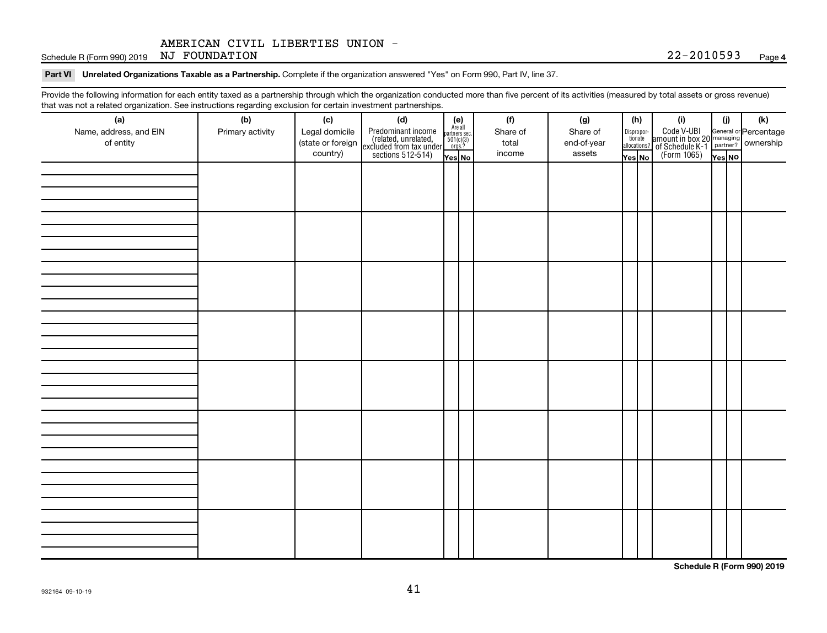Schedule R (Form 990) 2019 NJ FOUNDATION  $22-2010593$  Page

Part VI Unrelated Organizations Taxable as a Partnership. Complete if the organization answered "Yes" on Form 990, Part IV, line 37.

Provide the following information for each entity taxed as a partnership through which the organization conducted more than five percent of its activities (measured by total assets or gross revenue) that was not a related organization. See instructions regarding exclusion for certain investment partnerships.

| mat mac not a rolated organization. Oce included by regarding exercision for contain invectment partneremper<br>(a)<br>Name, address, and EIN<br>of entity | (b)<br>Primary activity | (c)<br>Legal domicile<br>(state or foreign<br>country) | (d)<br>Predominant income<br>(related, unrelated,<br>excluded from tax under<br>sections 512-514) | (e)<br>Are all<br>partners sec.<br>$501(c)(3)$<br>orgs.? | (f)<br>Share of<br>total<br>income | (g)<br>Share of<br>end-of-year<br>assets | (h)<br>Disproportionate<br>allocations? | (i)<br>Code V-UBI<br>amount in box 20 managing<br>of Schedule K-1<br>(Form 1065)<br>$\overline{Y_{\text{res}}}\overline{N\text{o}}$ | (i)    | (k) |
|------------------------------------------------------------------------------------------------------------------------------------------------------------|-------------------------|--------------------------------------------------------|---------------------------------------------------------------------------------------------------|----------------------------------------------------------|------------------------------------|------------------------------------------|-----------------------------------------|-------------------------------------------------------------------------------------------------------------------------------------|--------|-----|
|                                                                                                                                                            |                         |                                                        |                                                                                                   | Yes No                                                   |                                    |                                          | Yes No                                  |                                                                                                                                     | Yes NO |     |
|                                                                                                                                                            |                         |                                                        |                                                                                                   |                                                          |                                    |                                          |                                         |                                                                                                                                     |        |     |
|                                                                                                                                                            |                         |                                                        |                                                                                                   |                                                          |                                    |                                          |                                         |                                                                                                                                     |        |     |
|                                                                                                                                                            |                         |                                                        |                                                                                                   |                                                          |                                    |                                          |                                         |                                                                                                                                     |        |     |
|                                                                                                                                                            |                         |                                                        |                                                                                                   |                                                          |                                    |                                          |                                         |                                                                                                                                     |        |     |
|                                                                                                                                                            |                         |                                                        |                                                                                                   |                                                          |                                    |                                          |                                         |                                                                                                                                     |        |     |
|                                                                                                                                                            |                         |                                                        |                                                                                                   |                                                          |                                    |                                          |                                         |                                                                                                                                     |        |     |
|                                                                                                                                                            |                         |                                                        |                                                                                                   |                                                          |                                    |                                          |                                         |                                                                                                                                     |        |     |

**Schedule R (Form 990) 2019**